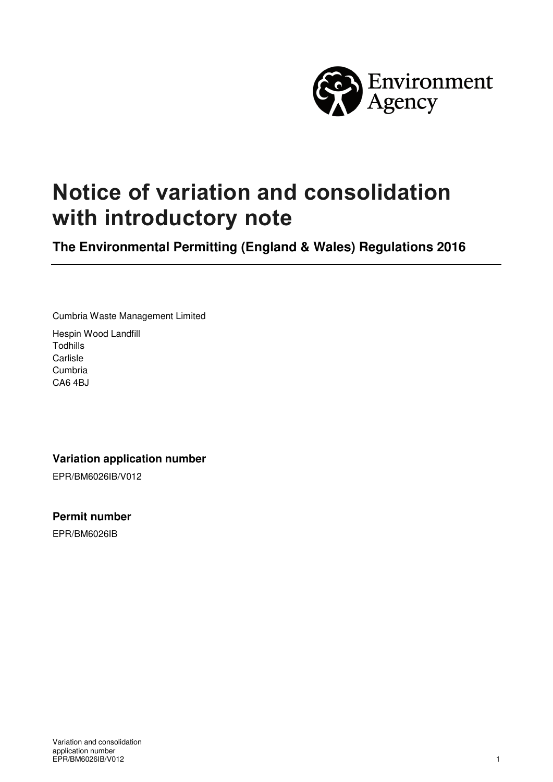

# **Notice of variation and consolidation with introductory note**

**The Environmental Permitting (England & Wales) Regulations 2016** 

Cumbria Waste Management Limited

Hespin Wood Landfill Todhills **Carlisle** Cumbria CA6 4BJ

#### **Variation application number**

EPR/BM6026IB/V012

**Permit number** 

EPR/BM6026IB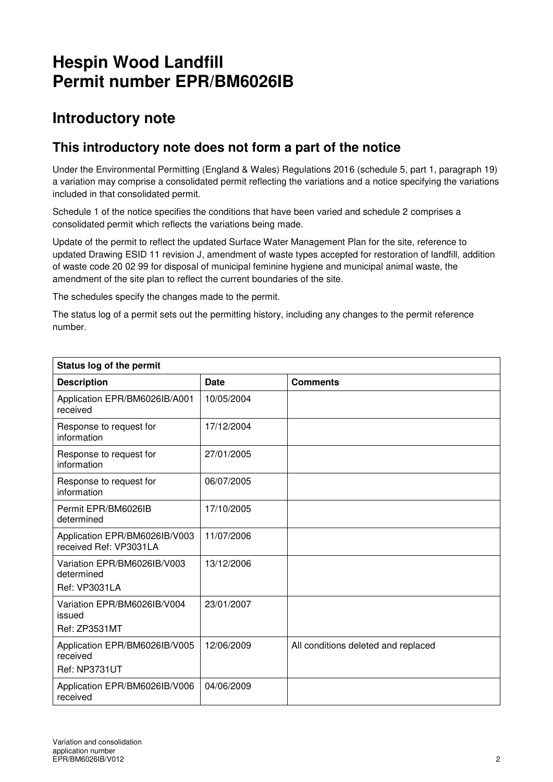## **Hespin Wood Landfill Permit number EPR/BM6026IB**

## **Introductory note**

### **This introductory note does not form a part of the notice**

Under the Environmental Permitting (England & Wales) Regulations 2016 (schedule 5, part 1, paragraph 19) a variation may comprise a consolidated permit reflecting the variations and a notice specifying the variations included in that consolidated permit.

Schedule 1 of the notice specifies the conditions that have been varied and schedule 2 comprises a consolidated permit which reflects the variations being made.

Update of the permit to reflect the updated Surface Water Management Plan for the site, reference to updated Drawing ESID 11 revision J, amendment of waste types accepted for restoration of landfill, addition of waste code 20 02 99 for disposal of municipal feminine hygiene and municipal animal waste, the amendment of the site plan to reflect the current boundaries of the site.

The schedules specify the changes made to the permit.

The status log of a permit sets out the permitting history, including any changes to the permit reference number.

| Status log of the permit                                          |            |                                     |  |  |
|-------------------------------------------------------------------|------------|-------------------------------------|--|--|
| <b>Description</b>                                                | Date       | <b>Comments</b>                     |  |  |
| Application EPR/BM6026IB/A001<br>received                         | 10/05/2004 |                                     |  |  |
| Response to request for<br>information                            | 17/12/2004 |                                     |  |  |
| Response to request for<br>information                            | 27/01/2005 |                                     |  |  |
| Response to request for<br>information                            | 06/07/2005 |                                     |  |  |
| Permit EPR/BM6026IB<br>determined                                 | 17/10/2005 |                                     |  |  |
| Application EPR/BM6026IB/V003<br>received Ref: VP3031LA           | 11/07/2006 |                                     |  |  |
| Variation EPR/BM6026IB/V003<br>determined<br><b>Ref: VP3031LA</b> | 13/12/2006 |                                     |  |  |
| Variation EPR/BM6026IB/V004<br>issued<br><b>Ref: ZP3531MT</b>     | 23/01/2007 |                                     |  |  |
| Application EPR/BM6026IB/V005<br>received<br><b>Ref: NP3731UT</b> | 12/06/2009 | All conditions deleted and replaced |  |  |
| Application EPR/BM6026IB/V006<br>received                         | 04/06/2009 |                                     |  |  |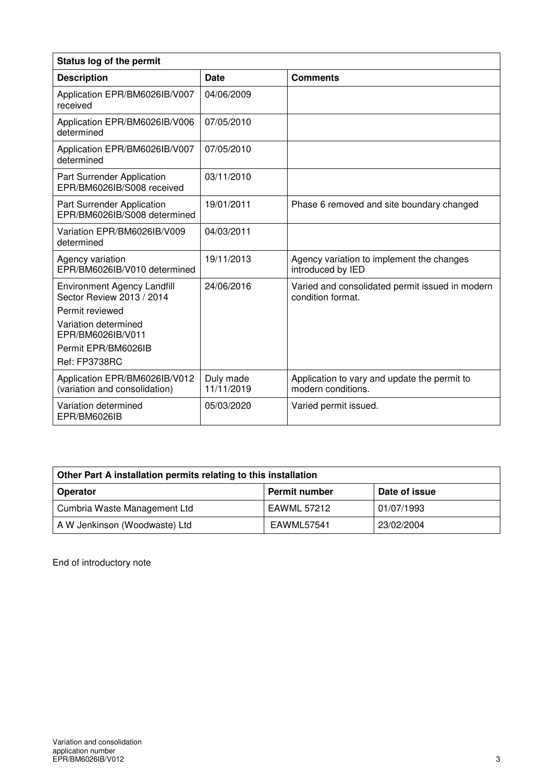| Status log of the permit                                        |                         |                                                                      |  |
|-----------------------------------------------------------------|-------------------------|----------------------------------------------------------------------|--|
| <b>Description</b>                                              | Date                    | <b>Comments</b>                                                      |  |
| Application EPR/BM6026IB/V007<br>received                       | 04/06/2009              |                                                                      |  |
| Application EPR/BM6026IB/V006<br>determined                     | 07/05/2010              |                                                                      |  |
| Application EPR/BM6026IB/V007<br>determined                     | 07/05/2010              |                                                                      |  |
| Part Surrender Application<br>EPR/BM6026IB/S008 received        | 03/11/2010              |                                                                      |  |
| Part Surrender Application<br>EPR/BM6026IB/S008 determined      | 19/01/2011              | Phase 6 removed and site boundary changed                            |  |
| Variation EPR/BM6026IB/V009<br>determined                       | 04/03/2011              |                                                                      |  |
| Agency variation<br>EPR/BM6026IB/V010 determined                | 19/11/2013              | Agency variation to implement the changes<br>introduced by IED       |  |
| <b>Environment Agency Landfill</b><br>Sector Review 2013 / 2014 | 24/06/2016              | Varied and consolidated permit issued in modern<br>condition format. |  |
| Permit reviewed                                                 |                         |                                                                      |  |
| Variation determined<br>EPR/BM6026IB/V011                       |                         |                                                                      |  |
| Permit EPR/BM6026IB                                             |                         |                                                                      |  |
| Ref: FP3738RC                                                   |                         |                                                                      |  |
| Application EPR/BM6026IB/V012<br>(variation and consolidation)  | Duly made<br>11/11/2019 | Application to vary and update the permit to<br>modern conditions.   |  |
| Variation determined<br>EPR/BM6026IB                            | 05/03/2020              | Varied permit issued.                                                |  |

| Other Part A installation permits relating to this installation |                      |               |  |
|-----------------------------------------------------------------|----------------------|---------------|--|
| <b>Operator</b>                                                 | <b>Permit number</b> | Date of issue |  |
| Cumbria Waste Management Ltd                                    | EAWML 57212          | 01/07/1993    |  |
| A W Jenkinson (Woodwaste) Ltd                                   | EAWML57541           | 23/02/2004    |  |

End of introductory note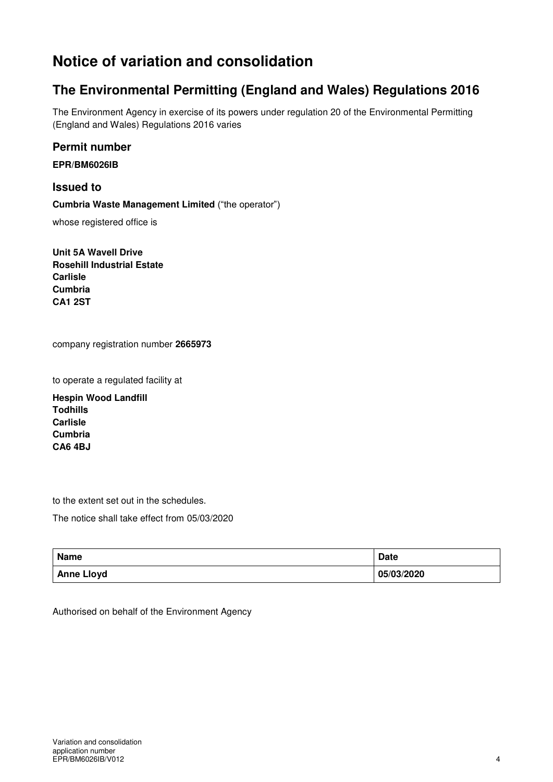## **Notice of variation and consolidation**

### **The Environmental Permitting (England and Wales) Regulations 2016**

The Environment Agency in exercise of its powers under regulation 20 of the Environmental Permitting (England and Wales) Regulations 2016 varies

**Permit number** 

**EPR/BM6026IB** 

**Issued to Cumbria Waste Management Limited** ("the operator")

whose registered office is

**Unit 5A Wavell Drive Rosehill Industrial Estate Carlisle Cumbria CA1 2ST** 

company registration number **2665973**

to operate a regulated facility at

**Hespin Wood Landfill Todhills Carlisle Cumbria CA6 4BJ** 

to the extent set out in the schedules.

The notice shall take effect from 05/03/2020

| <b>Name</b>       | <b>Date</b> |
|-------------------|-------------|
| <b>Anne Lloyd</b> | 05/03/2020  |

Authorised on behalf of the Environment Agency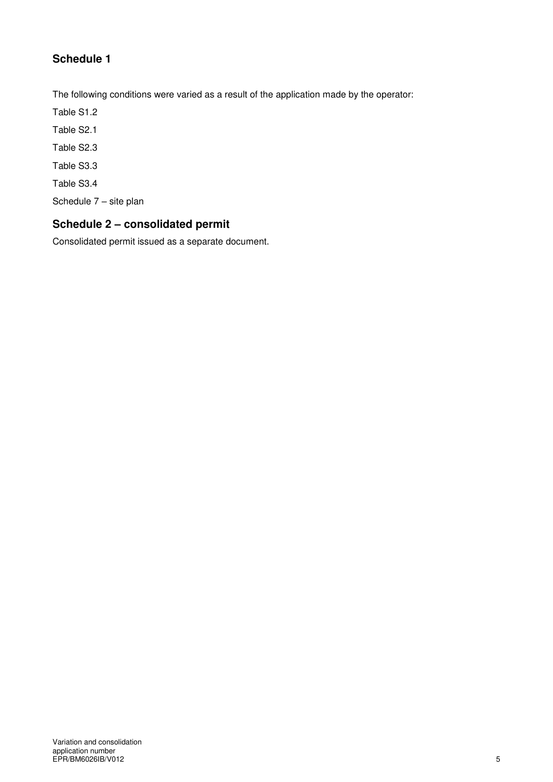### **Schedule 1**

The following conditions were varied as a result of the application made by the operator:

Table S1.2

Table S2.1

Table S2.3

Table S3.3

Table S3.4

Schedule 7 – site plan

### **Schedule 2 – consolidated permit**

Consolidated permit issued as a separate document.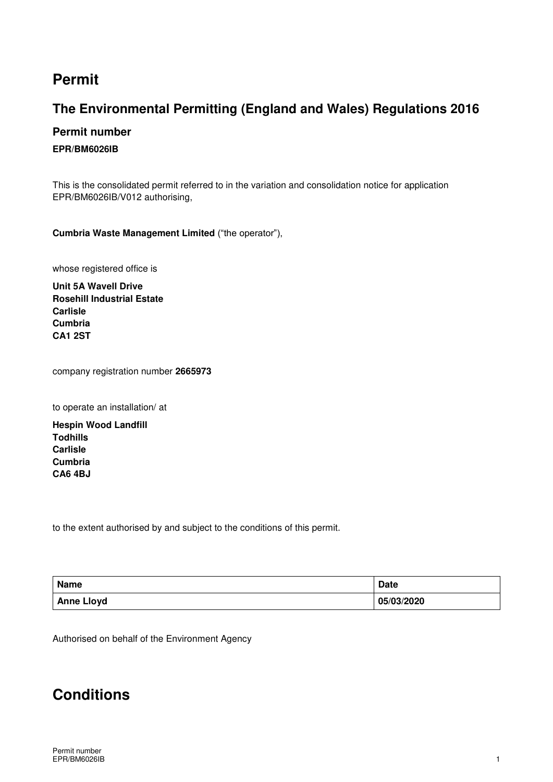## **Permit**

### **The Environmental Permitting (England and Wales) Regulations 2016**

#### **Permit number**

#### **EPR/BM6026IB**

This is the consolidated permit referred to in the variation and consolidation notice for application EPR/BM6026IB/V012 authorising,

**Cumbria Waste Management Limited** ("the operator"),

whose registered office is

**Unit 5A Wavell Drive Rosehill Industrial Estate Carlisle Cumbria CA1 2ST** 

company registration number **2665973**

to operate an installation/ at

**Hespin Wood Landfill Todhills Carlisle Cumbria CA6 4BJ** 

to the extent authorised by and subject to the conditions of this permit.

| Name              | <b>Date</b> |
|-------------------|-------------|
| <b>Anne Lloyd</b> | 05/03/2020  |

Authorised on behalf of the Environment Agency

## **Conditions**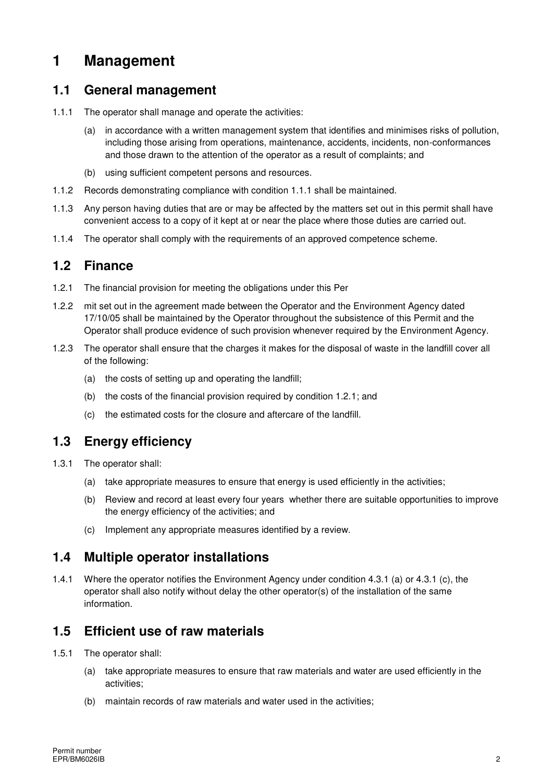## **1 Management**

#### **1.1 General management**

- 1.1.1 The operator shall manage and operate the activities:
	- (a) in accordance with a written management system that identifies and minimises risks of pollution, including those arising from operations, maintenance, accidents, incidents, non-conformances and those drawn to the attention of the operator as a result of complaints; and
	- (b) using sufficient competent persons and resources.
- 1.1.2 Records demonstrating compliance with condition 1.1.1 shall be maintained.
- 1.1.3 Any person having duties that are or may be affected by the matters set out in this permit shall have convenient access to a copy of it kept at or near the place where those duties are carried out.
- 1.1.4 The operator shall comply with the requirements of an approved competence scheme.

#### **1.2 Finance**

- 1.2.1 The financial provision for meeting the obligations under this Per
- 1.2.2 mit set out in the agreement made between the Operator and the Environment Agency dated 17/10/05 shall be maintained by the Operator throughout the subsistence of this Permit and the Operator shall produce evidence of such provision whenever required by the Environment Agency.
- 1.2.3 The operator shall ensure that the charges it makes for the disposal of waste in the landfill cover all of the following:
	- (a) the costs of setting up and operating the landfill;
	- (b) the costs of the financial provision required by condition 1.2.1; and
	- (c) the estimated costs for the closure and aftercare of the landfill.

### **1.3 Energy efficiency**

- 1.3.1 The operator shall:
	- (a) take appropriate measures to ensure that energy is used efficiently in the activities;
	- (b) Review and record at least every four years whether there are suitable opportunities to improve the energy efficiency of the activities; and
	- (c) Implement any appropriate measures identified by a review.

### **1.4 Multiple operator installations**

1.4.1 Where the operator notifies the Environment Agency under condition 4.3.1 (a) or 4.3.1 (c), the operator shall also notify without delay the other operator(s) of the installation of the same information.

### **1.5 Efficient use of raw materials**

- 1.5.1 The operator shall:
	- (a) take appropriate measures to ensure that raw materials and water are used efficiently in the activities;
	- (b) maintain records of raw materials and water used in the activities;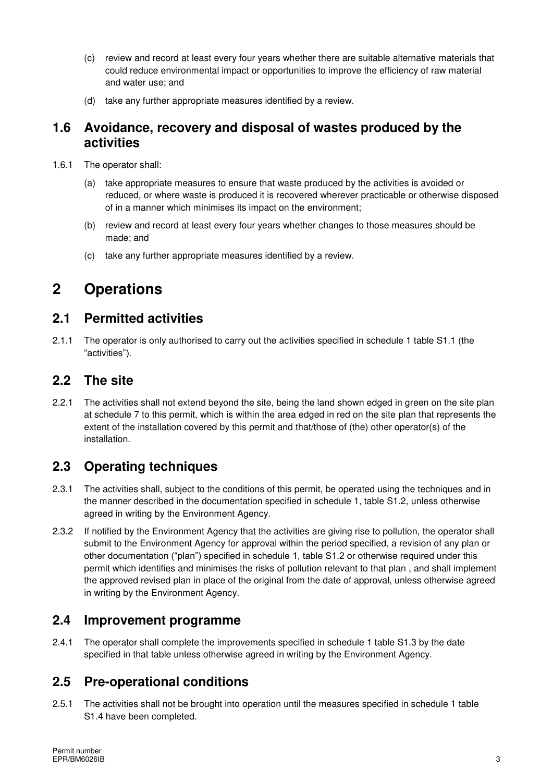- (c) review and record at least every four years whether there are suitable alternative materials that could reduce environmental impact or opportunities to improve the efficiency of raw material and water use; and
- (d) take any further appropriate measures identified by a review.

#### **1.6 Avoidance, recovery and disposal of wastes produced by the activities**

- 1.6.1 The operator shall:
	- (a) take appropriate measures to ensure that waste produced by the activities is avoided or reduced, or where waste is produced it is recovered wherever practicable or otherwise disposed of in a manner which minimises its impact on the environment;
	- (b) review and record at least every four years whether changes to those measures should be made; and
	- (c) take any further appropriate measures identified by a review.

## **2 Operations**

### **2.1 Permitted activities**

2.1.1 The operator is only authorised to carry out the activities specified in schedule 1 table S1.1 (the "activities").

### **2.2 The site**

2.2.1 The activities shall not extend beyond the site, being the land shown edged in green on the site plan at schedule 7 to this permit, which is within the area edged in red on the site plan that represents the extent of the installation covered by this permit and that/those of (the) other operator(s) of the installation.

### **2.3 Operating techniques**

- 2.3.1 The activities shall, subject to the conditions of this permit, be operated using the techniques and in the manner described in the documentation specified in schedule 1, table S1.2, unless otherwise agreed in writing by the Environment Agency.
- 2.3.2 If notified by the Environment Agency that the activities are giving rise to pollution, the operator shall submit to the Environment Agency for approval within the period specified, a revision of any plan or other documentation ("plan") specified in schedule 1, table S1.2 or otherwise required under this permit which identifies and minimises the risks of pollution relevant to that plan , and shall implement the approved revised plan in place of the original from the date of approval, unless otherwise agreed in writing by the Environment Agency.

#### **2.4 Improvement programme**

2.4.1 The operator shall complete the improvements specified in schedule 1 table S1.3 by the date specified in that table unless otherwise agreed in writing by the Environment Agency.

### **2.5 Pre-operational conditions**

2.5.1 The activities shall not be brought into operation until the measures specified in schedule 1 table S1.4 have been completed.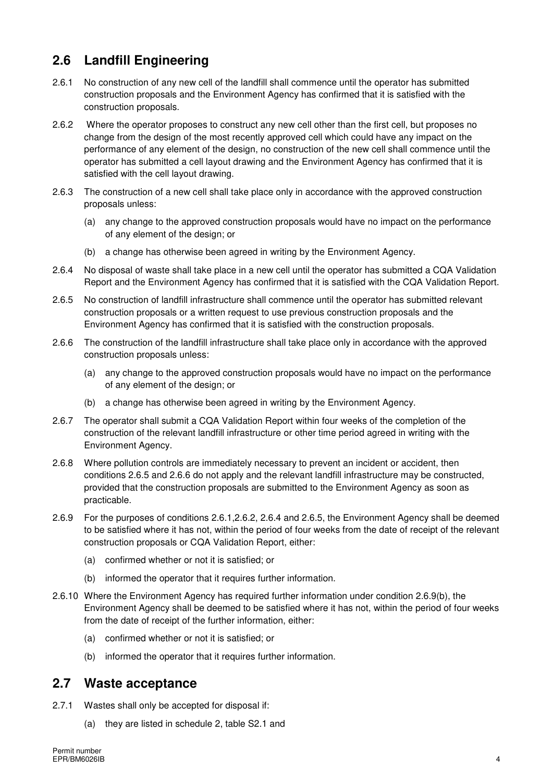### **2.6 Landfill Engineering**

- 2.6.1 No construction of any new cell of the landfill shall commence until the operator has submitted construction proposals and the Environment Agency has confirmed that it is satisfied with the construction proposals.
- 2.6.2 Where the operator proposes to construct any new cell other than the first cell, but proposes no change from the design of the most recently approved cell which could have any impact on the performance of any element of the design, no construction of the new cell shall commence until the operator has submitted a cell layout drawing and the Environment Agency has confirmed that it is satisfied with the cell layout drawing.
- 2.6.3 The construction of a new cell shall take place only in accordance with the approved construction proposals unless:
	- (a) any change to the approved construction proposals would have no impact on the performance of any element of the design; or
	- (b) a change has otherwise been agreed in writing by the Environment Agency.
- 2.6.4 No disposal of waste shall take place in a new cell until the operator has submitted a CQA Validation Report and the Environment Agency has confirmed that it is satisfied with the CQA Validation Report.
- 2.6.5 No construction of landfill infrastructure shall commence until the operator has submitted relevant construction proposals or a written request to use previous construction proposals and the Environment Agency has confirmed that it is satisfied with the construction proposals.
- 2.6.6 The construction of the landfill infrastructure shall take place only in accordance with the approved construction proposals unless:
	- (a) any change to the approved construction proposals would have no impact on the performance of any element of the design; or
	- (b) a change has otherwise been agreed in writing by the Environment Agency.
- 2.6.7 The operator shall submit a CQA Validation Report within four weeks of the completion of the construction of the relevant landfill infrastructure or other time period agreed in writing with the Environment Agency.
- 2.6.8 Where pollution controls are immediately necessary to prevent an incident or accident, then conditions 2.6.5 and 2.6.6 do not apply and the relevant landfill infrastructure may be constructed, provided that the construction proposals are submitted to the Environment Agency as soon as practicable.
- 2.6.9 For the purposes of conditions 2.6.1,2.6.2, 2.6.4 and 2.6.5, the Environment Agency shall be deemed to be satisfied where it has not, within the period of four weeks from the date of receipt of the relevant construction proposals or CQA Validation Report, either:
	- (a) confirmed whether or not it is satisfied; or
	- (b) informed the operator that it requires further information.
- 2.6.10 Where the Environment Agency has required further information under condition 2.6.9(b), the Environment Agency shall be deemed to be satisfied where it has not, within the period of four weeks from the date of receipt of the further information, either:
	- (a) confirmed whether or not it is satisfied; or
	- (b) informed the operator that it requires further information.

#### **2.7 Waste acceptance**

- 2.7.1 Wastes shall only be accepted for disposal if:
	- (a) they are listed in schedule 2, table S2.1 and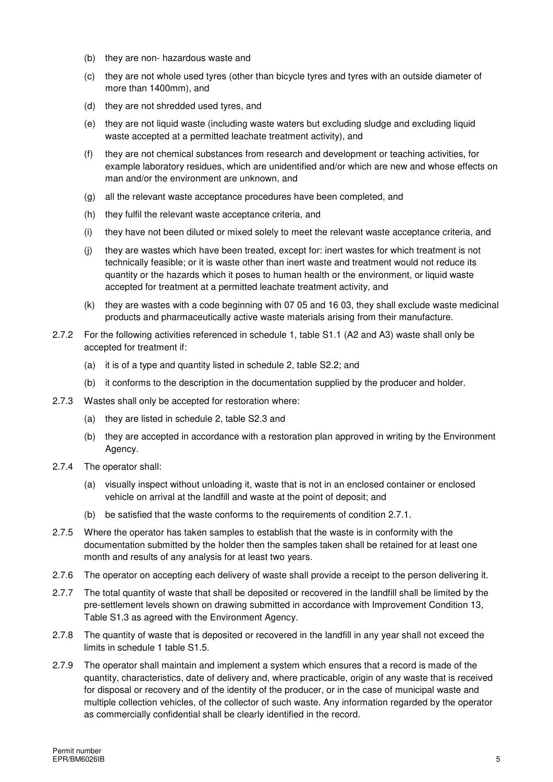- (b) they are non- hazardous waste and
- (c) they are not whole used tyres (other than bicycle tyres and tyres with an outside diameter of more than 1400mm), and
- (d) they are not shredded used tyres, and
- (e) they are not liquid waste (including waste waters but excluding sludge and excluding liquid waste accepted at a permitted leachate treatment activity), and
- (f) they are not chemical substances from research and development or teaching activities, for example laboratory residues, which are unidentified and/or which are new and whose effects on man and/or the environment are unknown, and
- (g) all the relevant waste acceptance procedures have been completed, and
- (h) they fulfil the relevant waste acceptance criteria, and
- (i) they have not been diluted or mixed solely to meet the relevant waste acceptance criteria, and
- (j) they are wastes which have been treated, except for: inert wastes for which treatment is not technically feasible; or it is waste other than inert waste and treatment would not reduce its quantity or the hazards which it poses to human health or the environment, or liquid waste accepted for treatment at a permitted leachate treatment activity, and
- (k) they are wastes with a code beginning with 07 05 and 16 03, they shall exclude waste medicinal products and pharmaceutically active waste materials arising from their manufacture.
- 2.7.2 For the following activities referenced in schedule 1, table S1.1 (A2 and A3) waste shall only be accepted for treatment if:
	- (a) it is of a type and quantity listed in schedule 2, table S2.2; and
	- (b) it conforms to the description in the documentation supplied by the producer and holder.
- 2.7.3 Wastes shall only be accepted for restoration where:
	- (a) they are listed in schedule 2, table S2.3 and
	- (b) they are accepted in accordance with a restoration plan approved in writing by the Environment Agency.
- 2.7.4 The operator shall:
	- (a) visually inspect without unloading it, waste that is not in an enclosed container or enclosed vehicle on arrival at the landfill and waste at the point of deposit; and
	- (b) be satisfied that the waste conforms to the requirements of condition 2.7.1.
- 2.7.5 Where the operator has taken samples to establish that the waste is in conformity with the documentation submitted by the holder then the samples taken shall be retained for at least one month and results of any analysis for at least two years.
- 2.7.6 The operator on accepting each delivery of waste shall provide a receipt to the person delivering it.
- 2.7.7 The total quantity of waste that shall be deposited or recovered in the landfill shall be limited by the pre-settlement levels shown on drawing submitted in accordance with Improvement Condition 13, Table S1.3 as agreed with the Environment Agency.
- 2.7.8 The quantity of waste that is deposited or recovered in the landfill in any year shall not exceed the limits in schedule 1 table S1.5.
- 2.7.9 The operator shall maintain and implement a system which ensures that a record is made of the quantity, characteristics, date of delivery and, where practicable, origin of any waste that is received for disposal or recovery and of the identity of the producer, or in the case of municipal waste and multiple collection vehicles, of the collector of such waste. Any information regarded by the operator as commercially confidential shall be clearly identified in the record.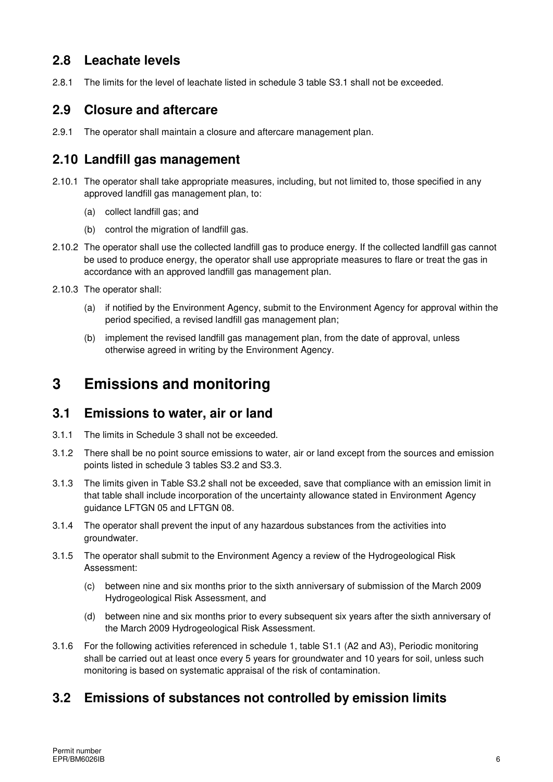### **2.8 Leachate levels**

2.8.1 The limits for the level of leachate listed in schedule 3 table S3.1 shall not be exceeded.

#### **2.9 Closure and aftercare**

2.9.1 The operator shall maintain a closure and aftercare management plan.

### **2.10 Landfill gas management**

- 2.10.1 The operator shall take appropriate measures, including, but not limited to, those specified in any approved landfill gas management plan, to:
	- (a) collect landfill gas; and
	- (b) control the migration of landfill gas.
- 2.10.2 The operator shall use the collected landfill gas to produce energy. If the collected landfill gas cannot be used to produce energy, the operator shall use appropriate measures to flare or treat the gas in accordance with an approved landfill gas management plan.
- 2.10.3 The operator shall:
	- (a) if notified by the Environment Agency, submit to the Environment Agency for approval within the period specified, a revised landfill gas management plan;
	- (b) implement the revised landfill gas management plan, from the date of approval, unless otherwise agreed in writing by the Environment Agency.

### **3 Emissions and monitoring**

#### **3.1 Emissions to water, air or land**

- 3.1.1 The limits in Schedule 3 shall not be exceeded.
- 3.1.2 There shall be no point source emissions to water, air or land except from the sources and emission points listed in schedule 3 tables S3.2 and S3.3.
- 3.1.3 The limits given in Table S3.2 shall not be exceeded, save that compliance with an emission limit in that table shall include incorporation of the uncertainty allowance stated in Environment Agency guidance LFTGN 05 and LFTGN 08.
- 3.1.4 The operator shall prevent the input of any hazardous substances from the activities into groundwater.
- 3.1.5 The operator shall submit to the Environment Agency a review of the Hydrogeological Risk Assessment:
	- (c) between nine and six months prior to the sixth anniversary of submission of the March 2009 Hydrogeological Risk Assessment, and
	- (d) between nine and six months prior to every subsequent six years after the sixth anniversary of the March 2009 Hydrogeological Risk Assessment.
- 3.1.6 For the following activities referenced in schedule 1, table S1.1 (A2 and A3), Periodic monitoring shall be carried out at least once every 5 years for groundwater and 10 years for soil, unless such monitoring is based on systematic appraisal of the risk of contamination.

### **3.2 Emissions of substances not controlled by emission limits**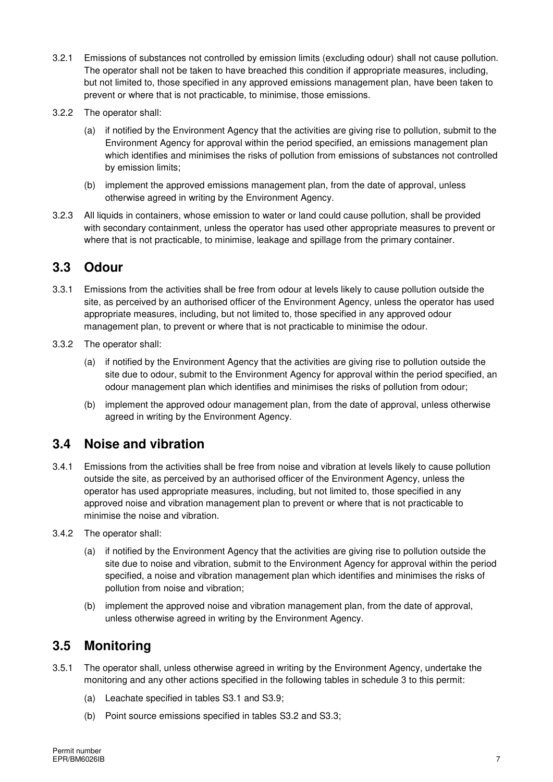- 3.2.1 Emissions of substances not controlled by emission limits (excluding odour) shall not cause pollution. The operator shall not be taken to have breached this condition if appropriate measures, including, but not limited to, those specified in any approved emissions management plan, have been taken to prevent or where that is not practicable, to minimise, those emissions.
- 3.2.2 The operator shall:
	- (a) if notified by the Environment Agency that the activities are giving rise to pollution, submit to the Environment Agency for approval within the period specified, an emissions management plan which identifies and minimises the risks of pollution from emissions of substances not controlled by emission limits;
	- (b) implement the approved emissions management plan, from the date of approval, unless otherwise agreed in writing by the Environment Agency.
- 3.2.3 All liquids in containers, whose emission to water or land could cause pollution, shall be provided with secondary containment, unless the operator has used other appropriate measures to prevent or where that is not practicable, to minimise, leakage and spillage from the primary container.

#### **3.3 Odour**

- 3.3.1 Emissions from the activities shall be free from odour at levels likely to cause pollution outside the site, as perceived by an authorised officer of the Environment Agency, unless the operator has used appropriate measures, including, but not limited to, those specified in any approved odour management plan, to prevent or where that is not practicable to minimise the odour.
- 3.3.2 The operator shall:
	- (a) if notified by the Environment Agency that the activities are giving rise to pollution outside the site due to odour, submit to the Environment Agency for approval within the period specified, an odour management plan which identifies and minimises the risks of pollution from odour;
	- (b) implement the approved odour management plan, from the date of approval, unless otherwise agreed in writing by the Environment Agency.

### **3.4 Noise and vibration**

- 3.4.1 Emissions from the activities shall be free from noise and vibration at levels likely to cause pollution outside the site, as perceived by an authorised officer of the Environment Agency, unless the operator has used appropriate measures, including, but not limited to, those specified in any approved noise and vibration management plan to prevent or where that is not practicable to minimise the noise and vibration.
- 3.4.2 The operator shall:
	- (a) if notified by the Environment Agency that the activities are giving rise to pollution outside the site due to noise and vibration, submit to the Environment Agency for approval within the period specified, a noise and vibration management plan which identifies and minimises the risks of pollution from noise and vibration;
	- (b) implement the approved noise and vibration management plan, from the date of approval, unless otherwise agreed in writing by the Environment Agency.

### **3.5 Monitoring**

- 3.5.1 The operator shall, unless otherwise agreed in writing by the Environment Agency, undertake the monitoring and any other actions specified in the following tables in schedule 3 to this permit:
	- (a) Leachate specified in tables S3.1 and S3.9;
	- (b) Point source emissions specified in tables S3.2 and S3.3;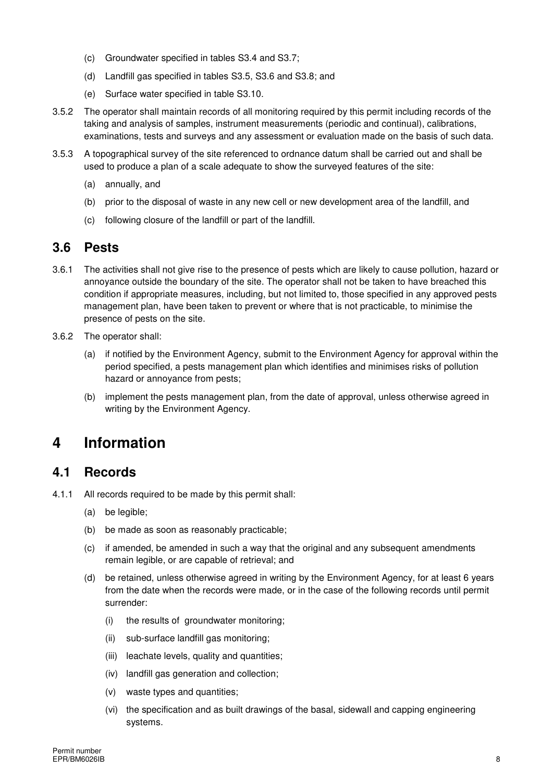- (c) Groundwater specified in tables S3.4 and S3.7;
- (d) Landfill gas specified in tables S3.5, S3.6 and S3.8; and
- (e) Surface water specified in table S3.10.
- 3.5.2 The operator shall maintain records of all monitoring required by this permit including records of the taking and analysis of samples, instrument measurements (periodic and continual), calibrations, examinations, tests and surveys and any assessment or evaluation made on the basis of such data.
- 3.5.3 A topographical survey of the site referenced to ordnance datum shall be carried out and shall be used to produce a plan of a scale adequate to show the surveyed features of the site:
	- (a) annually, and
	- (b) prior to the disposal of waste in any new cell or new development area of the landfill, and
	- (c) following closure of the landfill or part of the landfill.

#### **3.6 Pests**

- 3.6.1 The activities shall not give rise to the presence of pests which are likely to cause pollution, hazard or annoyance outside the boundary of the site. The operator shall not be taken to have breached this condition if appropriate measures, including, but not limited to, those specified in any approved pests management plan, have been taken to prevent or where that is not practicable, to minimise the presence of pests on the site.
- 3.6.2 The operator shall:
	- (a) if notified by the Environment Agency, submit to the Environment Agency for approval within the period specified, a pests management plan which identifies and minimises risks of pollution hazard or annoyance from pests;
	- (b) implement the pests management plan, from the date of approval, unless otherwise agreed in writing by the Environment Agency.

## **4 Information**

#### **4.1 Records**

- 4.1.1 All records required to be made by this permit shall:
	- (a) be legible;
	- (b) be made as soon as reasonably practicable;
	- (c) if amended, be amended in such a way that the original and any subsequent amendments remain legible, or are capable of retrieval; and
	- (d) be retained, unless otherwise agreed in writing by the Environment Agency, for at least 6 years from the date when the records were made, or in the case of the following records until permit surrender:
		- (i) the results of groundwater monitoring;
		- (ii) sub-surface landfill gas monitoring;
		- (iii) leachate levels, quality and quantities;
		- (iv) landfill gas generation and collection;
		- (v) waste types and quantities;
		- (vi) the specification and as built drawings of the basal, sidewall and capping engineering systems.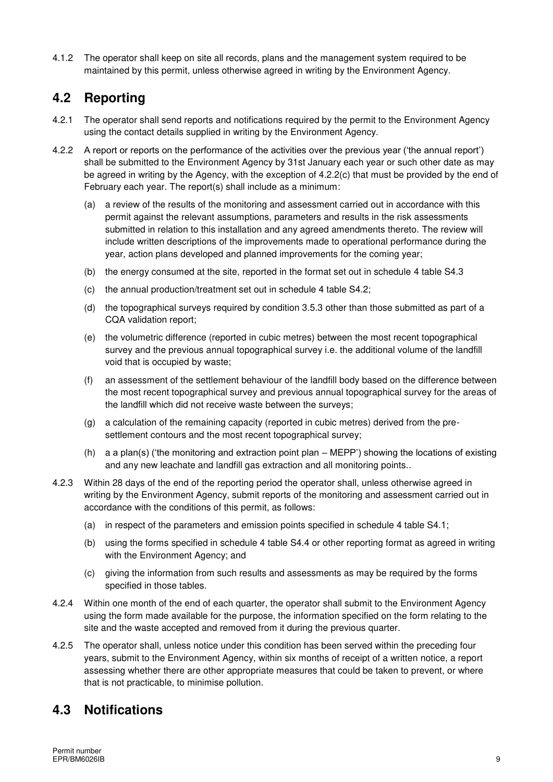4.1.2 The operator shall keep on site all records, plans and the management system required to be maintained by this permit, unless otherwise agreed in writing by the Environment Agency.

### **4.2 Reporting**

- 4.2.1 The operator shall send reports and notifications required by the permit to the Environment Agency using the contact details supplied in writing by the Environment Agency.
- 4.2.2 A report or reports on the performance of the activities over the previous year ('the annual report') shall be submitted to the Environment Agency by 31st January each year or such other date as may be agreed in writing by the Agency, with the exception of 4.2.2(c) that must be provided by the end of February each year. The report(s) shall include as a minimum:
	- (a) a review of the results of the monitoring and assessment carried out in accordance with this permit against the relevant assumptions, parameters and results in the risk assessments submitted in relation to this installation and any agreed amendments thereto. The review will include written descriptions of the improvements made to operational performance during the year, action plans developed and planned improvements for the coming year;
	- (b) the energy consumed at the site, reported in the format set out in schedule 4 table S4.3
	- (c) the annual production/treatment set out in schedule 4 table S4.2;
	- (d) the topographical surveys required by condition 3.5.3 other than those submitted as part of a CQA validation report;
	- (e) the volumetric difference (reported in cubic metres) between the most recent topographical survey and the previous annual topographical survey i.e. the additional volume of the landfill void that is occupied by waste;
	- (f) an assessment of the settlement behaviour of the landfill body based on the difference between the most recent topographical survey and previous annual topographical survey for the areas of the landfill which did not receive waste between the surveys;
	- (g) a calculation of the remaining capacity (reported in cubic metres) derived from the presettlement contours and the most recent topographical survey;
	- (h) a a plan(s) ('the monitoring and extraction point plan MEPP') showing the locations of existing and any new leachate and landfill gas extraction and all monitoring points..
- 4.2.3 Within 28 days of the end of the reporting period the operator shall, unless otherwise agreed in writing by the Environment Agency, submit reports of the monitoring and assessment carried out in accordance with the conditions of this permit, as follows:
	- (a) in respect of the parameters and emission points specified in schedule 4 table S4.1;
	- (b) using the forms specified in schedule 4 table S4.4 or other reporting format as agreed in writing with the Environment Agency; and
	- (c) giving the information from such results and assessments as may be required by the forms specified in those tables.
- 4.2.4 Within one month of the end of each quarter, the operator shall submit to the Environment Agency using the form made available for the purpose, the information specified on the form relating to the site and the waste accepted and removed from it during the previous quarter.
- 4.2.5 The operator shall, unless notice under this condition has been served within the preceding four years, submit to the Environment Agency, within six months of receipt of a written notice, a report assessing whether there are other appropriate measures that could be taken to prevent, or where that is not practicable, to minimise pollution.

### **4.3 Notifications**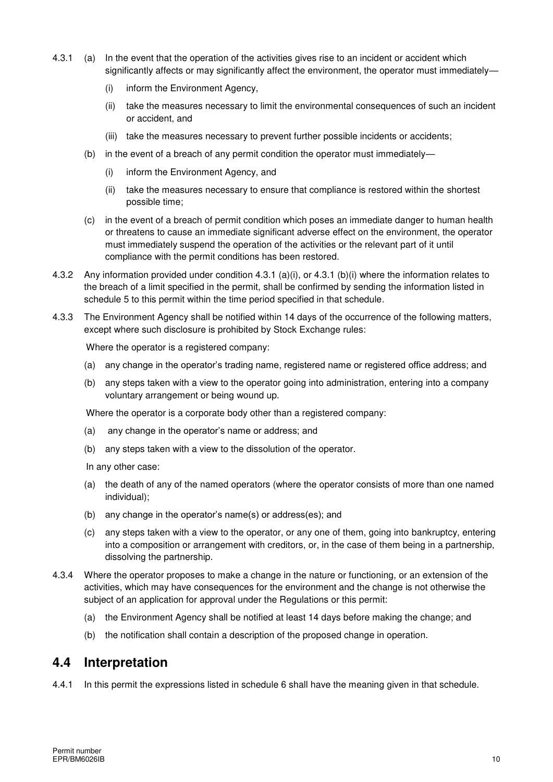- 4.3.1 (a) In the event that the operation of the activities gives rise to an incident or accident which significantly affects or may significantly affect the environment, the operator must immediately—
	- (i) inform the Environment Agency,
	- (ii) take the measures necessary to limit the environmental consequences of such an incident or accident, and
	- (iii) take the measures necessary to prevent further possible incidents or accidents;
	- (b) in the event of a breach of any permit condition the operator must immediately—
		- (i) inform the Environment Agency, and
		- (ii) take the measures necessary to ensure that compliance is restored within the shortest possible time;
	- (c) in the event of a breach of permit condition which poses an immediate danger to human health or threatens to cause an immediate significant adverse effect on the environment, the operator must immediately suspend the operation of the activities or the relevant part of it until compliance with the permit conditions has been restored.
- 4.3.2 Any information provided under condition 4.3.1 (a)(i), or 4.3.1 (b)(i) where the information relates to the breach of a limit specified in the permit, shall be confirmed by sending the information listed in schedule 5 to this permit within the time period specified in that schedule.
- 4.3.3 The Environment Agency shall be notified within 14 days of the occurrence of the following matters, except where such disclosure is prohibited by Stock Exchange rules:

Where the operator is a registered company:

- (a) any change in the operator's trading name, registered name or registered office address; and
- (b) any steps taken with a view to the operator going into administration, entering into a company voluntary arrangement or being wound up.

Where the operator is a corporate body other than a registered company:

- (a) any change in the operator's name or address; and
- (b) any steps taken with a view to the dissolution of the operator.

In any other case:

- (a) the death of any of the named operators (where the operator consists of more than one named individual);
- (b) any change in the operator's name(s) or address(es); and
- (c) any steps taken with a view to the operator, or any one of them, going into bankruptcy, entering into a composition or arrangement with creditors, or, in the case of them being in a partnership, dissolving the partnership.
- 4.3.4 Where the operator proposes to make a change in the nature or functioning, or an extension of the activities, which may have consequences for the environment and the change is not otherwise the subject of an application for approval under the Regulations or this permit:
	- (a) the Environment Agency shall be notified at least 14 days before making the change; and
	- (b) the notification shall contain a description of the proposed change in operation.

#### **4.4 Interpretation**

4.4.1 In this permit the expressions listed in schedule 6 shall have the meaning given in that schedule.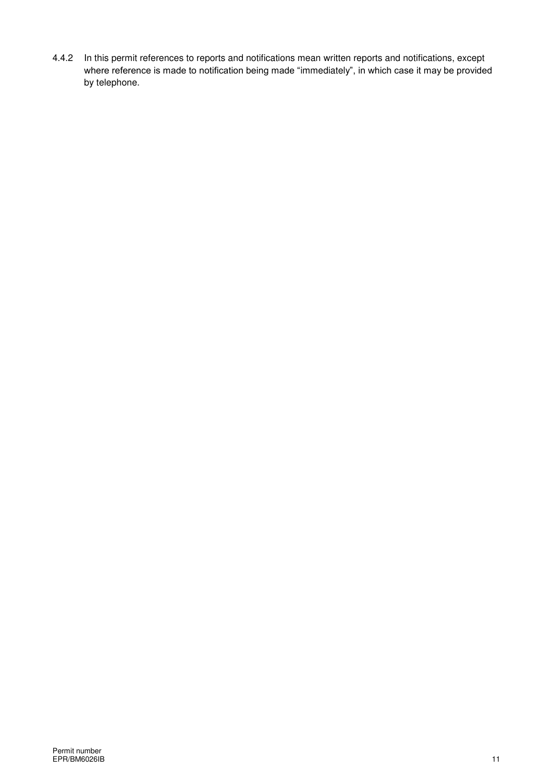4.4.2 In this permit references to reports and notifications mean written reports and notifications, except where reference is made to notification being made "immediately", in which case it may be provided by telephone.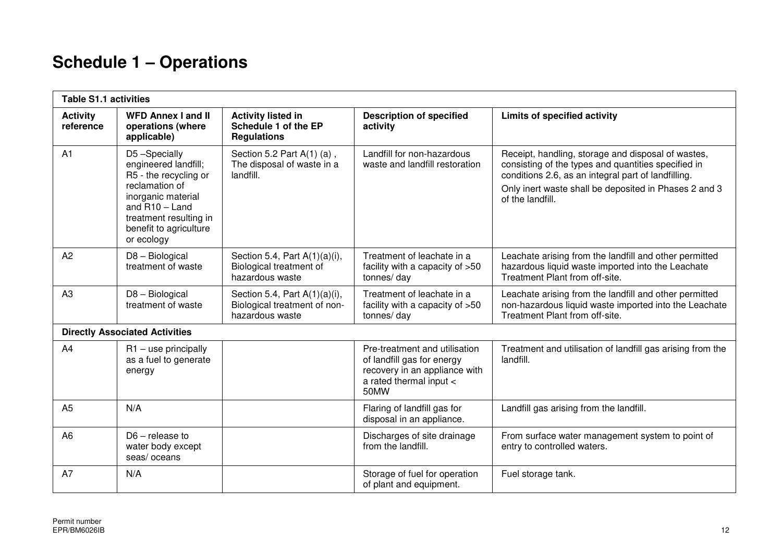# **Schedule 1 – Operations**

| <b>Table S1.1 activities</b> |                                                                                                                                                                                             |                                                                                     |                                                                                                                                 |                                                                                                                                                                                                                                               |
|------------------------------|---------------------------------------------------------------------------------------------------------------------------------------------------------------------------------------------|-------------------------------------------------------------------------------------|---------------------------------------------------------------------------------------------------------------------------------|-----------------------------------------------------------------------------------------------------------------------------------------------------------------------------------------------------------------------------------------------|
| <b>Activity</b><br>reference | <b>WFD Annex I and II</b><br>operations (where<br>applicable)                                                                                                                               | <b>Activity listed in</b><br>Schedule 1 of the EP<br><b>Regulations</b>             | <b>Description of specified</b><br>activity                                                                                     | Limits of specified activity                                                                                                                                                                                                                  |
| A1                           | D5-Specially<br>engineered landfill;<br>R5 - the recycling or<br>reclamation of<br>inorganic material<br>and $R10 -$ Land<br>treatment resulting in<br>benefit to agriculture<br>or ecology | Section 5.2 Part $A(1)$ (a),<br>The disposal of waste in a<br>landfill.             | Landfill for non-hazardous<br>waste and landfill restoration                                                                    | Receipt, handling, storage and disposal of wastes,<br>consisting of the types and quantities specified in<br>conditions 2.6, as an integral part of landfilling.<br>Only inert waste shall be deposited in Phases 2 and 3<br>of the landfill. |
| A2                           | D8 - Biological<br>treatment of waste                                                                                                                                                       | Section 5.4, Part $A(1)(a)(i)$ ,<br>Biological treatment of<br>hazardous waste      | Treatment of leachate in a<br>facility with a capacity of >50<br>tonnes/day                                                     | Leachate arising from the landfill and other permitted<br>hazardous liquid waste imported into the Leachate<br>Treatment Plant from off-site.                                                                                                 |
| A3                           | D8 - Biological<br>treatment of waste                                                                                                                                                       | Section 5.4, Part $A(1)(a)(i)$ ,<br>Biological treatment of non-<br>hazardous waste | Treatment of leachate in a<br>facility with a capacity of >50<br>tonnes/day                                                     | Leachate arising from the landfill and other permitted<br>non-hazardous liquid waste imported into the Leachate<br>Treatment Plant from off-site.                                                                                             |
|                              | <b>Directly Associated Activities</b>                                                                                                                                                       |                                                                                     |                                                                                                                                 |                                                                                                                                                                                                                                               |
| A4                           | $R1 -$ use principally<br>as a fuel to generate<br>energy                                                                                                                                   |                                                                                     | Pre-treatment and utilisation<br>of landfill gas for energy<br>recovery in an appliance with<br>a rated thermal input <<br>50MW | Treatment and utilisation of landfill gas arising from the<br>landfill.                                                                                                                                                                       |
| A <sub>5</sub>               | N/A                                                                                                                                                                                         |                                                                                     | Flaring of landfill gas for<br>disposal in an appliance.                                                                        | Landfill gas arising from the landfill.                                                                                                                                                                                                       |
| A <sub>6</sub>               | $D6$ – release to<br>water body except<br>seas/oceans                                                                                                                                       |                                                                                     | Discharges of site drainage<br>from the landfill.                                                                               | From surface water management system to point of<br>entry to controlled waters.                                                                                                                                                               |
| A7                           | N/A                                                                                                                                                                                         |                                                                                     | Storage of fuel for operation<br>of plant and equipment.                                                                        | Fuel storage tank.                                                                                                                                                                                                                            |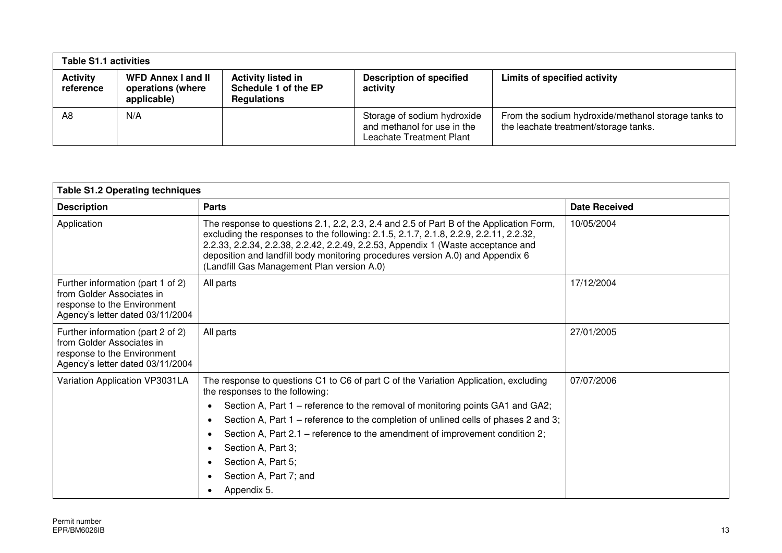| <b>Table S1.1 activities</b> |                                                               |                                                                         |                                                                                        |                                                                                              |
|------------------------------|---------------------------------------------------------------|-------------------------------------------------------------------------|----------------------------------------------------------------------------------------|----------------------------------------------------------------------------------------------|
| <b>Activity</b><br>reference | <b>WFD Annex I and II</b><br>operations (where<br>applicable) | <b>Activity listed in</b><br>Schedule 1 of the EP<br><b>Regulations</b> | <b>Description of specified</b><br>activity                                            | Limits of specified activity                                                                 |
| A8                           | N/A                                                           |                                                                         | Storage of sodium hydroxide<br>and methanol for use in the<br>Leachate Treatment Plant | From the sodium hydroxide/methanol storage tanks to<br>the leachate treatment/storage tanks. |

| <b>Table S1.2 Operating techniques</b>                                                                                            |                                                                                                                                                                                                                                                                                                                                                                                                                                                                                                                                        |               |  |  |
|-----------------------------------------------------------------------------------------------------------------------------------|----------------------------------------------------------------------------------------------------------------------------------------------------------------------------------------------------------------------------------------------------------------------------------------------------------------------------------------------------------------------------------------------------------------------------------------------------------------------------------------------------------------------------------------|---------------|--|--|
| <b>Description</b>                                                                                                                | <b>Parts</b>                                                                                                                                                                                                                                                                                                                                                                                                                                                                                                                           | Date Received |  |  |
| Application                                                                                                                       | The response to questions 2.1, 2.2, 2.3, 2.4 and 2.5 of Part B of the Application Form,<br>excluding the responses to the following: 2.1.5, 2.1.7, 2.1.8, 2.2.9, 2.2.11, 2.2.32,<br>2.2.33, 2.2.34, 2.2.38, 2.2.42, 2.2.49, 2.2.53, Appendix 1 (Waste acceptance and<br>deposition and landfill body monitoring procedures version A.0) and Appendix 6<br>(Landfill Gas Management Plan version A.0)                                                                                                                                   | 10/05/2004    |  |  |
| Further information (part 1 of 2)<br>from Golder Associates in<br>response to the Environment<br>Agency's letter dated 03/11/2004 | All parts                                                                                                                                                                                                                                                                                                                                                                                                                                                                                                                              | 17/12/2004    |  |  |
| Further information (part 2 of 2)<br>from Golder Associates in<br>response to the Environment<br>Agency's letter dated 03/11/2004 | All parts                                                                                                                                                                                                                                                                                                                                                                                                                                                                                                                              | 27/01/2005    |  |  |
| Variation Application VP3031LA                                                                                                    | The response to questions C1 to C6 of part C of the Variation Application, excluding<br>the responses to the following:<br>Section A, Part 1 – reference to the removal of monitoring points GA1 and GA2;<br>$\bullet$<br>Section A, Part 1 – reference to the completion of unlined cells of phases 2 and 3;<br>$\bullet$<br>Section A, Part 2.1 – reference to the amendment of improvement condition 2;<br>$\bullet$<br>Section A, Part 3;<br>$\bullet$<br>Section A, Part 5;<br>$\bullet$<br>Section A, Part 7; and<br>Appendix 5. | 07/07/2006    |  |  |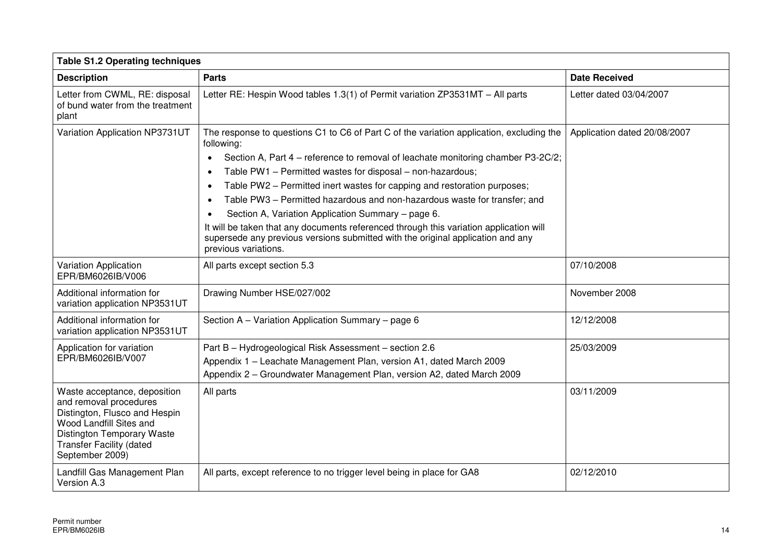| <b>Table S1.2 Operating techniques</b>                                                                                                                                                                 |                                                                                                                                                                                                                                                                                                                                                                                                                                                                                                                                                                                                                                                                                                                                  |                              |  |
|--------------------------------------------------------------------------------------------------------------------------------------------------------------------------------------------------------|----------------------------------------------------------------------------------------------------------------------------------------------------------------------------------------------------------------------------------------------------------------------------------------------------------------------------------------------------------------------------------------------------------------------------------------------------------------------------------------------------------------------------------------------------------------------------------------------------------------------------------------------------------------------------------------------------------------------------------|------------------------------|--|
| <b>Description</b>                                                                                                                                                                                     | <b>Parts</b>                                                                                                                                                                                                                                                                                                                                                                                                                                                                                                                                                                                                                                                                                                                     | <b>Date Received</b>         |  |
| Letter from CWML, RE: disposal<br>of bund water from the treatment<br>plant                                                                                                                            | Letter RE: Hespin Wood tables 1.3(1) of Permit variation ZP3531MT - All parts                                                                                                                                                                                                                                                                                                                                                                                                                                                                                                                                                                                                                                                    | Letter dated 03/04/2007      |  |
| Variation Application NP3731UT                                                                                                                                                                         | The response to questions C1 to C6 of Part C of the variation application, excluding the<br>following:<br>Section A, Part 4 – reference to removal of leachate monitoring chamber P3-2C/2;<br>$\bullet$<br>Table PW1 - Permitted wastes for disposal - non-hazardous;<br>$\bullet$<br>Table PW2 - Permitted inert wastes for capping and restoration purposes;<br>$\bullet$<br>Table PW3 - Permitted hazardous and non-hazardous waste for transfer; and<br>$\bullet$<br>Section A, Variation Application Summary - page 6.<br>It will be taken that any documents referenced through this variation application will<br>supersede any previous versions submitted with the original application and any<br>previous variations. | Application dated 20/08/2007 |  |
| Variation Application<br>EPR/BM6026IB/V006                                                                                                                                                             | All parts except section 5.3                                                                                                                                                                                                                                                                                                                                                                                                                                                                                                                                                                                                                                                                                                     | 07/10/2008                   |  |
| Additional information for<br>variation application NP3531UT                                                                                                                                           | Drawing Number HSE/027/002                                                                                                                                                                                                                                                                                                                                                                                                                                                                                                                                                                                                                                                                                                       | November 2008                |  |
| Additional information for<br>variation application NP3531UT                                                                                                                                           | Section A - Variation Application Summary - page 6                                                                                                                                                                                                                                                                                                                                                                                                                                                                                                                                                                                                                                                                               | 12/12/2008                   |  |
| Application for variation<br>EPR/BM6026IB/V007                                                                                                                                                         | Part B - Hydrogeological Risk Assessment - section 2.6<br>Appendix 1 - Leachate Management Plan, version A1, dated March 2009<br>Appendix 2 - Groundwater Management Plan, version A2, dated March 2009                                                                                                                                                                                                                                                                                                                                                                                                                                                                                                                          | 25/03/2009                   |  |
| Waste acceptance, deposition<br>and removal procedures<br>Distington, Flusco and Hespin<br>Wood Landfill Sites and<br>Distington Temporary Waste<br><b>Transfer Facility (dated</b><br>September 2009) | All parts                                                                                                                                                                                                                                                                                                                                                                                                                                                                                                                                                                                                                                                                                                                        | 03/11/2009                   |  |
| Landfill Gas Management Plan<br>Version A.3                                                                                                                                                            | All parts, except reference to no trigger level being in place for GA8                                                                                                                                                                                                                                                                                                                                                                                                                                                                                                                                                                                                                                                           | 02/12/2010                   |  |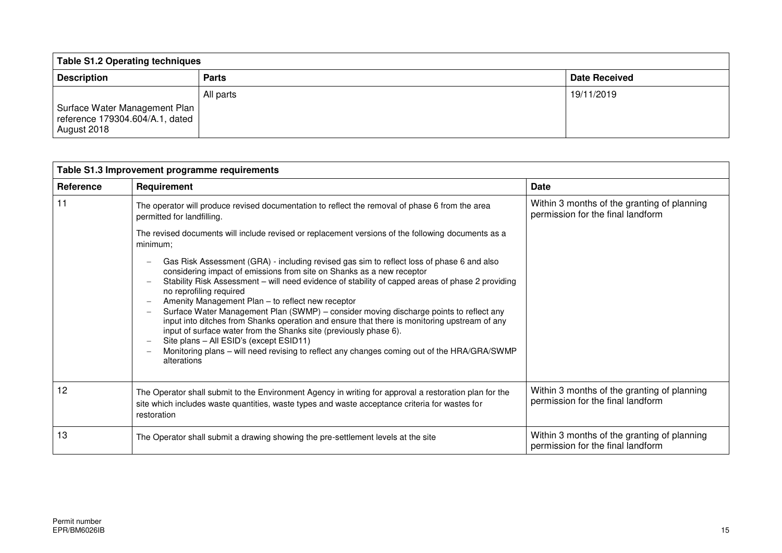| <b>Table S1.2 Operating techniques</b>                                          |              |                      |
|---------------------------------------------------------------------------------|--------------|----------------------|
| <b>Description</b>                                                              | <b>Parts</b> | <b>Date Received</b> |
| Surface Water Management Plan<br>reference 179304.604/A.1, dated<br>August 2018 | All parts    | 19/11/2019           |

| Table S1.3 Improvement programme requirements |                                                                                                                                                                                                                                                                                                                                                                                                                                                                                                                                                                                                                                                                                                                                                                                                                                                                                                                            |                                                                                  |  |  |
|-----------------------------------------------|----------------------------------------------------------------------------------------------------------------------------------------------------------------------------------------------------------------------------------------------------------------------------------------------------------------------------------------------------------------------------------------------------------------------------------------------------------------------------------------------------------------------------------------------------------------------------------------------------------------------------------------------------------------------------------------------------------------------------------------------------------------------------------------------------------------------------------------------------------------------------------------------------------------------------|----------------------------------------------------------------------------------|--|--|
| Reference                                     | Requirement                                                                                                                                                                                                                                                                                                                                                                                                                                                                                                                                                                                                                                                                                                                                                                                                                                                                                                                | <b>Date</b>                                                                      |  |  |
| 11                                            | The operator will produce revised documentation to reflect the removal of phase 6 from the area<br>permitted for landfilling.                                                                                                                                                                                                                                                                                                                                                                                                                                                                                                                                                                                                                                                                                                                                                                                              | Within 3 months of the granting of planning<br>permission for the final landform |  |  |
|                                               | The revised documents will include revised or replacement versions of the following documents as a<br>minimum;                                                                                                                                                                                                                                                                                                                                                                                                                                                                                                                                                                                                                                                                                                                                                                                                             |                                                                                  |  |  |
|                                               | Gas Risk Assessment (GRA) - including revised gas sim to reflect loss of phase 6 and also<br>$\overline{\phantom{m}}$<br>considering impact of emissions from site on Shanks as a new receptor<br>Stability Risk Assessment - will need evidence of stability of capped areas of phase 2 providing<br>no reprofiling required<br>Amenity Management Plan - to reflect new receptor<br>$\overline{\phantom{m}}$<br>Surface Water Management Plan (SWMP) - consider moving discharge points to reflect any<br>$\overline{\phantom{m}}$<br>input into ditches from Shanks operation and ensure that there is monitoring upstream of any<br>input of surface water from the Shanks site (previously phase 6).<br>Site plans - All ESID's (except ESID11)<br>$\overline{\phantom{m}}$<br>Monitoring plans - will need revising to reflect any changes coming out of the HRA/GRA/SWMP<br>$\overline{\phantom{a}}$<br>alterations |                                                                                  |  |  |
| 12                                            | The Operator shall submit to the Environment Agency in writing for approval a restoration plan for the<br>site which includes waste quantities, waste types and waste acceptance criteria for wastes for<br>restoration                                                                                                                                                                                                                                                                                                                                                                                                                                                                                                                                                                                                                                                                                                    | Within 3 months of the granting of planning<br>permission for the final landform |  |  |
| 13                                            | The Operator shall submit a drawing showing the pre-settlement levels at the site                                                                                                                                                                                                                                                                                                                                                                                                                                                                                                                                                                                                                                                                                                                                                                                                                                          | Within 3 months of the granting of planning<br>permission for the final landform |  |  |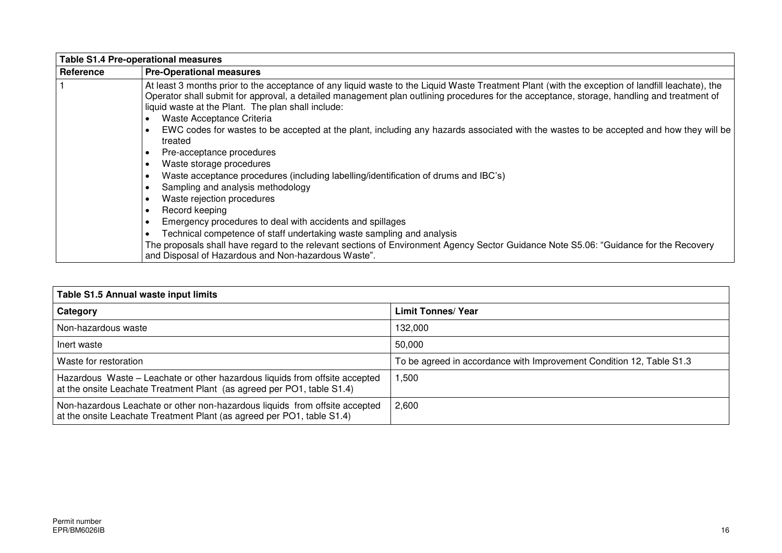|           | <b>Table S1.4 Pre-operational measures</b>                                                                                                                                                                                                                                                                                                           |  |  |  |
|-----------|------------------------------------------------------------------------------------------------------------------------------------------------------------------------------------------------------------------------------------------------------------------------------------------------------------------------------------------------------|--|--|--|
| Reference | <b>Pre-Operational measures</b>                                                                                                                                                                                                                                                                                                                      |  |  |  |
|           | At least 3 months prior to the acceptance of any liquid waste to the Liquid Waste Treatment Plant (with the exception of landfill leachate), the<br>Operator shall submit for approval, a detailed management plan outlining procedures for the acceptance, storage, handling and treatment of<br>liquid waste at the Plant. The plan shall include: |  |  |  |
|           | Waste Acceptance Criteria                                                                                                                                                                                                                                                                                                                            |  |  |  |
|           | EWC codes for wastes to be accepted at the plant, including any hazards associated with the wastes to be accepted and how they will be<br>treated                                                                                                                                                                                                    |  |  |  |
|           | Pre-acceptance procedures                                                                                                                                                                                                                                                                                                                            |  |  |  |
|           | Waste storage procedures                                                                                                                                                                                                                                                                                                                             |  |  |  |
|           | Waste acceptance procedures (including labelling/identification of drums and IBC's)                                                                                                                                                                                                                                                                  |  |  |  |
|           | Sampling and analysis methodology                                                                                                                                                                                                                                                                                                                    |  |  |  |
|           | Waste rejection procedures                                                                                                                                                                                                                                                                                                                           |  |  |  |
|           | Record keeping                                                                                                                                                                                                                                                                                                                                       |  |  |  |
|           | Emergency procedures to deal with accidents and spillages                                                                                                                                                                                                                                                                                            |  |  |  |
|           | Technical competence of staff undertaking waste sampling and analysis                                                                                                                                                                                                                                                                                |  |  |  |
|           | The proposals shall have regard to the relevant sections of Environment Agency Sector Guidance Note S5.06: "Guidance for the Recovery<br>and Disposal of Hazardous and Non-hazardous Waste".                                                                                                                                                         |  |  |  |

| Table S1.5 Annual waste input limits                                                                                                                  |                                                                      |
|-------------------------------------------------------------------------------------------------------------------------------------------------------|----------------------------------------------------------------------|
| Category                                                                                                                                              | <b>Limit Tonnes/ Year</b>                                            |
| Non-hazardous waste                                                                                                                                   | 132,000                                                              |
| Inert waste                                                                                                                                           | 50,000                                                               |
| Waste for restoration                                                                                                                                 | To be agreed in accordance with Improvement Condition 12, Table S1.3 |
| Hazardous Waste - Leachate or other hazardous liquids from offsite accepted<br>at the onsite Leachate Treatment Plant (as agreed per PO1, table S1.4) | ,500                                                                 |
| Non-hazardous Leachate or other non-hazardous liquids from offsite accepted<br>at the onsite Leachate Treatment Plant (as agreed per PO1, table S1.4) | 2,600                                                                |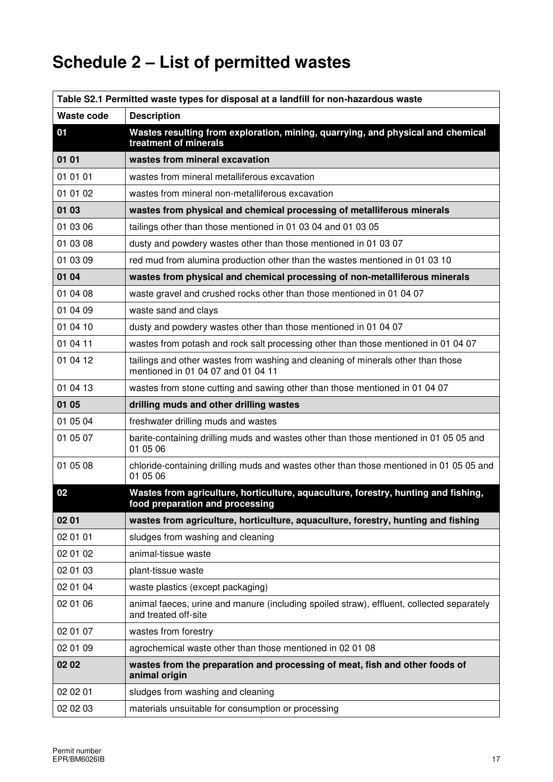# **Schedule 2 – List of permitted wastes**

| Table S2.1 Permitted waste types for disposal at a landfill for non-hazardous waste |                                                                                                                        |  |
|-------------------------------------------------------------------------------------|------------------------------------------------------------------------------------------------------------------------|--|
| Waste code                                                                          | <b>Description</b>                                                                                                     |  |
| 01                                                                                  | Wastes resulting from exploration, mining, quarrying, and physical and chemical<br>treatment of minerals               |  |
| 01 01                                                                               | wastes from mineral excavation                                                                                         |  |
| 01 01 01                                                                            | wastes from mineral metalliferous excavation                                                                           |  |
| 01 01 02                                                                            | wastes from mineral non-metalliferous excavation                                                                       |  |
| 01 03                                                                               | wastes from physical and chemical processing of metalliferous minerals                                                 |  |
| 01 03 06                                                                            | tailings other than those mentioned in 01 03 04 and 01 03 05                                                           |  |
| 01 03 08                                                                            | dusty and powdery wastes other than those mentioned in 01 03 07                                                        |  |
| 01 03 09                                                                            | red mud from alumina production other than the wastes mentioned in 01 03 10                                            |  |
| 01 04                                                                               | wastes from physical and chemical processing of non-metalliferous minerals                                             |  |
| 01 04 08                                                                            | waste gravel and crushed rocks other than those mentioned in 01 04 07                                                  |  |
| 01 04 09                                                                            | waste sand and clays                                                                                                   |  |
| 01 04 10                                                                            | dusty and powdery wastes other than those mentioned in 01 04 07                                                        |  |
| 01 04 11                                                                            | wastes from potash and rock salt processing other than those mentioned in 01 04 07                                     |  |
| 01 04 12                                                                            | tailings and other wastes from washing and cleaning of minerals other than those<br>mentioned in 01 04 07 and 01 04 11 |  |
| 01 04 13                                                                            | wastes from stone cutting and sawing other than those mentioned in 01 04 07                                            |  |
| 01 05                                                                               | drilling muds and other drilling wastes                                                                                |  |
| 01 05 04                                                                            | freshwater drilling muds and wastes                                                                                    |  |
| 01 05 07                                                                            | barite-containing drilling muds and wastes other than those mentioned in 01 05 05 and<br>01 05 06                      |  |
| 01 05 08                                                                            | chloride-containing drilling muds and wastes other than those mentioned in 01 05 05 and<br>01 05 06                    |  |
| 02                                                                                  | Wastes from agriculture, horticulture, aquaculture, forestry, hunting and fishing,<br>food preparation and processing  |  |
| 02 01                                                                               | wastes from agriculture, horticulture, aquaculture, forestry, hunting and fishing                                      |  |
| 02 01 01                                                                            | sludges from washing and cleaning                                                                                      |  |
| 02 01 02                                                                            | animal-tissue waste                                                                                                    |  |
| 02 01 03                                                                            | plant-tissue waste                                                                                                     |  |
| 02 01 04                                                                            | waste plastics (except packaging)                                                                                      |  |
| 02 01 06                                                                            | animal faeces, urine and manure (including spoiled straw), effluent, collected separately<br>and treated off-site      |  |
| 02 01 07                                                                            | wastes from forestry                                                                                                   |  |
| 02 01 09                                                                            | agrochemical waste other than those mentioned in 02 01 08                                                              |  |
| 02 02                                                                               | wastes from the preparation and processing of meat, fish and other foods of<br>animal origin                           |  |
| 02 02 01                                                                            | sludges from washing and cleaning                                                                                      |  |
| 02 02 03                                                                            | materials unsuitable for consumption or processing                                                                     |  |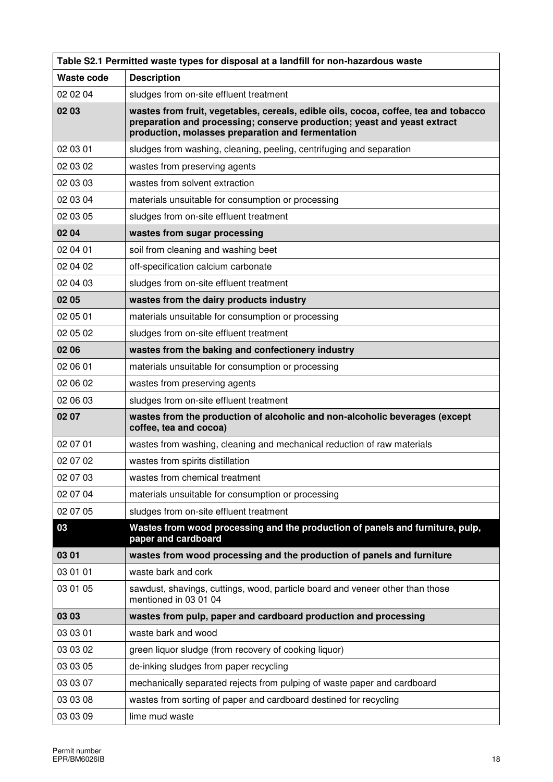| Table S2.1 Permitted waste types for disposal at a landfill for non-hazardous waste |                                                                                                                                                                                                                      |  |
|-------------------------------------------------------------------------------------|----------------------------------------------------------------------------------------------------------------------------------------------------------------------------------------------------------------------|--|
| Waste code                                                                          | <b>Description</b>                                                                                                                                                                                                   |  |
| 02 02 04                                                                            | sludges from on-site effluent treatment                                                                                                                                                                              |  |
| 02 03                                                                               | wastes from fruit, vegetables, cereals, edible oils, cocoa, coffee, tea and tobacco<br>preparation and processing; conserve production; yeast and yeast extract<br>production, molasses preparation and fermentation |  |
| 02 03 01                                                                            | sludges from washing, cleaning, peeling, centrifuging and separation                                                                                                                                                 |  |
| 02 03 02                                                                            | wastes from preserving agents                                                                                                                                                                                        |  |
| 02 03 03                                                                            | wastes from solvent extraction                                                                                                                                                                                       |  |
| 02 03 04                                                                            | materials unsuitable for consumption or processing                                                                                                                                                                   |  |
| 02 03 05                                                                            | sludges from on-site effluent treatment                                                                                                                                                                              |  |
| 02 04                                                                               | wastes from sugar processing                                                                                                                                                                                         |  |
| 02 04 01                                                                            | soil from cleaning and washing beet                                                                                                                                                                                  |  |
| 02 04 02                                                                            | off-specification calcium carbonate                                                                                                                                                                                  |  |
| 02 04 03                                                                            | sludges from on-site effluent treatment                                                                                                                                                                              |  |
| 02 05                                                                               | wastes from the dairy products industry                                                                                                                                                                              |  |
| 02 05 01                                                                            | materials unsuitable for consumption or processing                                                                                                                                                                   |  |
| 02 05 02                                                                            | sludges from on-site effluent treatment                                                                                                                                                                              |  |
| 02 06                                                                               | wastes from the baking and confectionery industry                                                                                                                                                                    |  |
| 02 06 01                                                                            | materials unsuitable for consumption or processing                                                                                                                                                                   |  |
| 02 06 02                                                                            | wastes from preserving agents                                                                                                                                                                                        |  |
| 02 06 03                                                                            | sludges from on-site effluent treatment                                                                                                                                                                              |  |
| 02 07                                                                               | wastes from the production of alcoholic and non-alcoholic beverages (except<br>coffee, tea and cocoa)                                                                                                                |  |
| 02 07 01                                                                            | wastes from washing, cleaning and mechanical reduction of raw materials                                                                                                                                              |  |
| 02 07 02                                                                            | wastes from spirits distillation                                                                                                                                                                                     |  |
| 02 07 03                                                                            | wastes from chemical treatment                                                                                                                                                                                       |  |
| 02 07 04                                                                            | materials unsuitable for consumption or processing                                                                                                                                                                   |  |
| 02 07 05                                                                            | sludges from on-site effluent treatment                                                                                                                                                                              |  |
| 03                                                                                  | Wastes from wood processing and the production of panels and furniture, pulp,<br>paper and cardboard                                                                                                                 |  |
| 03 01                                                                               | wastes from wood processing and the production of panels and furniture                                                                                                                                               |  |
| 03 01 01                                                                            | waste bark and cork                                                                                                                                                                                                  |  |
| 03 01 05                                                                            | sawdust, shavings, cuttings, wood, particle board and veneer other than those<br>mentioned in 03 01 04                                                                                                               |  |
| 03 03                                                                               | wastes from pulp, paper and cardboard production and processing                                                                                                                                                      |  |
| 03 03 01                                                                            | waste bark and wood                                                                                                                                                                                                  |  |
| 03 03 02                                                                            | green liquor sludge (from recovery of cooking liquor)                                                                                                                                                                |  |
| 03 03 05                                                                            | de-inking sludges from paper recycling                                                                                                                                                                               |  |
| 03 03 07                                                                            | mechanically separated rejects from pulping of waste paper and cardboard                                                                                                                                             |  |
| 03 03 08                                                                            | wastes from sorting of paper and cardboard destined for recycling                                                                                                                                                    |  |
| 03 03 09                                                                            | lime mud waste                                                                                                                                                                                                       |  |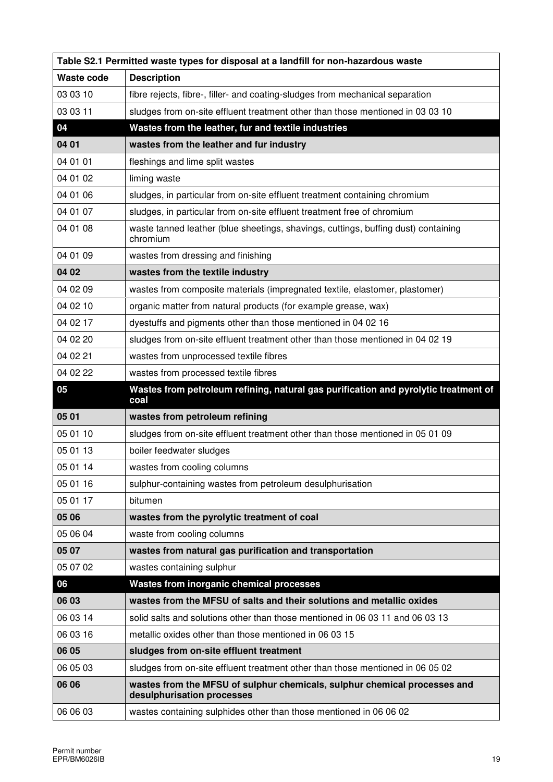| Table S2.1 Permitted waste types for disposal at a landfill for non-hazardous waste |                                                                                                         |  |
|-------------------------------------------------------------------------------------|---------------------------------------------------------------------------------------------------------|--|
| Waste code                                                                          | <b>Description</b>                                                                                      |  |
| 03 03 10                                                                            | fibre rejects, fibre-, filler- and coating-sludges from mechanical separation                           |  |
| 03 03 11                                                                            | sludges from on-site effluent treatment other than those mentioned in 03 03 10                          |  |
| 04                                                                                  | Wastes from the leather, fur and textile industries                                                     |  |
| 04 01                                                                               | wastes from the leather and fur industry                                                                |  |
| 04 01 01                                                                            | fleshings and lime split wastes                                                                         |  |
| 04 01 02                                                                            | liming waste                                                                                            |  |
| 04 01 06                                                                            | sludges, in particular from on-site effluent treatment containing chromium                              |  |
| 04 01 07                                                                            | sludges, in particular from on-site effluent treatment free of chromium                                 |  |
| 04 01 08                                                                            | waste tanned leather (blue sheetings, shavings, cuttings, buffing dust) containing<br>chromium          |  |
| 04 01 09                                                                            | wastes from dressing and finishing                                                                      |  |
| 04 02                                                                               | wastes from the textile industry                                                                        |  |
| 04 02 09                                                                            | wastes from composite materials (impregnated textile, elastomer, plastomer)                             |  |
| 04 02 10                                                                            | organic matter from natural products (for example grease, wax)                                          |  |
| 04 02 17                                                                            | dyestuffs and pigments other than those mentioned in 04 02 16                                           |  |
| 04 02 20                                                                            | sludges from on-site effluent treatment other than those mentioned in 04 02 19                          |  |
| 04 02 21                                                                            | wastes from unprocessed textile fibres                                                                  |  |
| 04 02 22                                                                            | wastes from processed textile fibres                                                                    |  |
| 05                                                                                  | Wastes from petroleum refining, natural gas purification and pyrolytic treatment of<br>coal             |  |
| 05 01                                                                               | wastes from petroleum refining                                                                          |  |
|                                                                                     |                                                                                                         |  |
| 05 01 10                                                                            | sludges from on-site effluent treatment other than those mentioned in 05 01 09                          |  |
| 05 01 13                                                                            | boiler feedwater sludges                                                                                |  |
| 05 01 14                                                                            | wastes from cooling columns                                                                             |  |
| 05 01 16                                                                            | sulphur-containing wastes from petroleum desulphurisation                                               |  |
| 05 01 17                                                                            | bitumen                                                                                                 |  |
| 05 06                                                                               | wastes from the pyrolytic treatment of coal                                                             |  |
| 05 06 04                                                                            | waste from cooling columns                                                                              |  |
| 05 07                                                                               | wastes from natural gas purification and transportation                                                 |  |
| 05 07 02                                                                            | wastes containing sulphur                                                                               |  |
| 06                                                                                  | Wastes from inorganic chemical processes                                                                |  |
| 06 03                                                                               | wastes from the MFSU of salts and their solutions and metallic oxides                                   |  |
| 06 03 14                                                                            | solid salts and solutions other than those mentioned in 06 03 11 and 06 03 13                           |  |
| 06 03 16                                                                            | metallic oxides other than those mentioned in 06 03 15                                                  |  |
| 06 05                                                                               | sludges from on-site effluent treatment                                                                 |  |
| 06 05 03                                                                            | sludges from on-site effluent treatment other than those mentioned in 06 05 02                          |  |
| 06 06                                                                               | wastes from the MFSU of sulphur chemicals, sulphur chemical processes and<br>desulphurisation processes |  |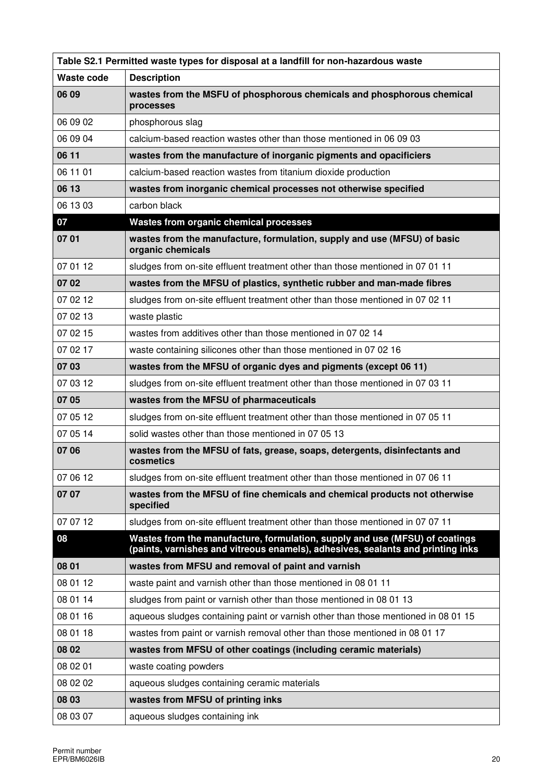| Table S2.1 Permitted waste types for disposal at a landfill for non-hazardous waste |                                                                                                                                                                |  |
|-------------------------------------------------------------------------------------|----------------------------------------------------------------------------------------------------------------------------------------------------------------|--|
| <b>Waste code</b>                                                                   | <b>Description</b>                                                                                                                                             |  |
| 06 09                                                                               | wastes from the MSFU of phosphorous chemicals and phosphorous chemical<br>processes                                                                            |  |
| 06 09 02                                                                            | phosphorous slag                                                                                                                                               |  |
| 06 09 04                                                                            | calcium-based reaction wastes other than those mentioned in 06 09 03                                                                                           |  |
| 06 11                                                                               | wastes from the manufacture of inorganic pigments and opacificiers                                                                                             |  |
| 06 11 01                                                                            | calcium-based reaction wastes from titanium dioxide production                                                                                                 |  |
| 06 13                                                                               | wastes from inorganic chemical processes not otherwise specified                                                                                               |  |
| 06 13 03                                                                            | carbon black                                                                                                                                                   |  |
| 07                                                                                  | Wastes from organic chemical processes                                                                                                                         |  |
| 07 01                                                                               | wastes from the manufacture, formulation, supply and use (MFSU) of basic<br>organic chemicals                                                                  |  |
| 07 01 12                                                                            | sludges from on-site effluent treatment other than those mentioned in 07 01 11                                                                                 |  |
| 0702                                                                                | wastes from the MFSU of plastics, synthetic rubber and man-made fibres                                                                                         |  |
| 07 02 12                                                                            | sludges from on-site effluent treatment other than those mentioned in 07 02 11                                                                                 |  |
| 07 02 13                                                                            | waste plastic                                                                                                                                                  |  |
| 07 02 15                                                                            | wastes from additives other than those mentioned in 07 02 14                                                                                                   |  |
| 07 02 17                                                                            | waste containing silicones other than those mentioned in 07 02 16                                                                                              |  |
| 07 03                                                                               | wastes from the MFSU of organic dyes and pigments (except 06 11)                                                                                               |  |
| 07 03 12                                                                            | sludges from on-site effluent treatment other than those mentioned in 07 03 11                                                                                 |  |
| 07 05                                                                               | wastes from the MFSU of pharmaceuticals                                                                                                                        |  |
| 07 05 12                                                                            | sludges from on-site effluent treatment other than those mentioned in 07 05 11                                                                                 |  |
| 07 05 14                                                                            | solid wastes other than those mentioned in 07 05 13                                                                                                            |  |
| 07 06                                                                               | wastes from the MFSU of fats, grease, soaps, detergents, disinfectants and<br>cosmetics                                                                        |  |
| 07 06 12                                                                            | sludges from on-site effluent treatment other than those mentioned in 07 06 11                                                                                 |  |
| 07 07                                                                               | wastes from the MFSU of fine chemicals and chemical products not otherwise<br>specified                                                                        |  |
| 07 07 12                                                                            | sludges from on-site effluent treatment other than those mentioned in 07 07 11                                                                                 |  |
| 08                                                                                  | Wastes from the manufacture, formulation, supply and use (MFSU) of coatings<br>(paints, varnishes and vitreous enamels), adhesives, sealants and printing inks |  |
| 08 01                                                                               | wastes from MFSU and removal of paint and varnish                                                                                                              |  |
| 08 01 12                                                                            | waste paint and varnish other than those mentioned in 08 01 11                                                                                                 |  |
| 08 01 14                                                                            | sludges from paint or varnish other than those mentioned in 08 01 13                                                                                           |  |
| 08 01 16                                                                            | aqueous sludges containing paint or varnish other than those mentioned in 08 01 15                                                                             |  |
| 08 01 18                                                                            | wastes from paint or varnish removal other than those mentioned in 08 01 17                                                                                    |  |
| 08 02                                                                               | wastes from MFSU of other coatings (including ceramic materials)                                                                                               |  |
| 08 02 01                                                                            | waste coating powders                                                                                                                                          |  |
| 08 02 02                                                                            | aqueous sludges containing ceramic materials                                                                                                                   |  |
| 08 03                                                                               | wastes from MFSU of printing inks                                                                                                                              |  |
| 08 03 07                                                                            | aqueous sludges containing ink                                                                                                                                 |  |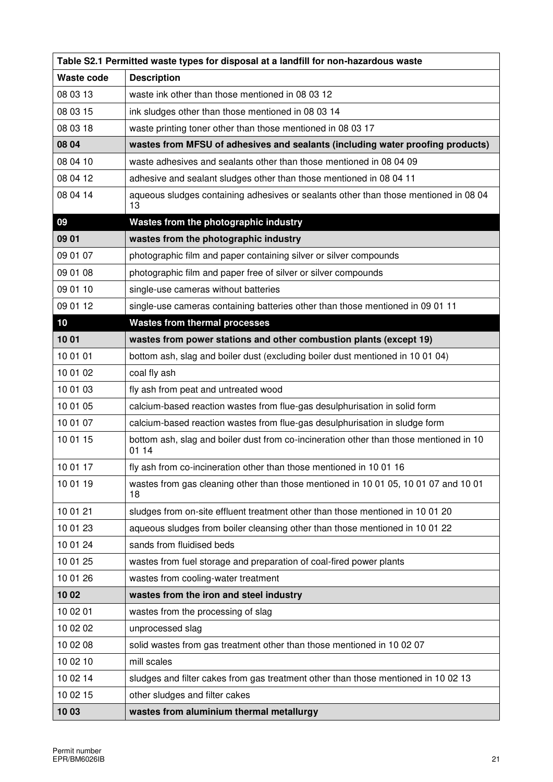| Table S2.1 Permitted waste types for disposal at a landfill for non-hazardous waste |                                                                                                 |  |
|-------------------------------------------------------------------------------------|-------------------------------------------------------------------------------------------------|--|
| <b>Waste code</b>                                                                   | <b>Description</b>                                                                              |  |
| 08 03 13                                                                            | waste ink other than those mentioned in 08 03 12                                                |  |
| 08 03 15                                                                            | ink sludges other than those mentioned in 08 03 14                                              |  |
| 08 03 18                                                                            | waste printing toner other than those mentioned in 08 03 17                                     |  |
| 08 04                                                                               | wastes from MFSU of adhesives and sealants (including water proofing products)                  |  |
| 08 04 10                                                                            | waste adhesives and sealants other than those mentioned in 08 04 09                             |  |
| 08 04 12                                                                            | adhesive and sealant sludges other than those mentioned in 08 04 11                             |  |
| 08 04 14                                                                            | aqueous sludges containing adhesives or sealants other than those mentioned in 08 04<br>13      |  |
| 09                                                                                  | Wastes from the photographic industry                                                           |  |
| 09 01                                                                               | wastes from the photographic industry                                                           |  |
| 09 01 07                                                                            | photographic film and paper containing silver or silver compounds                               |  |
| 09 01 08                                                                            | photographic film and paper free of silver or silver compounds                                  |  |
| 09 01 10                                                                            | single-use cameras without batteries                                                            |  |
| 09 01 12                                                                            | single-use cameras containing batteries other than those mentioned in 09 01 11                  |  |
| 10                                                                                  | <b>Wastes from thermal processes</b>                                                            |  |
| 1001                                                                                | wastes from power stations and other combustion plants (except 19)                              |  |
| 10 01 01                                                                            | bottom ash, slag and boiler dust (excluding boiler dust mentioned in 10 01 04)                  |  |
| 10 01 02                                                                            | coal fly ash                                                                                    |  |
| 10 01 03                                                                            | fly ash from peat and untreated wood                                                            |  |
| 10 01 05                                                                            | calcium-based reaction wastes from flue-gas desulphurisation in solid form                      |  |
| 10 01 07                                                                            | calcium-based reaction wastes from flue-gas desulphurisation in sludge form                     |  |
| 10 01 15                                                                            | bottom ash, slag and boiler dust from co-incineration other than those mentioned in 10<br>01 14 |  |
| 10 01 17                                                                            | fly ash from co-incineration other than those mentioned in 10 01 16                             |  |
| 10 01 19                                                                            | wastes from gas cleaning other than those mentioned in 10 01 05, 10 01 07 and 10 01<br>18       |  |
| 10 01 21                                                                            | sludges from on-site effluent treatment other than those mentioned in 10 01 20                  |  |
| 10 01 23                                                                            | aqueous sludges from boiler cleansing other than those mentioned in 10 01 22                    |  |
| 10 01 24                                                                            | sands from fluidised beds                                                                       |  |
| 10 01 25                                                                            | wastes from fuel storage and preparation of coal-fired power plants                             |  |
| 10 01 26                                                                            | wastes from cooling-water treatment                                                             |  |
| 1002                                                                                | wastes from the iron and steel industry                                                         |  |
| 10 02 01                                                                            | wastes from the processing of slag                                                              |  |
| 10 02 02                                                                            | unprocessed slag                                                                                |  |
| 10 02 08                                                                            | solid wastes from gas treatment other than those mentioned in 10 02 07                          |  |
| 10 02 10                                                                            | mill scales                                                                                     |  |
| 10 02 14                                                                            | sludges and filter cakes from gas treatment other than those mentioned in 10 02 13              |  |
| 10 02 15                                                                            | other sludges and filter cakes                                                                  |  |
| 1003                                                                                | wastes from aluminium thermal metallurgy                                                        |  |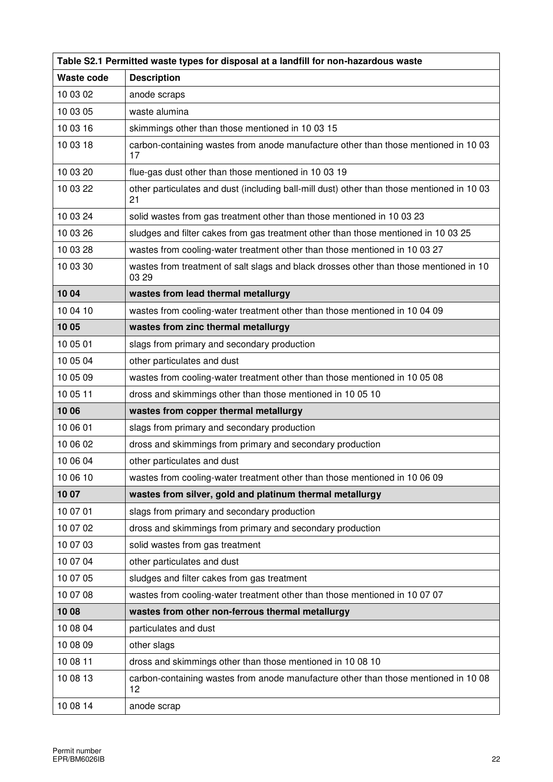| Table S2.1 Permitted waste types for disposal at a landfill for non-hazardous waste |                                                                                                  |  |
|-------------------------------------------------------------------------------------|--------------------------------------------------------------------------------------------------|--|
| Waste code                                                                          | <b>Description</b>                                                                               |  |
| 10 03 02                                                                            | anode scraps                                                                                     |  |
| 10 03 05                                                                            | waste alumina                                                                                    |  |
| 10 03 16                                                                            | skimmings other than those mentioned in 10 03 15                                                 |  |
| 10 03 18                                                                            | carbon-containing wastes from anode manufacture other than those mentioned in 10 03<br>17        |  |
| 10 03 20                                                                            | flue-gas dust other than those mentioned in 10 03 19                                             |  |
| 10 03 22                                                                            | other particulates and dust (including ball-mill dust) other than those mentioned in 10 03<br>21 |  |
| 10 03 24                                                                            | solid wastes from gas treatment other than those mentioned in 10 03 23                           |  |
| 10 03 26                                                                            | sludges and filter cakes from gas treatment other than those mentioned in 10 03 25               |  |
| 10 03 28                                                                            | wastes from cooling-water treatment other than those mentioned in 10 03 27                       |  |
| 10 03 30                                                                            | wastes from treatment of salt slags and black drosses other than those mentioned in 10<br>03 29  |  |
| 1004                                                                                | wastes from lead thermal metallurgy                                                              |  |
| 10 04 10                                                                            | wastes from cooling-water treatment other than those mentioned in 10 04 09                       |  |
| 1005                                                                                | wastes from zinc thermal metallurgy                                                              |  |
| 10 05 01                                                                            | slags from primary and secondary production                                                      |  |
| 10 05 04                                                                            | other particulates and dust                                                                      |  |
| 10 05 09                                                                            | wastes from cooling-water treatment other than those mentioned in 10 05 08                       |  |
| 10 05 11                                                                            | dross and skimmings other than those mentioned in 10 05 10                                       |  |
| 1006                                                                                | wastes from copper thermal metallurgy                                                            |  |
| 10 06 01                                                                            | slags from primary and secondary production                                                      |  |
| 10 06 02                                                                            | dross and skimmings from primary and secondary production                                        |  |
| 10 06 04                                                                            | other particulates and dust                                                                      |  |
| 10 06 10                                                                            | wastes from cooling-water treatment other than those mentioned in 10 06 09                       |  |
| 1007                                                                                | wastes from silver, gold and platinum thermal metallurgy                                         |  |
| 10 07 01                                                                            | slags from primary and secondary production                                                      |  |
| 10 07 02                                                                            | dross and skimmings from primary and secondary production                                        |  |
| 10 07 03                                                                            | solid wastes from gas treatment                                                                  |  |
| 10 07 04                                                                            | other particulates and dust                                                                      |  |
| 10 07 05                                                                            | sludges and filter cakes from gas treatment                                                      |  |
| 10 07 08                                                                            | wastes from cooling-water treatment other than those mentioned in 10 07 07                       |  |
| 1008                                                                                | wastes from other non-ferrous thermal metallurgy                                                 |  |
| 10 08 04                                                                            | particulates and dust                                                                            |  |
| 10 08 09                                                                            | other slags                                                                                      |  |
| 10 08 11                                                                            | dross and skimmings other than those mentioned in 10 08 10                                       |  |
| 10 08 13                                                                            | carbon-containing wastes from anode manufacture other than those mentioned in 10 08<br>12        |  |
| 10 08 14                                                                            | anode scrap                                                                                      |  |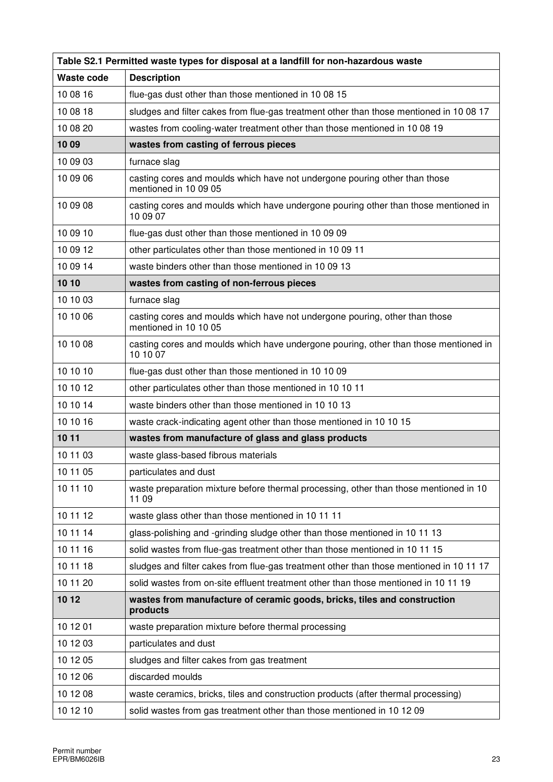| Table S2.1 Permitted waste types for disposal at a landfill for non-hazardous waste |                                                                                                      |
|-------------------------------------------------------------------------------------|------------------------------------------------------------------------------------------------------|
| Waste code                                                                          | <b>Description</b>                                                                                   |
| 10 08 16                                                                            | flue-gas dust other than those mentioned in 10 08 15                                                 |
| 10 08 18                                                                            | sludges and filter cakes from flue-gas treatment other than those mentioned in 10 08 17              |
| 10 08 20                                                                            | wastes from cooling-water treatment other than those mentioned in 10 08 19                           |
| 1009                                                                                | wastes from casting of ferrous pieces                                                                |
| 10 09 03                                                                            | furnace slag                                                                                         |
| 10 09 06                                                                            | casting cores and moulds which have not undergone pouring other than those<br>mentioned in 10 09 05  |
| 10 09 08                                                                            | casting cores and moulds which have undergone pouring other than those mentioned in<br>10 09 07      |
| 10 09 10                                                                            | flue-gas dust other than those mentioned in 10 09 09                                                 |
| 10 09 12                                                                            | other particulates other than those mentioned in 10 09 11                                            |
| 10 09 14                                                                            | waste binders other than those mentioned in 10 09 13                                                 |
| 10 10                                                                               | wastes from casting of non-ferrous pieces                                                            |
| 10 10 03                                                                            | furnace slag                                                                                         |
| 10 10 06                                                                            | casting cores and moulds which have not undergone pouring, other than those<br>mentioned in 10 10 05 |
| 10 10 08                                                                            | casting cores and moulds which have undergone pouring, other than those mentioned in<br>10 10 07     |
| 10 10 10                                                                            | flue-gas dust other than those mentioned in 10 10 09                                                 |
| 10 10 12                                                                            | other particulates other than those mentioned in 10 10 11                                            |
| 10 10 14                                                                            | waste binders other than those mentioned in 10 10 13                                                 |
| 10 10 16                                                                            | waste crack-indicating agent other than those mentioned in 10 10 15                                  |
| 10 11                                                                               | wastes from manufacture of glass and glass products                                                  |
| 10 11 03                                                                            | waste glass-based fibrous materials                                                                  |
| 10 11 05                                                                            | particulates and dust                                                                                |
| 10 11 10                                                                            | waste preparation mixture before thermal processing, other than those mentioned in 10<br>11 09       |
| 10 11 12                                                                            | waste glass other than those mentioned in 10 11 11                                                   |
| 10 11 14                                                                            | glass-polishing and -grinding sludge other than those mentioned in 10 11 13                          |
| 10 11 16                                                                            | solid wastes from flue-gas treatment other than those mentioned in 10 11 15                          |
| 10 11 18                                                                            | sludges and filter cakes from flue-gas treatment other than those mentioned in 10 11 17              |
| 10 11 20                                                                            | solid wastes from on-site effluent treatment other than those mentioned in 10 11 19                  |
| 10 12                                                                               | wastes from manufacture of ceramic goods, bricks, tiles and construction<br>products                 |
| 10 12 01                                                                            | waste preparation mixture before thermal processing                                                  |
| 10 12 03                                                                            | particulates and dust                                                                                |
| 10 12 05                                                                            | sludges and filter cakes from gas treatment                                                          |
| 10 12 06                                                                            | discarded moulds                                                                                     |
| 10 12 08                                                                            | waste ceramics, bricks, tiles and construction products (after thermal processing)                   |
| 10 12 10                                                                            | solid wastes from gas treatment other than those mentioned in 10 12 09                               |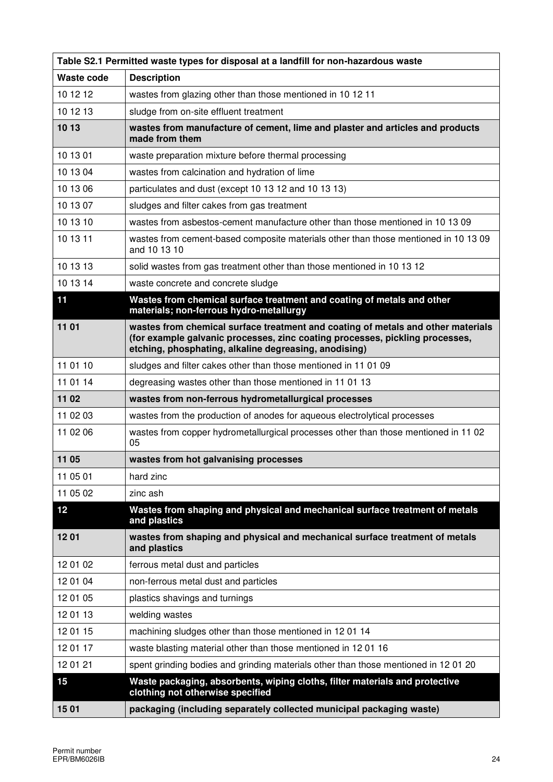| Table S2.1 Permitted waste types for disposal at a landfill for non-hazardous waste |                                                                                                                                                                                                                           |  |
|-------------------------------------------------------------------------------------|---------------------------------------------------------------------------------------------------------------------------------------------------------------------------------------------------------------------------|--|
| Waste code                                                                          | <b>Description</b>                                                                                                                                                                                                        |  |
| 10 12 12                                                                            | wastes from glazing other than those mentioned in 10 12 11                                                                                                                                                                |  |
| 10 12 13                                                                            | sludge from on-site effluent treatment                                                                                                                                                                                    |  |
| 10 13                                                                               | wastes from manufacture of cement, lime and plaster and articles and products<br>made from them                                                                                                                           |  |
| 10 13 01                                                                            | waste preparation mixture before thermal processing                                                                                                                                                                       |  |
| 10 13 04                                                                            | wastes from calcination and hydration of lime                                                                                                                                                                             |  |
| 10 13 06                                                                            | particulates and dust (except 10 13 12 and 10 13 13)                                                                                                                                                                      |  |
| 10 13 07                                                                            | sludges and filter cakes from gas treatment                                                                                                                                                                               |  |
| 10 13 10                                                                            | wastes from asbestos-cement manufacture other than those mentioned in 10 13 09                                                                                                                                            |  |
| 10 13 11                                                                            | wastes from cement-based composite materials other than those mentioned in 10 13 09<br>and 10 13 10                                                                                                                       |  |
| 10 13 13                                                                            | solid wastes from gas treatment other than those mentioned in 10 13 12                                                                                                                                                    |  |
| 10 13 14                                                                            | waste concrete and concrete sludge                                                                                                                                                                                        |  |
| 11                                                                                  | Wastes from chemical surface treatment and coating of metals and other<br>materials; non-ferrous hydro-metallurgy                                                                                                         |  |
| 11 01                                                                               | wastes from chemical surface treatment and coating of metals and other materials<br>(for example galvanic processes, zinc coating processes, pickling processes,<br>etching, phosphating, alkaline degreasing, anodising) |  |
| 11 01 10                                                                            | sludges and filter cakes other than those mentioned in 11 01 09                                                                                                                                                           |  |
| 11 01 14                                                                            | degreasing wastes other than those mentioned in 11 01 13                                                                                                                                                                  |  |
| 11 02                                                                               | wastes from non-ferrous hydrometallurgical processes                                                                                                                                                                      |  |
| 11 02 03                                                                            | wastes from the production of anodes for aqueous electrolytical processes                                                                                                                                                 |  |
| 11 02 06                                                                            | wastes from copper hydrometallurgical processes other than those mentioned in 1102<br>05                                                                                                                                  |  |
| 11 05                                                                               | wastes from hot galvanising processes                                                                                                                                                                                     |  |
| 11 05 01                                                                            | hard zinc                                                                                                                                                                                                                 |  |
| 11 05 02                                                                            | zinc ash                                                                                                                                                                                                                  |  |
| 12                                                                                  | Wastes from shaping and physical and mechanical surface treatment of metals<br>and plastics                                                                                                                               |  |
| 1201                                                                                | wastes from shaping and physical and mechanical surface treatment of metals<br>and plastics                                                                                                                               |  |
| 12 01 02                                                                            | ferrous metal dust and particles                                                                                                                                                                                          |  |
| 12 01 04                                                                            | non-ferrous metal dust and particles                                                                                                                                                                                      |  |
| 12 01 05                                                                            | plastics shavings and turnings                                                                                                                                                                                            |  |
| 12 01 13                                                                            | welding wastes                                                                                                                                                                                                            |  |
| 12 01 15                                                                            | machining sludges other than those mentioned in 1201 14                                                                                                                                                                   |  |
| 12 01 17                                                                            | waste blasting material other than those mentioned in 12 01 16                                                                                                                                                            |  |
| 12 01 21                                                                            | spent grinding bodies and grinding materials other than those mentioned in 12 01 20                                                                                                                                       |  |
| 15                                                                                  | Waste packaging, absorbents, wiping cloths, filter materials and protective<br>clothing not otherwise specified                                                                                                           |  |
| 1501                                                                                | packaging (including separately collected municipal packaging waste)                                                                                                                                                      |  |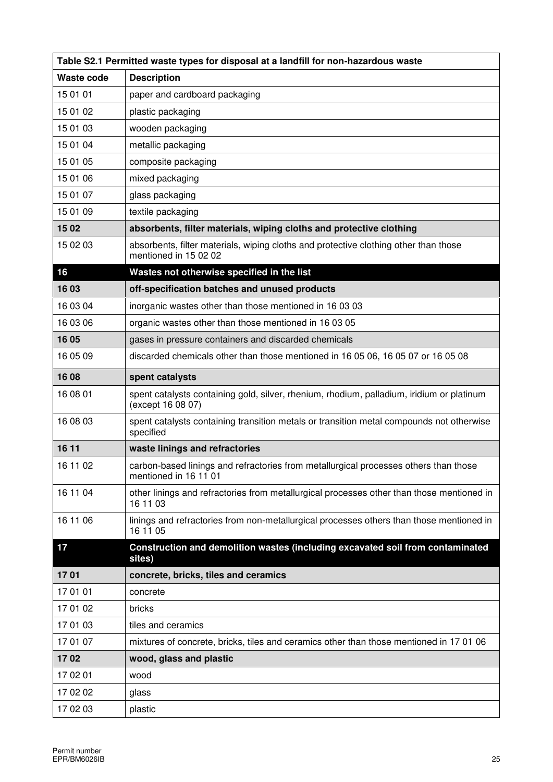| Table S2.1 Permitted waste types for disposal at a landfill for non-hazardous waste |                                                                                                                |  |
|-------------------------------------------------------------------------------------|----------------------------------------------------------------------------------------------------------------|--|
| <b>Waste code</b>                                                                   | <b>Description</b>                                                                                             |  |
| 15 01 01                                                                            | paper and cardboard packaging                                                                                  |  |
| 15 01 02                                                                            | plastic packaging                                                                                              |  |
| 15 01 03                                                                            | wooden packaging                                                                                               |  |
| 15 01 04                                                                            | metallic packaging                                                                                             |  |
| 15 01 05                                                                            | composite packaging                                                                                            |  |
| 15 01 06                                                                            | mixed packaging                                                                                                |  |
| 15 01 07                                                                            | glass packaging                                                                                                |  |
| 15 01 09                                                                            | textile packaging                                                                                              |  |
| 1502                                                                                | absorbents, filter materials, wiping cloths and protective clothing                                            |  |
| 15 02 03                                                                            | absorbents, filter materials, wiping cloths and protective clothing other than those<br>mentioned in 15 02 02  |  |
| 16                                                                                  | Wastes not otherwise specified in the list                                                                     |  |
| 1603                                                                                | off-specification batches and unused products                                                                  |  |
| 16 03 04                                                                            | inorganic wastes other than those mentioned in 16 03 03                                                        |  |
| 16 03 06                                                                            | organic wastes other than those mentioned in 16 03 05                                                          |  |
| 16 05                                                                               | gases in pressure containers and discarded chemicals                                                           |  |
| 16 05 09                                                                            | discarded chemicals other than those mentioned in 16 05 06, 16 05 07 or 16 05 08                               |  |
| 16 08                                                                               | spent catalysts                                                                                                |  |
| 16 08 01                                                                            | spent catalysts containing gold, silver, rhenium, rhodium, palladium, iridium or platinum<br>(except 16 08 07) |  |
| 16 08 03                                                                            | spent catalysts containing transition metals or transition metal compounds not otherwise<br>specified          |  |
| 16 11                                                                               | waste linings and refractories                                                                                 |  |
| 16 11 02                                                                            | carbon-based linings and refractories from metallurgical processes others than those<br>mentioned in 16 11 01  |  |
| 16 11 04                                                                            | other linings and refractories from metallurgical processes other than those mentioned in<br>16 11 03          |  |
| 16 11 06                                                                            | linings and refractories from non-metallurgical processes others than those mentioned in<br>16 11 05           |  |
| 17                                                                                  | Construction and demolition wastes (including excavated soil from contaminated<br>sites)                       |  |
| 1701                                                                                | concrete, bricks, tiles and ceramics                                                                           |  |
| 17 01 01                                                                            | concrete                                                                                                       |  |
| 17 01 02                                                                            | bricks                                                                                                         |  |
| 17 01 03                                                                            | tiles and ceramics                                                                                             |  |
| 17 01 07                                                                            | mixtures of concrete, bricks, tiles and ceramics other than those mentioned in 17 01 06                        |  |
| 1702                                                                                | wood, glass and plastic                                                                                        |  |
| 17 02 01                                                                            | wood                                                                                                           |  |
| 17 02 02                                                                            | glass                                                                                                          |  |
| 17 02 03                                                                            | plastic                                                                                                        |  |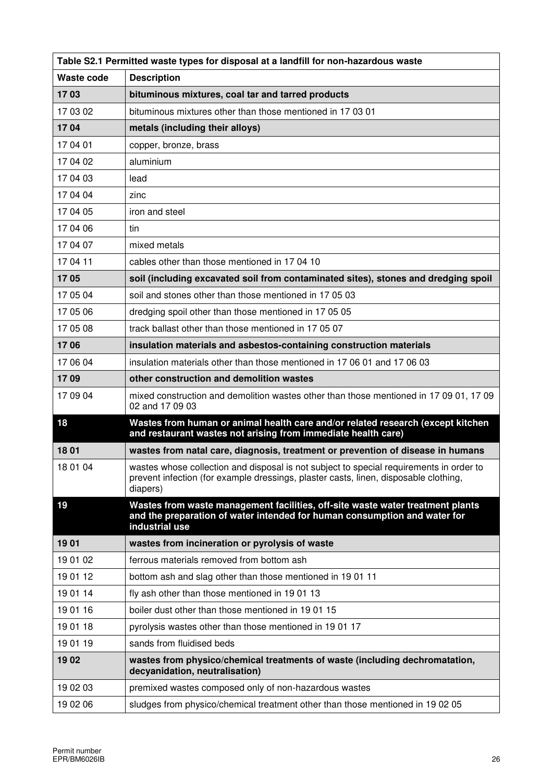| Table S2.1 Permitted waste types for disposal at a landfill for non-hazardous waste |                                                                                                                                                                                             |  |
|-------------------------------------------------------------------------------------|---------------------------------------------------------------------------------------------------------------------------------------------------------------------------------------------|--|
| <b>Waste code</b>                                                                   | <b>Description</b>                                                                                                                                                                          |  |
| 1703                                                                                | bituminous mixtures, coal tar and tarred products                                                                                                                                           |  |
| 17 03 02                                                                            | bituminous mixtures other than those mentioned in 17 03 01                                                                                                                                  |  |
| 1704                                                                                | metals (including their alloys)                                                                                                                                                             |  |
| 17 04 01                                                                            | copper, bronze, brass                                                                                                                                                                       |  |
| 17 04 02                                                                            | aluminium                                                                                                                                                                                   |  |
| 17 04 03                                                                            | lead                                                                                                                                                                                        |  |
| 17 04 04                                                                            | zinc                                                                                                                                                                                        |  |
| 17 04 05                                                                            | iron and steel                                                                                                                                                                              |  |
| 17 04 06                                                                            | tin                                                                                                                                                                                         |  |
| 17 04 07                                                                            | mixed metals                                                                                                                                                                                |  |
| 17 04 11                                                                            | cables other than those mentioned in 17 04 10                                                                                                                                               |  |
| 1705                                                                                | soil (including excavated soil from contaminated sites), stones and dredging spoil                                                                                                          |  |
| 17 05 04                                                                            | soil and stones other than those mentioned in 17 05 03                                                                                                                                      |  |
| 17 05 06                                                                            | dredging spoil other than those mentioned in 17 05 05                                                                                                                                       |  |
| 17 05 08                                                                            | track ballast other than those mentioned in 17 05 07                                                                                                                                        |  |
| 1706                                                                                | insulation materials and asbestos-containing construction materials                                                                                                                         |  |
| 17 06 04                                                                            | insulation materials other than those mentioned in 17 06 01 and 17 06 03                                                                                                                    |  |
| 1709                                                                                | other construction and demolition wastes                                                                                                                                                    |  |
| 17 09 04                                                                            | mixed construction and demolition wastes other than those mentioned in 17 09 01, 17 09<br>02 and 17 09 03                                                                                   |  |
| 18                                                                                  | Wastes from human or animal health care and/or related research (except kitchen<br>and restaurant wastes not arising from immediate health care)                                            |  |
| 1801                                                                                | wastes from natal care, diagnosis, treatment or prevention of disease in humans                                                                                                             |  |
| 18 01 04                                                                            | wastes whose collection and disposal is not subject to special requirements in order to<br>prevent infection (for example dressings, plaster casts, linen, disposable clothing,<br>diapers) |  |
| 19                                                                                  | Wastes from waste management facilities, off-site waste water treatment plants<br>and the preparation of water intended for human consumption and water for<br>industrial use               |  |
| 1901                                                                                | wastes from incineration or pyrolysis of waste                                                                                                                                              |  |
| 19 01 02                                                                            | ferrous materials removed from bottom ash                                                                                                                                                   |  |
| 19 01 12                                                                            | bottom ash and slag other than those mentioned in 1901 11                                                                                                                                   |  |
| 19 01 14                                                                            | fly ash other than those mentioned in 1901 13                                                                                                                                               |  |
| 19 01 16                                                                            | boiler dust other than those mentioned in 1901 15                                                                                                                                           |  |
| 19 01 18                                                                            | pyrolysis wastes other than those mentioned in 1901 17                                                                                                                                      |  |
| 19 01 19                                                                            | sands from fluidised beds                                                                                                                                                                   |  |
| 1902                                                                                | wastes from physico/chemical treatments of waste (including dechromatation,<br>decyanidation, neutralisation)                                                                               |  |
| 19 02 03                                                                            | premixed wastes composed only of non-hazardous wastes                                                                                                                                       |  |
| 19 02 06                                                                            | sludges from physico/chemical treatment other than those mentioned in 19 02 05                                                                                                              |  |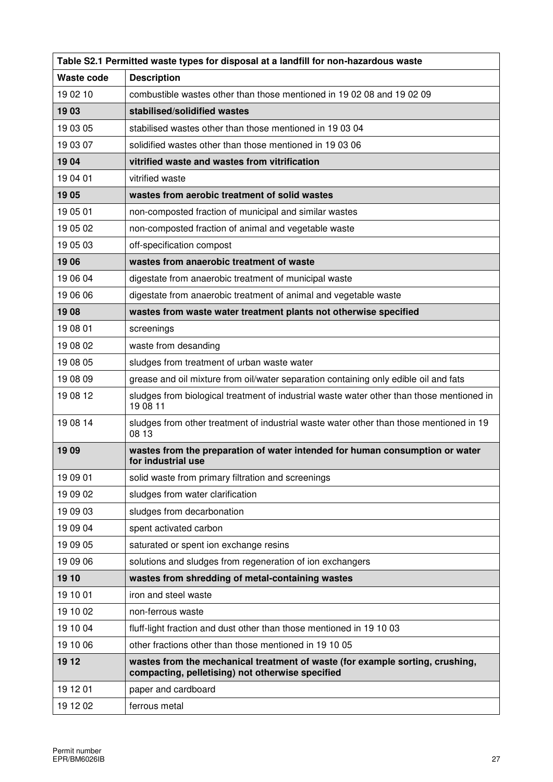| Table S2.1 Permitted waste types for disposal at a landfill for non-hazardous waste |                                                                                                                                   |  |
|-------------------------------------------------------------------------------------|-----------------------------------------------------------------------------------------------------------------------------------|--|
| <b>Waste code</b>                                                                   | <b>Description</b>                                                                                                                |  |
| 19 02 10                                                                            | combustible wastes other than those mentioned in 19 02 08 and 19 02 09                                                            |  |
| 1903                                                                                | stabilised/solidified wastes                                                                                                      |  |
| 19 03 05                                                                            | stabilised wastes other than those mentioned in 19 03 04                                                                          |  |
| 19 03 07                                                                            | solidified wastes other than those mentioned in 19 03 06                                                                          |  |
| 1904                                                                                | vitrified waste and wastes from vitrification                                                                                     |  |
| 19 04 01                                                                            | vitrified waste                                                                                                                   |  |
| 1905                                                                                | wastes from aerobic treatment of solid wastes                                                                                     |  |
| 19 05 01                                                                            | non-composted fraction of municipal and similar wastes                                                                            |  |
| 19 05 02                                                                            | non-composted fraction of animal and vegetable waste                                                                              |  |
| 19 05 03                                                                            | off-specification compost                                                                                                         |  |
| 1906                                                                                | wastes from anaerobic treatment of waste                                                                                          |  |
| 19 06 04                                                                            | digestate from anaerobic treatment of municipal waste                                                                             |  |
| 19 06 06                                                                            | digestate from anaerobic treatment of animal and vegetable waste                                                                  |  |
| 1908                                                                                | wastes from waste water treatment plants not otherwise specified                                                                  |  |
| 19 08 01                                                                            | screenings                                                                                                                        |  |
| 19 08 02                                                                            | waste from desanding                                                                                                              |  |
| 19 08 05                                                                            | sludges from treatment of urban waste water                                                                                       |  |
| 19 08 09                                                                            | grease and oil mixture from oil/water separation containing only edible oil and fats                                              |  |
| 19 08 12                                                                            | sludges from biological treatment of industrial waste water other than those mentioned in<br>19 08 11                             |  |
| 19 08 14                                                                            | sludges from other treatment of industrial waste water other than those mentioned in 19<br>08 13                                  |  |
| 1909                                                                                | wastes from the preparation of water intended for human consumption or water<br>for industrial use                                |  |
| 19 09 01                                                                            | solid waste from primary filtration and screenings                                                                                |  |
| 19 09 02                                                                            | sludges from water clarification                                                                                                  |  |
| 19 09 03                                                                            | sludges from decarbonation                                                                                                        |  |
| 19 09 04                                                                            | spent activated carbon                                                                                                            |  |
| 19 09 05                                                                            | saturated or spent ion exchange resins                                                                                            |  |
| 19 09 06                                                                            | solutions and sludges from regeneration of ion exchangers                                                                         |  |
| 19 10                                                                               | wastes from shredding of metal-containing wastes                                                                                  |  |
| 19 10 01                                                                            | iron and steel waste                                                                                                              |  |
| 19 10 02                                                                            | non-ferrous waste                                                                                                                 |  |
| 19 10 04                                                                            | fluff-light fraction and dust other than those mentioned in 19 10 03                                                              |  |
| 19 10 06                                                                            | other fractions other than those mentioned in 19 10 05                                                                            |  |
| 19 12                                                                               | wastes from the mechanical treatment of waste (for example sorting, crushing,<br>compacting, pelletising) not otherwise specified |  |
| 19 12 01                                                                            | paper and cardboard                                                                                                               |  |
| 19 12 02                                                                            | ferrous metal                                                                                                                     |  |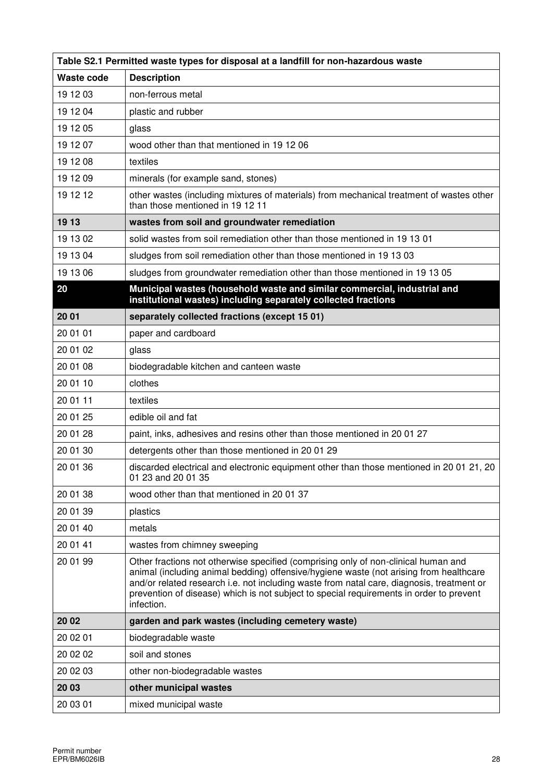| Table S2.1 Permitted waste types for disposal at a landfill for non-hazardous waste |                                                                                                                                                                                                                                                                                                                                                                                    |  |  |  |  |  |
|-------------------------------------------------------------------------------------|------------------------------------------------------------------------------------------------------------------------------------------------------------------------------------------------------------------------------------------------------------------------------------------------------------------------------------------------------------------------------------|--|--|--|--|--|
| Waste code                                                                          | <b>Description</b>                                                                                                                                                                                                                                                                                                                                                                 |  |  |  |  |  |
| 19 12 03                                                                            | non-ferrous metal                                                                                                                                                                                                                                                                                                                                                                  |  |  |  |  |  |
| 19 12 04                                                                            | plastic and rubber                                                                                                                                                                                                                                                                                                                                                                 |  |  |  |  |  |
| 19 12 05                                                                            | glass                                                                                                                                                                                                                                                                                                                                                                              |  |  |  |  |  |
| 19 12 07                                                                            | wood other than that mentioned in 19 12 06                                                                                                                                                                                                                                                                                                                                         |  |  |  |  |  |
| 19 12 08                                                                            | textiles                                                                                                                                                                                                                                                                                                                                                                           |  |  |  |  |  |
| 19 12 09                                                                            | minerals (for example sand, stones)                                                                                                                                                                                                                                                                                                                                                |  |  |  |  |  |
| 19 12 12                                                                            | other wastes (including mixtures of materials) from mechanical treatment of wastes other<br>than those mentioned in 19 12 11                                                                                                                                                                                                                                                       |  |  |  |  |  |
| 19 13                                                                               | wastes from soil and groundwater remediation                                                                                                                                                                                                                                                                                                                                       |  |  |  |  |  |
| 19 13 02                                                                            | solid wastes from soil remediation other than those mentioned in 19 13 01                                                                                                                                                                                                                                                                                                          |  |  |  |  |  |
| 19 13 04                                                                            | sludges from soil remediation other than those mentioned in 19 13 03                                                                                                                                                                                                                                                                                                               |  |  |  |  |  |
| 19 13 06                                                                            | sludges from groundwater remediation other than those mentioned in 19 13 05                                                                                                                                                                                                                                                                                                        |  |  |  |  |  |
| 20                                                                                  | Municipal wastes (household waste and similar commercial, industrial and<br>institutional wastes) including separately collected fractions                                                                                                                                                                                                                                         |  |  |  |  |  |
| 20 01                                                                               | separately collected fractions (except 15 01)                                                                                                                                                                                                                                                                                                                                      |  |  |  |  |  |
| 20 01 01                                                                            | paper and cardboard                                                                                                                                                                                                                                                                                                                                                                |  |  |  |  |  |
| 20 01 02                                                                            | glass                                                                                                                                                                                                                                                                                                                                                                              |  |  |  |  |  |
| 20 01 08                                                                            | biodegradable kitchen and canteen waste                                                                                                                                                                                                                                                                                                                                            |  |  |  |  |  |
| 20 01 10                                                                            | clothes                                                                                                                                                                                                                                                                                                                                                                            |  |  |  |  |  |
| 20 01 11                                                                            | textiles                                                                                                                                                                                                                                                                                                                                                                           |  |  |  |  |  |
| 20 01 25                                                                            | edible oil and fat                                                                                                                                                                                                                                                                                                                                                                 |  |  |  |  |  |
| 20 01 28                                                                            | paint, inks, adhesives and resins other than those mentioned in 2001 27                                                                                                                                                                                                                                                                                                            |  |  |  |  |  |
| 20 01 30                                                                            | detergents other than those mentioned in 2001 29                                                                                                                                                                                                                                                                                                                                   |  |  |  |  |  |
| 20 01 36                                                                            | discarded electrical and electronic equipment other than those mentioned in 20 01 21, 20<br>01 23 and 20 01 35                                                                                                                                                                                                                                                                     |  |  |  |  |  |
| 20 01 38                                                                            | wood other than that mentioned in 20 01 37                                                                                                                                                                                                                                                                                                                                         |  |  |  |  |  |
| 20 01 39                                                                            | plastics                                                                                                                                                                                                                                                                                                                                                                           |  |  |  |  |  |
| 20 01 40                                                                            | metals                                                                                                                                                                                                                                                                                                                                                                             |  |  |  |  |  |
| 20 01 41                                                                            | wastes from chimney sweeping                                                                                                                                                                                                                                                                                                                                                       |  |  |  |  |  |
| 20 01 99                                                                            | Other fractions not otherwise specified (comprising only of non-clinical human and<br>animal (including animal bedding) offensive/hygiene waste (not arising from healthcare<br>and/or related research i.e. not including waste from natal care, diagnosis, treatment or<br>prevention of disease) which is not subject to special requirements in order to prevent<br>infection. |  |  |  |  |  |
| 20 02                                                                               | garden and park wastes (including cemetery waste)                                                                                                                                                                                                                                                                                                                                  |  |  |  |  |  |
| 20 02 01                                                                            | biodegradable waste                                                                                                                                                                                                                                                                                                                                                                |  |  |  |  |  |
| 20 02 02                                                                            | soil and stones                                                                                                                                                                                                                                                                                                                                                                    |  |  |  |  |  |
| 20 02 03                                                                            | other non-biodegradable wastes                                                                                                                                                                                                                                                                                                                                                     |  |  |  |  |  |
| 20 03                                                                               | other municipal wastes                                                                                                                                                                                                                                                                                                                                                             |  |  |  |  |  |
| 20 03 01                                                                            | mixed municipal waste                                                                                                                                                                                                                                                                                                                                                              |  |  |  |  |  |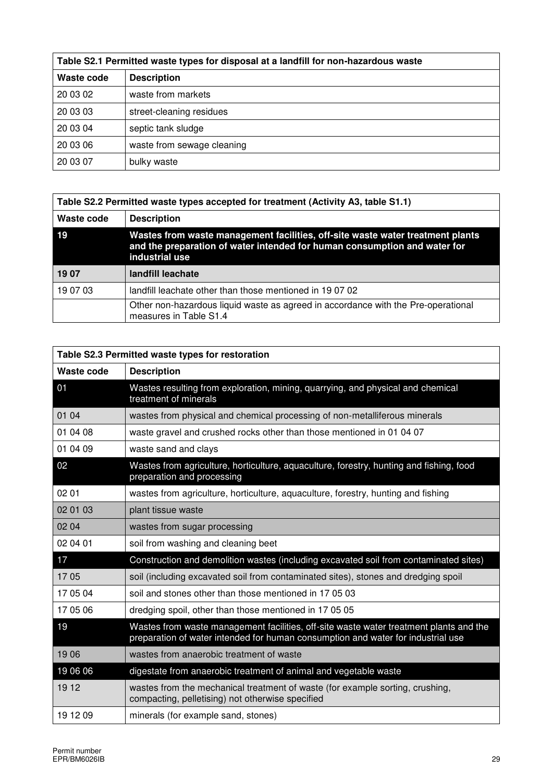| Table S2.1 Permitted waste types for disposal at a landfill for non-hazardous waste |                            |  |  |  |
|-------------------------------------------------------------------------------------|----------------------------|--|--|--|
| Waste code                                                                          | <b>Description</b>         |  |  |  |
| 20 03 02                                                                            | waste from markets         |  |  |  |
| 20 03 03                                                                            | street-cleaning residues   |  |  |  |
| 20 03 04                                                                            | septic tank sludge         |  |  |  |
| 20 03 06                                                                            | waste from sewage cleaning |  |  |  |
| 20 03 07                                                                            | bulky waste                |  |  |  |

| Table S2.2 Permitted waste types accepted for treatment (Activity A3, table S1.1) |                                                                                                                                                                               |  |  |  |  |
|-----------------------------------------------------------------------------------|-------------------------------------------------------------------------------------------------------------------------------------------------------------------------------|--|--|--|--|
| Waste code                                                                        | <b>Description</b>                                                                                                                                                            |  |  |  |  |
| 19                                                                                | Wastes from waste management facilities, off-site waste water treatment plants<br>and the preparation of water intended for human consumption and water for<br>industrial use |  |  |  |  |
| 19 07                                                                             | landfill leachate                                                                                                                                                             |  |  |  |  |
| 19 07 03                                                                          | landfill leachate other than those mentioned in 190702                                                                                                                        |  |  |  |  |
|                                                                                   | Other non-hazardous liquid waste as agreed in accordance with the Pre-operational<br>measures in Table S1.4                                                                   |  |  |  |  |

| Table S2.3 Permitted waste types for restoration |                                                                                                                                                                            |  |  |  |  |
|--------------------------------------------------|----------------------------------------------------------------------------------------------------------------------------------------------------------------------------|--|--|--|--|
| Waste code                                       | <b>Description</b>                                                                                                                                                         |  |  |  |  |
| 01                                               | Wastes resulting from exploration, mining, quarrying, and physical and chemical<br>treatment of minerals                                                                   |  |  |  |  |
| 01 04                                            | wastes from physical and chemical processing of non-metalliferous minerals                                                                                                 |  |  |  |  |
| 01 04 08                                         | waste gravel and crushed rocks other than those mentioned in 01 04 07                                                                                                      |  |  |  |  |
| 01 04 09                                         | waste sand and clays                                                                                                                                                       |  |  |  |  |
| 02                                               | Wastes from agriculture, horticulture, aquaculture, forestry, hunting and fishing, food<br>preparation and processing                                                      |  |  |  |  |
| 02 01                                            | wastes from agriculture, horticulture, aquaculture, forestry, hunting and fishing                                                                                          |  |  |  |  |
| 02 01 03                                         | plant tissue waste                                                                                                                                                         |  |  |  |  |
| 02 04                                            | wastes from sugar processing                                                                                                                                               |  |  |  |  |
| 02 04 01                                         | soil from washing and cleaning beet                                                                                                                                        |  |  |  |  |
| 17                                               | Construction and demolition wastes (including excavated soil from contaminated sites)                                                                                      |  |  |  |  |
| 1705                                             | soil (including excavated soil from contaminated sites), stones and dredging spoil                                                                                         |  |  |  |  |
| 17 05 04                                         | soil and stones other than those mentioned in 17 05 03                                                                                                                     |  |  |  |  |
| 17 05 06                                         | dredging spoil, other than those mentioned in 170505                                                                                                                       |  |  |  |  |
| 19                                               | Wastes from waste management facilities, off-site waste water treatment plants and the<br>preparation of water intended for human consumption and water for industrial use |  |  |  |  |
| 1906                                             | wastes from anaerobic treatment of waste                                                                                                                                   |  |  |  |  |
| 19 06 06                                         | digestate from anaerobic treatment of animal and vegetable waste                                                                                                           |  |  |  |  |
| 19 12                                            | wastes from the mechanical treatment of waste (for example sorting, crushing,<br>compacting, pelletising) not otherwise specified                                          |  |  |  |  |
| 19 12 09                                         | minerals (for example sand, stones)                                                                                                                                        |  |  |  |  |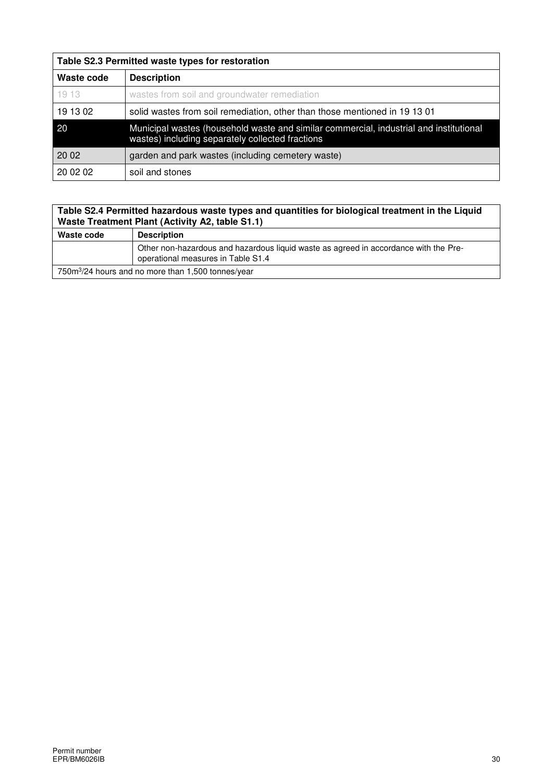| Table S2.3 Permitted waste types for restoration |                                                                                                                                            |  |  |  |  |
|--------------------------------------------------|--------------------------------------------------------------------------------------------------------------------------------------------|--|--|--|--|
| Waste code                                       | <b>Description</b>                                                                                                                         |  |  |  |  |
| 1913                                             | wastes from soil and groundwater remediation                                                                                               |  |  |  |  |
| 19 13 02                                         | solid wastes from soil remediation, other than those mentioned in 19 13 01                                                                 |  |  |  |  |
| 20                                               | Municipal wastes (household waste and similar commercial, industrial and institutional<br>wastes) including separately collected fractions |  |  |  |  |
| 20 02                                            | garden and park wastes (including cemetery waste)                                                                                          |  |  |  |  |
| 20 02 02                                         | soil and stones                                                                                                                            |  |  |  |  |

#### **Table S2.4 Permitted hazardous waste types and quantities for biological treatment in the Liquid Waste Treatment Plant (Activity A2, table S1.1)**

| Waste code                                                     | <b>Description</b>                                                                                                         |  |  |  |  |
|----------------------------------------------------------------|----------------------------------------------------------------------------------------------------------------------------|--|--|--|--|
|                                                                | Other non-hazardous and hazardous liquid waste as agreed in accordance with the Pre-<br>operational measures in Table S1.4 |  |  |  |  |
| 750m <sup>3</sup> /24 hours and no more than 1,500 tonnes/year |                                                                                                                            |  |  |  |  |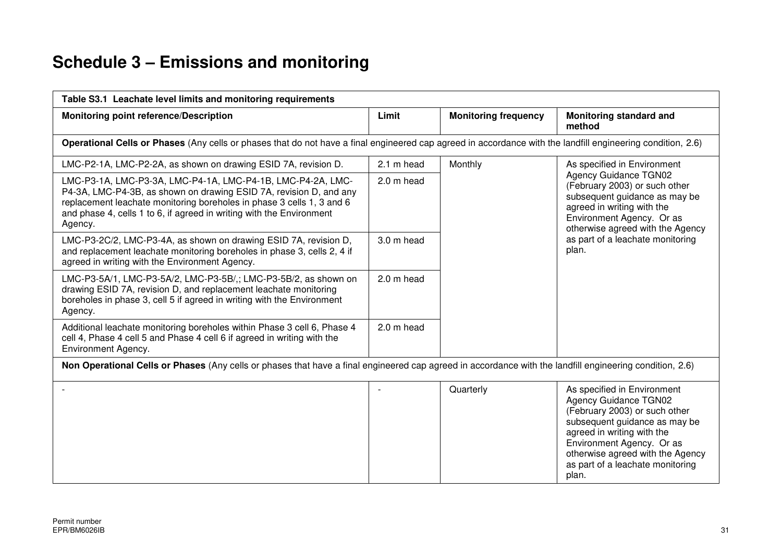## **Schedule 3 – Emissions and monitoring**

| Table S3.1 Leachate level limits and monitoring requirements                                                                                                                                                                                                                                  |            |                             |                                                                                                                                                                                                                                                                           |  |  |  |  |  |  |
|-----------------------------------------------------------------------------------------------------------------------------------------------------------------------------------------------------------------------------------------------------------------------------------------------|------------|-----------------------------|---------------------------------------------------------------------------------------------------------------------------------------------------------------------------------------------------------------------------------------------------------------------------|--|--|--|--|--|--|
| <b>Monitoring point reference/Description</b>                                                                                                                                                                                                                                                 | Limit      | <b>Monitoring frequency</b> | Monitoring standard and<br>method                                                                                                                                                                                                                                         |  |  |  |  |  |  |
| Operational Cells or Phases (Any cells or phases that do not have a final engineered cap agreed in accordance with the landfill engineering condition, 2.6)                                                                                                                                   |            |                             |                                                                                                                                                                                                                                                                           |  |  |  |  |  |  |
| LMC-P2-1A, LMC-P2-2A, as shown on drawing ESID 7A, revision D.                                                                                                                                                                                                                                | 2.1 m head | Monthly                     | As specified in Environment                                                                                                                                                                                                                                               |  |  |  |  |  |  |
| LMC-P3-1A, LMC-P3-3A, LMC-P4-1A, LMC-P4-1B, LMC-P4-2A, LMC-<br>P4-3A, LMC-P4-3B, as shown on drawing ESID 7A, revision D, and any<br>replacement leachate monitoring boreholes in phase 3 cells 1, 3 and 6<br>and phase 4, cells 1 to 6, if agreed in writing with the Environment<br>Agency. | 2.0 m head |                             | <b>Agency Guidance TGN02</b><br>(February 2003) or such other<br>subsequent guidance as may be<br>agreed in writing with the<br>Environment Agency. Or as<br>otherwise agreed with the Agency                                                                             |  |  |  |  |  |  |
| LMC-P3-2C/2, LMC-P3-4A, as shown on drawing ESID 7A, revision D,<br>and replacement leachate monitoring boreholes in phase 3, cells 2, 4 if<br>agreed in writing with the Environment Agency.                                                                                                 | 3.0 m head |                             | as part of a leachate monitoring<br>plan.                                                                                                                                                                                                                                 |  |  |  |  |  |  |
| LMC-P3-5A/1, LMC-P3-5A/2, LMC-P3-5B/,; LMC-P3-5B/2, as shown on<br>drawing ESID 7A, revision D, and replacement leachate monitoring<br>boreholes in phase 3, cell 5 if agreed in writing with the Environment<br>Agency.                                                                      | 2.0 m head |                             |                                                                                                                                                                                                                                                                           |  |  |  |  |  |  |
| Additional leachate monitoring boreholes within Phase 3 cell 6, Phase 4<br>cell 4, Phase 4 cell 5 and Phase 4 cell 6 if agreed in writing with the<br>Environment Agency.                                                                                                                     | 2.0 m head |                             |                                                                                                                                                                                                                                                                           |  |  |  |  |  |  |
| Non Operational Cells or Phases (Any cells or phases that have a final engineered cap agreed in accordance with the landfill engineering condition, 2.6)                                                                                                                                      |            |                             |                                                                                                                                                                                                                                                                           |  |  |  |  |  |  |
|                                                                                                                                                                                                                                                                                               |            | Quarterly                   | As specified in Environment<br><b>Agency Guidance TGN02</b><br>(February 2003) or such other<br>subsequent guidance as may be<br>agreed in writing with the<br>Environment Agency. Or as<br>otherwise agreed with the Agency<br>as part of a leachate monitoring<br>plan. |  |  |  |  |  |  |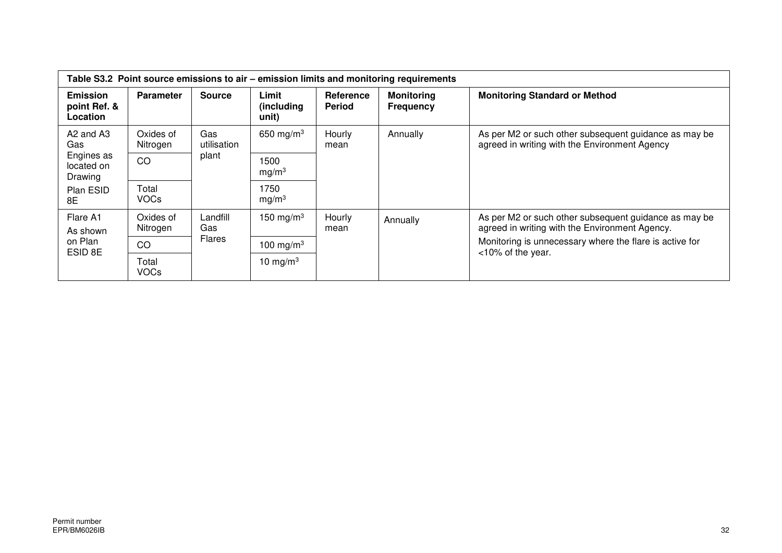| Table S3.2 Point source emissions to air – emission limits and monitoring requirements |                       |                    |                              |                                   |                                                                                                        |                                                                                                         |  |  |
|----------------------------------------------------------------------------------------|-----------------------|--------------------|------------------------------|-----------------------------------|--------------------------------------------------------------------------------------------------------|---------------------------------------------------------------------------------------------------------|--|--|
| <b>Emission</b><br>point Ref. &<br>Location                                            | <b>Parameter</b>      | <b>Source</b>      | Limit<br>(including<br>unit) | <b>Reference</b><br><b>Period</b> | <b>Monitoring</b><br><b>Frequency</b>                                                                  | <b>Monitoring Standard or Method</b>                                                                    |  |  |
| A <sub>2</sub> and A <sub>3</sub><br>Gas                                               | Oxides of<br>Nitrogen | Gas<br>utilisation | 650 mg/m $3$                 | Hourly<br>Annually<br>mean        | As per M2 or such other subsequent guidance as may be<br>agreed in writing with the Environment Agency |                                                                                                         |  |  |
| Engines as<br>CO<br>located on<br>Drawing                                              |                       | plant              | 1500<br>mg/m <sup>3</sup>    |                                   |                                                                                                        |                                                                                                         |  |  |
| Plan ESID<br>8E                                                                        | Total<br><b>VOCs</b>  |                    | 1750<br>mg/m <sup>3</sup>    |                                   |                                                                                                        |                                                                                                         |  |  |
| Flare A1<br>As shown                                                                   | Oxides of<br>Nitrogen | Landfill<br>Gas    | 150 mg/m $3$                 | Hourly<br>mean                    | Annually                                                                                               | As per M2 or such other subsequent guidance as may be<br>agreed in writing with the Environment Agency. |  |  |
| on Plan<br>ESID 8E                                                                     | CO                    | <b>Flares</b>      | 100 mg/m $3$                 |                                   |                                                                                                        | Monitoring is unnecessary where the flare is active for<br><10% of the year.                            |  |  |
|                                                                                        | Total<br><b>VOCs</b>  |                    | 10 mg/m $3$                  |                                   |                                                                                                        |                                                                                                         |  |  |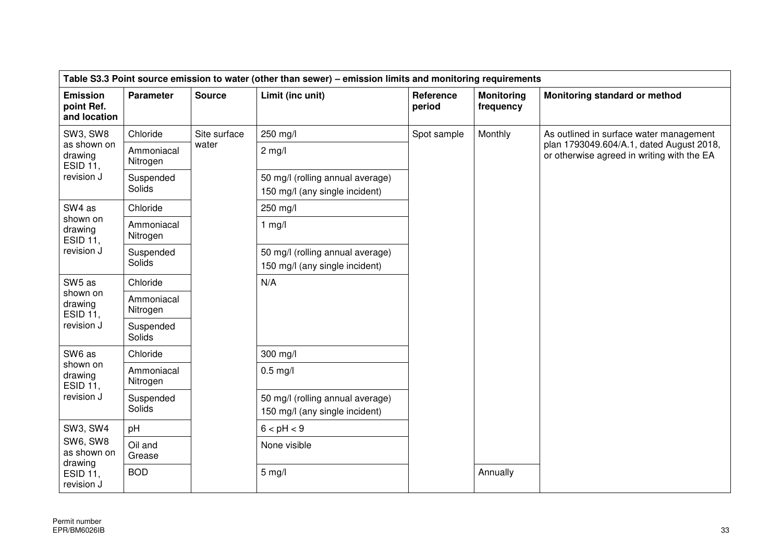| Table S3.3 Point source emission to water (other than sewer) – emission limits and monitoring requirements |                          |               |                                                                    |                     |                                |                                                                                        |
|------------------------------------------------------------------------------------------------------------|--------------------------|---------------|--------------------------------------------------------------------|---------------------|--------------------------------|----------------------------------------------------------------------------------------|
| <b>Emission</b><br>point Ref.<br>and location                                                              | <b>Parameter</b>         | <b>Source</b> | Limit (inc unit)                                                   | Reference<br>period | <b>Monitoring</b><br>frequency | Monitoring standard or method                                                          |
| <b>SW3, SW8</b>                                                                                            | Chloride<br>Site surface |               | 250 mg/l                                                           | Spot sample         | Monthly                        | As outlined in surface water management                                                |
| as shown on<br>drawing<br><b>ESID 11,</b>                                                                  | Ammoniacal<br>Nitrogen   | water         | $2$ mg/l                                                           |                     |                                | plan 1793049.604/A.1, dated August 2018,<br>or otherwise agreed in writing with the EA |
| revision J                                                                                                 | Suspended<br>Solids      |               | 50 mg/l (rolling annual average)<br>150 mg/l (any single incident) |                     |                                |                                                                                        |
| SW4 as                                                                                                     | Chloride                 |               | 250 mg/l                                                           |                     |                                |                                                                                        |
| shown on<br>drawing<br><b>ESID 11,</b>                                                                     | Ammoniacal<br>Nitrogen   |               | $1$ mg/l                                                           |                     |                                |                                                                                        |
| revision J                                                                                                 | Suspended<br>Solids      |               | 50 mg/l (rolling annual average)<br>150 mg/l (any single incident) |                     |                                |                                                                                        |
| SW5 as                                                                                                     | Chloride                 |               | N/A                                                                |                     |                                |                                                                                        |
| shown on<br>Ammoniacal<br>drawing<br>Nitrogen<br><b>ESID 11,</b>                                           |                          |               |                                                                    |                     |                                |                                                                                        |
| revision J                                                                                                 | Suspended<br>Solids      |               |                                                                    |                     |                                |                                                                                        |
| SW6 as                                                                                                     | Chloride                 |               | 300 mg/l                                                           |                     |                                |                                                                                        |
| shown on<br>drawing<br>ESID 11,                                                                            | Ammoniacal<br>Nitrogen   |               | $0.5$ mg/l                                                         |                     |                                |                                                                                        |
| revision J                                                                                                 | Suspended<br>Solids      |               | 50 mg/l (rolling annual average)<br>150 mg/l (any single incident) |                     |                                |                                                                                        |
| <b>SW3, SW4</b>                                                                                            | pH                       |               | 6 < pH < 9                                                         |                     |                                |                                                                                        |
| SW6, SW8<br>Oil and<br>as shown on<br>Grease<br>drawing<br><b>BOD</b><br><b>ESID 11,</b><br>revision J     |                          |               | None visible                                                       |                     |                                |                                                                                        |
|                                                                                                            |                          |               | $5$ mg/l                                                           |                     | Annually                       |                                                                                        |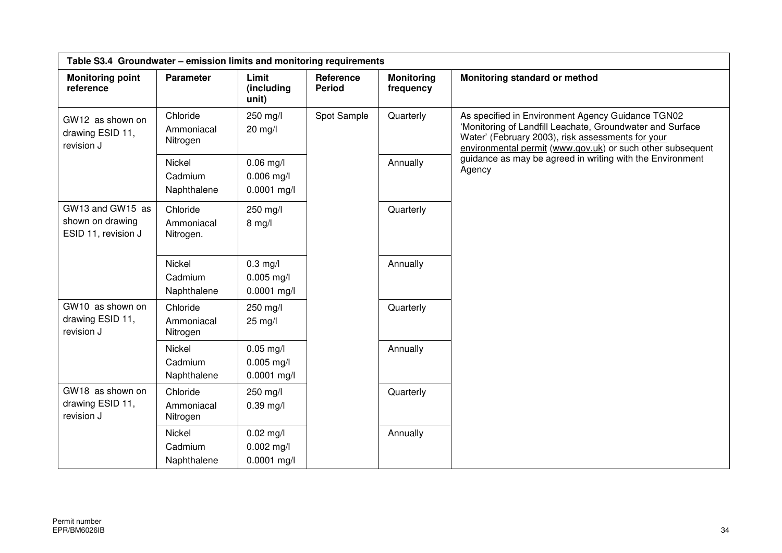| Table S3.4 Groundwater - emission limits and monitoring requirements                            |                                     |                                              |                            |                                |                                                                                                                                                                                                                                   |  |  |
|-------------------------------------------------------------------------------------------------|-------------------------------------|----------------------------------------------|----------------------------|--------------------------------|-----------------------------------------------------------------------------------------------------------------------------------------------------------------------------------------------------------------------------------|--|--|
| <b>Monitoring point</b><br>reference                                                            | <b>Parameter</b>                    | Limit<br>(including<br>unit)                 | Reference<br><b>Period</b> | <b>Monitoring</b><br>frequency | Monitoring standard or method                                                                                                                                                                                                     |  |  |
| Chloride<br>GW12 as shown on<br>drawing ESID 11,<br>Nitrogen<br>revision J<br>Nickel<br>Cadmium | Ammoniacal                          | 250 mg/l<br>$20$ mg/l                        | Spot Sample                | Quarterly                      | As specified in Environment Agency Guidance TGN02<br>'Monitoring of Landfill Leachate, Groundwater and Surface<br>Water' (February 2003), risk assessments for your<br>environmental permit (www.gov.uk) or such other subsequent |  |  |
|                                                                                                 | Naphthalene                         | $0.06$ mg/l<br>$0.006$ mg/l<br>$0.0001$ mg/l |                            | Annually                       | guidance as may be agreed in writing with the Environment<br>Agency                                                                                                                                                               |  |  |
| GW13 and GW15 as<br>shown on drawing<br>ESID 11, revision J                                     | Chloride<br>Ammoniacal<br>Nitrogen. | 250 mg/l<br>$8$ mg/l                         |                            | Quarterly                      |                                                                                                                                                                                                                                   |  |  |
|                                                                                                 | Nickel<br>Cadmium<br>Naphthalene    | $0.3$ mg/l<br>$0.005$ mg/l<br>$0.0001$ mg/l  |                            | Annually                       |                                                                                                                                                                                                                                   |  |  |
| GW10 as shown on<br>drawing ESID 11,<br>revision J                                              | Chloride<br>Ammoniacal<br>Nitrogen  | 250 mg/l<br>25 mg/l                          |                            | Quarterly                      |                                                                                                                                                                                                                                   |  |  |
|                                                                                                 | Nickel<br>Cadmium<br>Naphthalene    | $0.05$ mg/l<br>$0.005$ mg/l<br>$0.0001$ mg/l |                            | Annually                       |                                                                                                                                                                                                                                   |  |  |
| GW18 as shown on<br>drawing ESID 11,<br>revision J                                              | Chloride<br>Ammoniacal<br>Nitrogen  | 250 mg/l<br>$0.39$ mg/l                      |                            | Quarterly                      |                                                                                                                                                                                                                                   |  |  |
|                                                                                                 | Nickel<br>Cadmium<br>Naphthalene    | $0.02$ mg/l<br>$0.002$ mg/l<br>$0.0001$ mg/l |                            | Annually                       |                                                                                                                                                                                                                                   |  |  |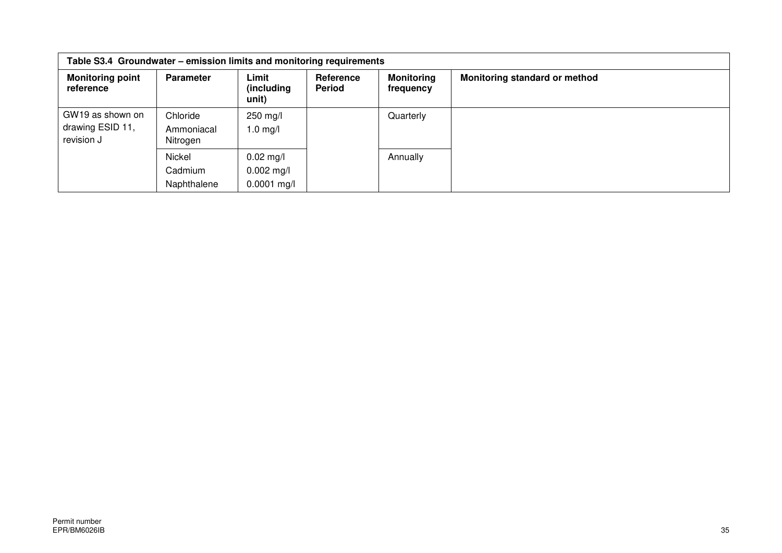| Table S3.4 Groundwater – emission limits and monitoring requirements |                                    |                                              |                            |                                |                               |  |  |
|----------------------------------------------------------------------|------------------------------------|----------------------------------------------|----------------------------|--------------------------------|-------------------------------|--|--|
| <b>Monitoring point</b><br>reference                                 | <b>Parameter</b>                   | Limit<br>(including)<br>unit)                | Reference<br><b>Period</b> | <b>Monitoring</b><br>frequency | Monitoring standard or method |  |  |
| GW19 as shown on<br>drawing ESID 11,<br>revision J                   | Chloride<br>Ammoniacal<br>Nitrogen | 250 mg/l<br>$1.0$ mg/l                       |                            | Quarterly                      |                               |  |  |
|                                                                      | Nickel<br>Cadmium<br>Naphthalene   | $0.02$ mg/l<br>$0.002$ mg/l<br>$0.0001$ mg/l |                            | Annually                       |                               |  |  |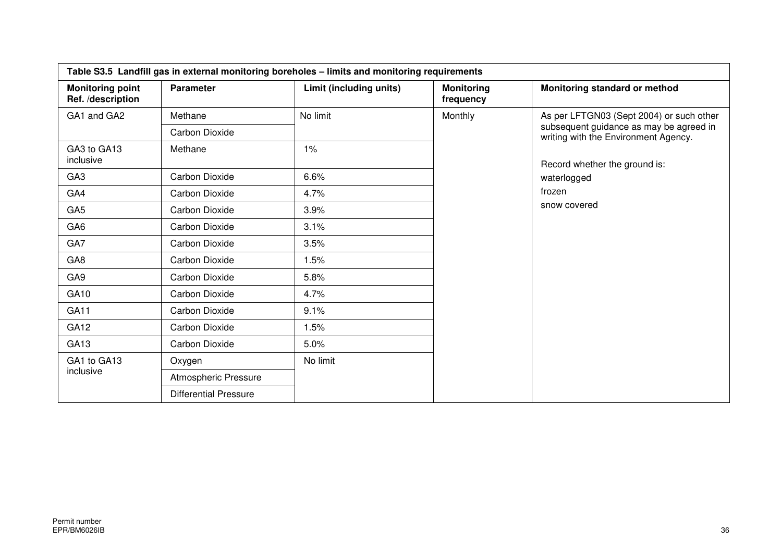| Table S3.5 Landfill gas in external monitoring boreholes - limits and monitoring requirements |                              |                         |                                |                                                                                                                             |  |  |  |
|-----------------------------------------------------------------------------------------------|------------------------------|-------------------------|--------------------------------|-----------------------------------------------------------------------------------------------------------------------------|--|--|--|
| <b>Monitoring point</b><br>Ref. /description                                                  | <b>Parameter</b>             | Limit (including units) | <b>Monitoring</b><br>frequency | Monitoring standard or method                                                                                               |  |  |  |
| GA1 and GA2                                                                                   | Methane                      | No limit                | Monthly                        | As per LFTGN03 (Sept 2004) or such other<br>subsequent guidance as may be agreed in<br>writing with the Environment Agency. |  |  |  |
|                                                                                               | <b>Carbon Dioxide</b>        |                         |                                |                                                                                                                             |  |  |  |
| GA3 to GA13<br>inclusive                                                                      | Methane                      | 1%                      |                                | Record whether the ground is:                                                                                               |  |  |  |
| GA <sub>3</sub>                                                                               | Carbon Dioxide               | 6.6%                    |                                | waterlogged                                                                                                                 |  |  |  |
| GA4                                                                                           | Carbon Dioxide               | 4.7%                    |                                | frozen                                                                                                                      |  |  |  |
| GA <sub>5</sub>                                                                               | <b>Carbon Dioxide</b>        | 3.9%                    |                                | snow covered                                                                                                                |  |  |  |
| GA <sub>6</sub>                                                                               | Carbon Dioxide               | 3.1%                    |                                |                                                                                                                             |  |  |  |
| GA7                                                                                           | Carbon Dioxide               | 3.5%                    |                                |                                                                                                                             |  |  |  |
| GA <sub>8</sub>                                                                               | <b>Carbon Dioxide</b>        | 1.5%                    |                                |                                                                                                                             |  |  |  |
| GA <sub>9</sub>                                                                               | Carbon Dioxide               | 5.8%                    |                                |                                                                                                                             |  |  |  |
| GA10                                                                                          | Carbon Dioxide               | 4.7%                    |                                |                                                                                                                             |  |  |  |
| GA11                                                                                          | Carbon Dioxide               | 9.1%                    |                                |                                                                                                                             |  |  |  |
| GA <sub>12</sub>                                                                              | Carbon Dioxide               | 1.5%                    |                                |                                                                                                                             |  |  |  |
| GA <sub>13</sub>                                                                              | Carbon Dioxide               | 5.0%                    |                                |                                                                                                                             |  |  |  |
| GA1 to GA13                                                                                   | Oxygen                       | No limit                |                                |                                                                                                                             |  |  |  |
| inclusive                                                                                     | Atmospheric Pressure         |                         |                                |                                                                                                                             |  |  |  |
|                                                                                               | <b>Differential Pressure</b> |                         |                                |                                                                                                                             |  |  |  |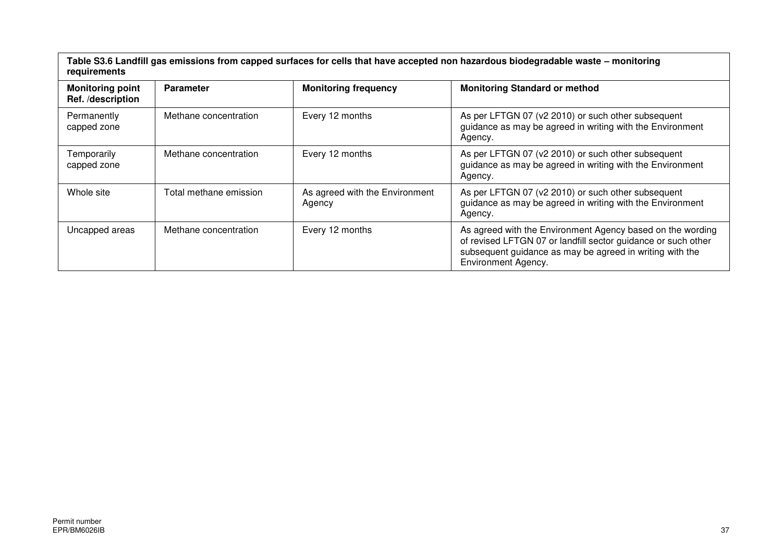**Table S3.6 Landfill gas emissions from capped surfaces for cells that have accepted non hazardous biodegradable waste – monitoring requirements** 

| <b>Monitoring point</b><br>Ref. /description | <b>Parameter</b>       | <b>Monitoring frequency</b>              | <b>Monitoring Standard or method</b>                                                                                                                                                                                  |  |  |
|----------------------------------------------|------------------------|------------------------------------------|-----------------------------------------------------------------------------------------------------------------------------------------------------------------------------------------------------------------------|--|--|
| Permanently<br>capped zone                   | Methane concentration  | Every 12 months                          | As per LFTGN 07 (v2 2010) or such other subsequent<br>guidance as may be agreed in writing with the Environment<br>Agency.                                                                                            |  |  |
| Temporarily<br>capped zone                   | Methane concentration  | Every 12 months                          | As per LFTGN 07 (v2 2010) or such other subsequent<br>guidance as may be agreed in writing with the Environment<br>Agency.                                                                                            |  |  |
| Whole site                                   | Total methane emission | As agreed with the Environment<br>Agency | As per LFTGN 07 (v2 2010) or such other subsequent<br>guidance as may be agreed in writing with the Environment<br>Agency.                                                                                            |  |  |
| Uncapped areas                               | Methane concentration  | Every 12 months                          | As agreed with the Environment Agency based on the wording<br>of revised LFTGN 07 or landfill sector guidance or such other<br>subsequent guidance as may be agreed in writing with the<br><b>Environment Agency.</b> |  |  |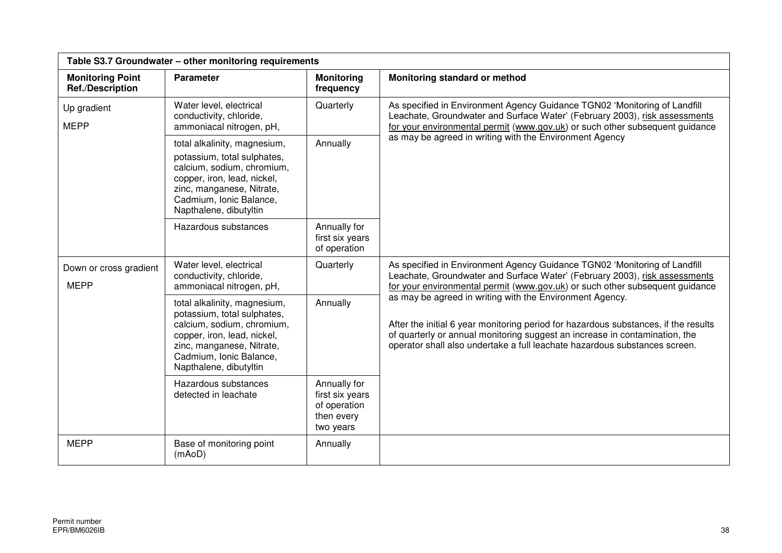| Table S3.7 Groundwater - other monitoring requirements                                                                                                                                                                                                                                            |                                                                                                                                                                                                            |                                                                                                                                                                                                                                         |                                                                                                                                                                                                                                                  |  |
|---------------------------------------------------------------------------------------------------------------------------------------------------------------------------------------------------------------------------------------------------------------------------------------------------|------------------------------------------------------------------------------------------------------------------------------------------------------------------------------------------------------------|-----------------------------------------------------------------------------------------------------------------------------------------------------------------------------------------------------------------------------------------|--------------------------------------------------------------------------------------------------------------------------------------------------------------------------------------------------------------------------------------------------|--|
| <b>Monitoring Point</b><br><b>Ref./Description</b>                                                                                                                                                                                                                                                | <b>Parameter</b>                                                                                                                                                                                           | <b>Monitoring</b><br>frequency                                                                                                                                                                                                          | Monitoring standard or method                                                                                                                                                                                                                    |  |
| Up gradient<br><b>MEPP</b>                                                                                                                                                                                                                                                                        | Water level, electrical<br>Quarterly<br>conductivity, chloride,<br>ammoniacal nitrogen, pH,                                                                                                                | As specified in Environment Agency Guidance TGN02 'Monitoring of Landfill<br>Leachate, Groundwater and Surface Water' (February 2003), risk assessments<br>for your environmental permit (www.gov.uk) or such other subsequent guidance |                                                                                                                                                                                                                                                  |  |
| Annually<br>total alkalinity, magnesium,<br>potassium, total sulphates,<br>calcium, sodium, chromium,<br>copper, iron, lead, nickel,<br>zinc, manganese, Nitrate,<br>Cadmium, Ionic Balance,<br>Napthalene, dibutyltin<br>Annually for<br>Hazardous substances<br>first six years<br>of operation | as may be agreed in writing with the Environment Agency                                                                                                                                                    |                                                                                                                                                                                                                                         |                                                                                                                                                                                                                                                  |  |
|                                                                                                                                                                                                                                                                                                   |                                                                                                                                                                                                            |                                                                                                                                                                                                                                         |                                                                                                                                                                                                                                                  |  |
| Down or cross gradient<br><b>MEPP</b>                                                                                                                                                                                                                                                             | Water level, electrical<br>conductivity, chloride,<br>ammoniacal nitrogen, pH,                                                                                                                             | Quarterly                                                                                                                                                                                                                               | As specified in Environment Agency Guidance TGN02 'Monitoring of Landfill<br>Leachate, Groundwater and Surface Water' (February 2003), risk assessments<br>for your environmental permit (www.gov.uk) or such other subsequent guidance          |  |
|                                                                                                                                                                                                                                                                                                   | total alkalinity, magnesium,<br>potassium, total sulphates,<br>calcium, sodium, chromium,<br>copper, iron, lead, nickel,<br>zinc, manganese, Nitrate,<br>Cadmium, Ionic Balance,<br>Napthalene, dibutyltin | as may be agreed in writing with the Environment Agency.<br>Annually                                                                                                                                                                    | After the initial 6 year monitoring period for hazardous substances, if the results<br>of quarterly or annual monitoring suggest an increase in contamination, the<br>operator shall also undertake a full leachate hazardous substances screen. |  |
|                                                                                                                                                                                                                                                                                                   | Hazardous substances<br>detected in leachate                                                                                                                                                               | Annually for<br>first six years<br>of operation<br>then every<br>two years                                                                                                                                                              |                                                                                                                                                                                                                                                  |  |
| <b>MEPP</b>                                                                                                                                                                                                                                                                                       | Base of monitoring point<br>(mAoD)                                                                                                                                                                         | Annually                                                                                                                                                                                                                                |                                                                                                                                                                                                                                                  |  |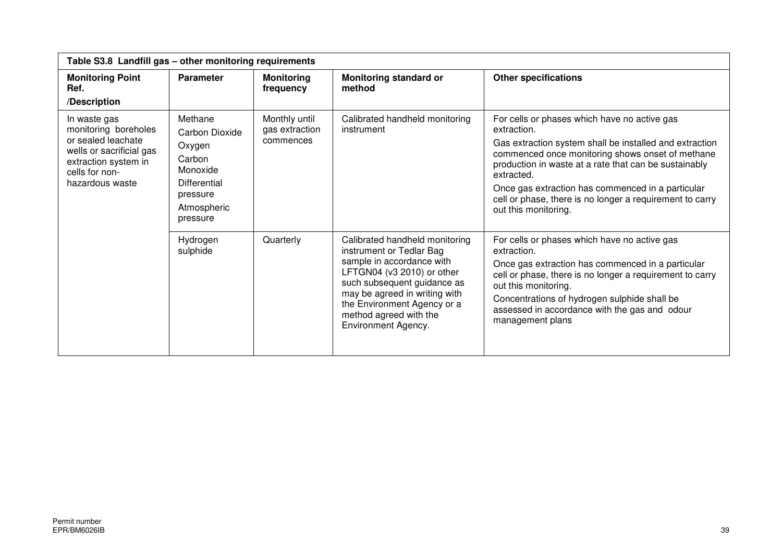|                                                                                                                                                     | Table S3.8 Landfill gas - other monitoring requirements                                                          |                                              |                                                                                                                                                                                                                                                                       |                                                                                                                                                                                                                                                                                                                                                                                            |  |
|-----------------------------------------------------------------------------------------------------------------------------------------------------|------------------------------------------------------------------------------------------------------------------|----------------------------------------------|-----------------------------------------------------------------------------------------------------------------------------------------------------------------------------------------------------------------------------------------------------------------------|--------------------------------------------------------------------------------------------------------------------------------------------------------------------------------------------------------------------------------------------------------------------------------------------------------------------------------------------------------------------------------------------|--|
| <b>Monitoring Point</b><br>Ref.<br>/Description                                                                                                     | <b>Parameter</b>                                                                                                 | <b>Monitoring</b><br>frequency               | <b>Monitoring standard or</b><br>method                                                                                                                                                                                                                               | <b>Other specifications</b>                                                                                                                                                                                                                                                                                                                                                                |  |
| In waste gas<br>monitoring boreholes<br>or sealed leachate<br>wells or sacrificial gas<br>extraction system in<br>cells for non-<br>hazardous waste | Methane<br>Carbon Dioxide<br>Oxygen<br>Carbon<br>Monoxide<br>Differential<br>pressure<br>Atmospheric<br>pressure | Monthly until<br>gas extraction<br>commences | Calibrated handheld monitoring<br>instrument                                                                                                                                                                                                                          | For cells or phases which have no active gas<br>extraction.<br>Gas extraction system shall be installed and extraction<br>commenced once monitoring shows onset of methane<br>production in waste at a rate that can be sustainably<br>extracted.<br>Once gas extraction has commenced in a particular<br>cell or phase, there is no longer a requirement to carry<br>out this monitoring. |  |
|                                                                                                                                                     | Hydrogen<br>sulphide                                                                                             | Quarterly                                    | Calibrated handheld monitoring<br>instrument or Tedlar Bag<br>sample in accordance with<br>LFTGN04 (v3 2010) or other<br>such subsequent guidance as<br>may be agreed in writing with<br>the Environment Agency or a<br>method agreed with the<br>Environment Agency. | For cells or phases which have no active gas<br>extraction.<br>Once gas extraction has commenced in a particular<br>cell or phase, there is no longer a requirement to carry<br>out this monitoring.<br>Concentrations of hydrogen sulphide shall be<br>assessed in accordance with the gas and odour<br>management plans                                                                  |  |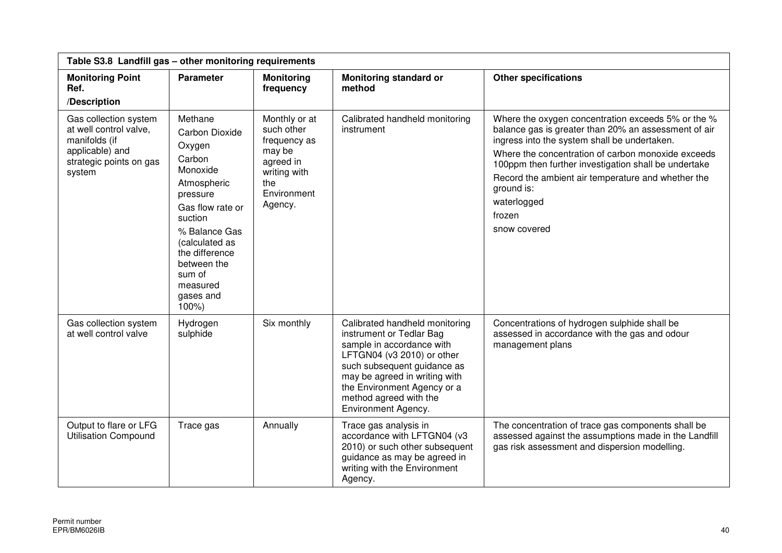| Table S3.8 Landfill gas - other monitoring requirements                                                                  |                                                                                                                                                                                                                                    |                                                                                                                     |                                                                                                                                                                                                                                                                              |                                                                                                                                                                                                                                                                                                                                                                                       |
|--------------------------------------------------------------------------------------------------------------------------|------------------------------------------------------------------------------------------------------------------------------------------------------------------------------------------------------------------------------------|---------------------------------------------------------------------------------------------------------------------|------------------------------------------------------------------------------------------------------------------------------------------------------------------------------------------------------------------------------------------------------------------------------|---------------------------------------------------------------------------------------------------------------------------------------------------------------------------------------------------------------------------------------------------------------------------------------------------------------------------------------------------------------------------------------|
| <b>Monitoring Point</b><br>Ref.<br>/Description                                                                          | <b>Parameter</b>                                                                                                                                                                                                                   | <b>Monitoring</b><br>frequency                                                                                      | <b>Monitoring standard or</b><br>method                                                                                                                                                                                                                                      | <b>Other specifications</b>                                                                                                                                                                                                                                                                                                                                                           |
| Gas collection system<br>at well control valve,<br>manifolds (if<br>applicable) and<br>strategic points on gas<br>system | Methane<br>Carbon Dioxide<br>Oxygen<br>Carbon<br>Monoxide<br>Atmospheric<br>pressure<br>Gas flow rate or<br>suction<br>% Balance Gas<br>(calculated as<br>the difference<br>between the<br>sum of<br>measured<br>gases and<br>100% | Monthly or at<br>such other<br>frequency as<br>may be<br>agreed in<br>writing with<br>the<br>Environment<br>Agency. | Calibrated handheld monitoring<br>instrument                                                                                                                                                                                                                                 | Where the oxygen concentration exceeds 5% or the %<br>balance gas is greater than 20% an assessment of air<br>ingress into the system shall be undertaken.<br>Where the concentration of carbon monoxide exceeds<br>100ppm then further investigation shall be undertake<br>Record the ambient air temperature and whether the<br>ground is:<br>waterlogged<br>frozen<br>snow covered |
| Gas collection system<br>at well control valve                                                                           | Hydrogen<br>sulphide                                                                                                                                                                                                               | Six monthly                                                                                                         | Calibrated handheld monitoring<br>instrument or Tedlar Bag<br>sample in accordance with<br>LFTGN04 (v3 2010) or other<br>such subsequent guidance as<br>may be agreed in writing with<br>the Environment Agency or a<br>method agreed with the<br><b>Environment Agency.</b> | Concentrations of hydrogen sulphide shall be<br>assessed in accordance with the gas and odour<br>management plans                                                                                                                                                                                                                                                                     |
| Output to flare or LFG<br><b>Utilisation Compound</b>                                                                    | Trace gas                                                                                                                                                                                                                          | Annually                                                                                                            | Trace gas analysis in<br>accordance with LFTGN04 (v3<br>2010) or such other subsequent<br>guidance as may be agreed in<br>writing with the Environment<br>Agency.                                                                                                            | The concentration of trace gas components shall be<br>assessed against the assumptions made in the Landfill<br>gas risk assessment and dispersion modelling.                                                                                                                                                                                                                          |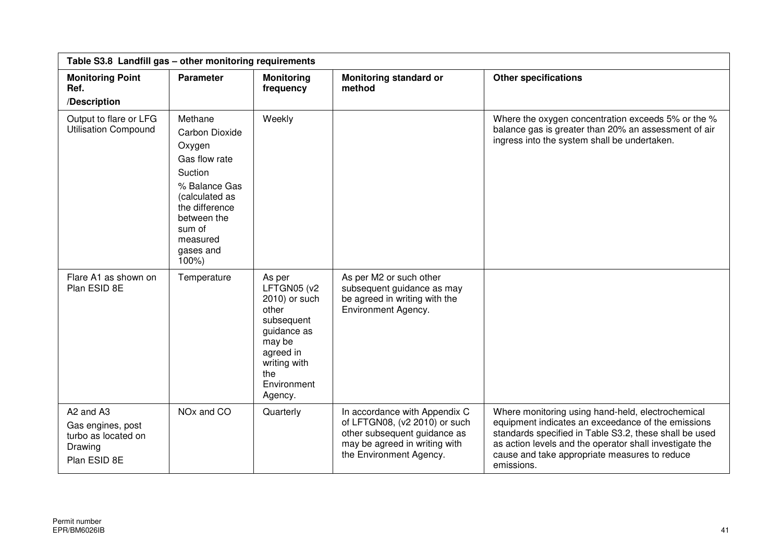| Table S3.8 Landfill gas - other monitoring requirements                          |                                                                                                                                                                                     |                                                                                                                                                      |                                                                                                                                                            |                                                                                                                                                                                                                                                                                             |  |
|----------------------------------------------------------------------------------|-------------------------------------------------------------------------------------------------------------------------------------------------------------------------------------|------------------------------------------------------------------------------------------------------------------------------------------------------|------------------------------------------------------------------------------------------------------------------------------------------------------------|---------------------------------------------------------------------------------------------------------------------------------------------------------------------------------------------------------------------------------------------------------------------------------------------|--|
| <b>Monitoring Point</b><br>Ref.<br>/Description                                  | <b>Parameter</b>                                                                                                                                                                    | <b>Monitoring</b><br>frequency                                                                                                                       | <b>Monitoring standard or</b><br>method                                                                                                                    | <b>Other specifications</b>                                                                                                                                                                                                                                                                 |  |
| Output to flare or LFG<br><b>Utilisation Compound</b>                            | Methane<br>Carbon Dioxide<br>Oxygen<br>Gas flow rate<br>Suction<br>% Balance Gas<br>(calculated as<br>the difference<br>between the<br>sum of<br>measured<br>gases and<br>$100\%$ ) | Weekly                                                                                                                                               |                                                                                                                                                            | Where the oxygen concentration exceeds 5% or the %<br>balance gas is greater than 20% an assessment of air<br>ingress into the system shall be undertaken.                                                                                                                                  |  |
| Flare A1 as shown on<br>Plan ESID 8E                                             | Temperature                                                                                                                                                                         | As per<br>LFTGN05 (v2<br>2010) or such<br>other<br>subsequent<br>guidance as<br>may be<br>agreed in<br>writing with<br>the<br>Environment<br>Agency. | As per M2 or such other<br>subsequent guidance as may<br>be agreed in writing with the<br>Environment Agency.                                              |                                                                                                                                                                                                                                                                                             |  |
| A2 and A3<br>Gas engines, post<br>turbo as located on<br>Drawing<br>Plan ESID 8E | NO <sub>x</sub> and CO                                                                                                                                                              | Quarterly                                                                                                                                            | In accordance with Appendix C<br>of LFTGN08, (v2 2010) or such<br>other subsequent guidance as<br>may be agreed in writing with<br>the Environment Agency. | Where monitoring using hand-held, electrochemical<br>equipment indicates an exceedance of the emissions<br>standards specified in Table S3.2, these shall be used<br>as action levels and the operator shall investigate the<br>cause and take appropriate measures to reduce<br>emissions. |  |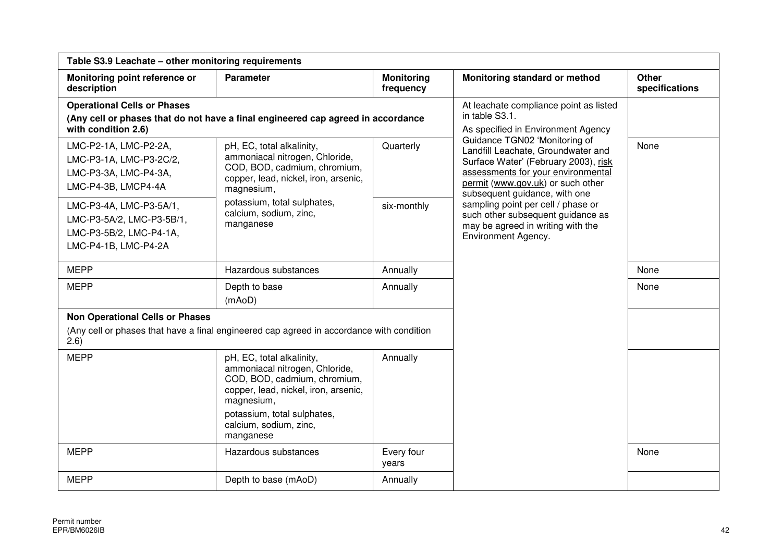| Table S3.9 Leachate - other monitoring requirements                                                     |                                                                                                                                                                                                                         |                                                                                                |                                                                                                                                                                                                                         |                                |  |
|---------------------------------------------------------------------------------------------------------|-------------------------------------------------------------------------------------------------------------------------------------------------------------------------------------------------------------------------|------------------------------------------------------------------------------------------------|-------------------------------------------------------------------------------------------------------------------------------------------------------------------------------------------------------------------------|--------------------------------|--|
| Monitoring point reference or<br>description                                                            | <b>Parameter</b>                                                                                                                                                                                                        | <b>Monitoring</b><br>frequency                                                                 | Monitoring standard or method                                                                                                                                                                                           | <b>Other</b><br>specifications |  |
| <b>Operational Cells or Phases</b><br>with condition 2.6)                                               | (Any cell or phases that do not have a final engineered cap agreed in accordance                                                                                                                                        | At leachate compliance point as listed<br>in table S3.1.<br>As specified in Environment Agency |                                                                                                                                                                                                                         |                                |  |
| LMC-P2-1A, LMC-P2-2A,<br>LMC-P3-1A, LMC-P3-2C/2,<br>LMC-P3-3A, LMC-P4-3A,<br>LMC-P4-3B, LMCP4-4A        | pH, EC, total alkalinity,<br>ammoniacal nitrogen, Chloride,<br>COD, BOD, cadmium, chromium,<br>copper, lead, nickel, iron, arsenic,<br>magnesium,                                                                       | Quarterly                                                                                      | Guidance TGN02 'Monitoring of<br>Landfill Leachate, Groundwater and<br>Surface Water' (February 2003), risk<br>assessments for your environmental<br>permit (www.gov.uk) or such other<br>subsequent guidance, with one | None                           |  |
| LMC-P3-4A, LMC-P3-5A/1,<br>LMC-P3-5A/2, LMC-P3-5B/1,<br>LMC-P3-5B/2, LMC-P4-1A,<br>LMC-P4-1B, LMC-P4-2A | potassium, total sulphates,<br>calcium, sodium, zinc,<br>manganese                                                                                                                                                      | six-monthly                                                                                    | sampling point per cell / phase or<br>such other subsequent guidance as<br>may be agreed in writing with the<br>Environment Agency.                                                                                     |                                |  |
| <b>MEPP</b>                                                                                             | Hazardous substances                                                                                                                                                                                                    | Annually                                                                                       |                                                                                                                                                                                                                         | None                           |  |
| <b>MEPP</b>                                                                                             | Depth to base<br>(mAoD)                                                                                                                                                                                                 | Annually                                                                                       |                                                                                                                                                                                                                         | None                           |  |
| <b>Non Operational Cells or Phases</b><br>(2.6)                                                         | (Any cell or phases that have a final engineered cap agreed in accordance with condition                                                                                                                                |                                                                                                |                                                                                                                                                                                                                         |                                |  |
| <b>MEPP</b>                                                                                             | pH, EC, total alkalinity,<br>ammoniacal nitrogen, Chloride,<br>COD, BOD, cadmium, chromium,<br>copper, lead, nickel, iron, arsenic,<br>magnesium,<br>potassium, total sulphates,<br>calcium, sodium, zinc,<br>manganese | Annually                                                                                       |                                                                                                                                                                                                                         |                                |  |
| <b>MEPP</b>                                                                                             | Hazardous substances                                                                                                                                                                                                    | Every four<br>years                                                                            |                                                                                                                                                                                                                         | None                           |  |
| <b>MEPP</b>                                                                                             | Depth to base (mAoD)                                                                                                                                                                                                    | Annually                                                                                       |                                                                                                                                                                                                                         |                                |  |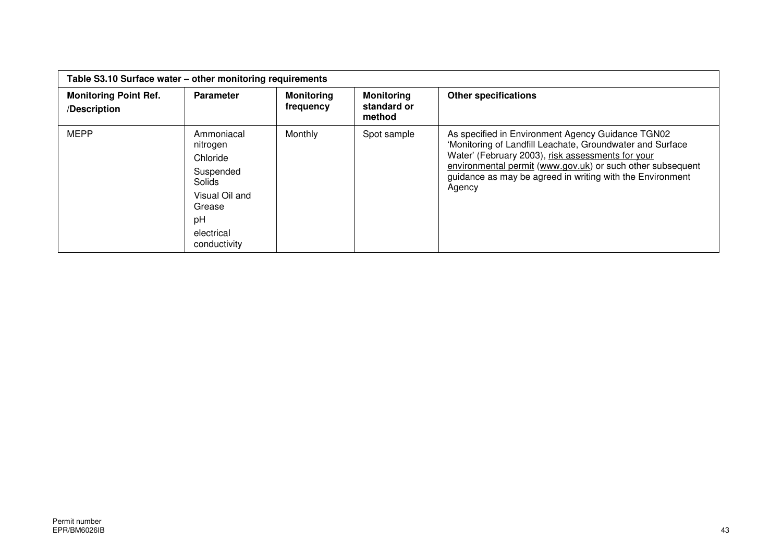| Table S3.10 Surface water - other monitoring requirements |                                                                                                                           |                                |                                            |                                                                                                                                                                                                                                                                                                          |
|-----------------------------------------------------------|---------------------------------------------------------------------------------------------------------------------------|--------------------------------|--------------------------------------------|----------------------------------------------------------------------------------------------------------------------------------------------------------------------------------------------------------------------------------------------------------------------------------------------------------|
| <b>Monitoring Point Ref.</b><br>/Description              | <b>Parameter</b>                                                                                                          | <b>Monitoring</b><br>frequency | <b>Monitoring</b><br>standard or<br>method | <b>Other specifications</b>                                                                                                                                                                                                                                                                              |
| <b>MEPP</b>                                               | Ammoniacal<br>nitrogen<br>Chloride<br>Suspended<br>Solids<br>Visual Oil and<br>Grease<br>рH<br>electrical<br>conductivity | Monthly                        | Spot sample                                | As specified in Environment Agency Guidance TGN02<br>'Monitoring of Landfill Leachate, Groundwater and Surface<br>Water' (February 2003), risk assessments for your<br>environmental permit (www.gov.uk) or such other subsequent<br>guidance as may be agreed in writing with the Environment<br>Agency |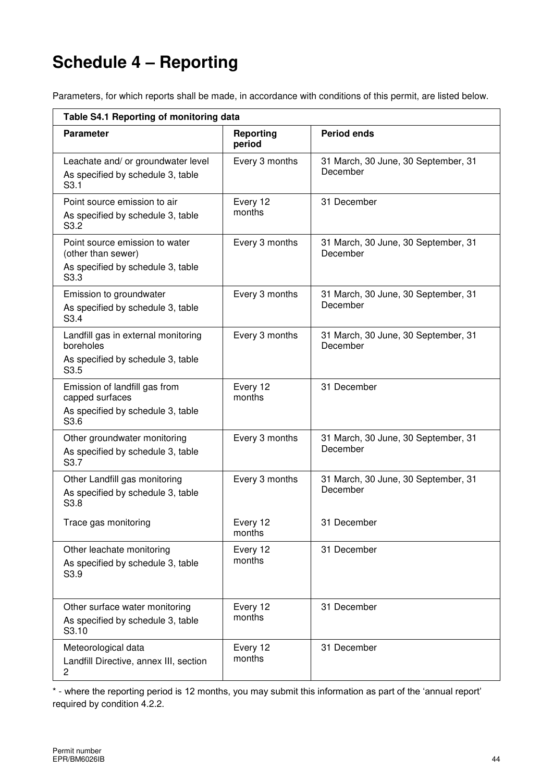# **Schedule 4 – Reporting**

Parameters, for which reports shall be made, in accordance with conditions of this permit, are listed below.

| Table S4.1 Reporting of monitoring data                                                           |                     |                                                 |  |  |
|---------------------------------------------------------------------------------------------------|---------------------|-------------------------------------------------|--|--|
| <b>Parameter</b>                                                                                  | Reporting<br>period | <b>Period ends</b>                              |  |  |
| Leachate and/ or groundwater level<br>As specified by schedule 3, table<br>S <sub>3.1</sub>       | Every 3 months      | 31 March, 30 June, 30 September, 31<br>December |  |  |
| Point source emission to air<br>As specified by schedule 3, table<br>S3.2                         | Every 12<br>months  | 31 December                                     |  |  |
| Point source emission to water<br>(other than sewer)<br>As specified by schedule 3, table<br>S3.3 | Every 3 months      | 31 March, 30 June, 30 September, 31<br>December |  |  |
| Emission to groundwater<br>As specified by schedule 3, table<br>S3.4                              | Every 3 months      | 31 March, 30 June, 30 September, 31<br>December |  |  |
| Landfill gas in external monitoring<br>boreholes<br>As specified by schedule 3, table<br>S3.5     | Every 3 months      | 31 March, 30 June, 30 September, 31<br>December |  |  |
| Emission of landfill gas from<br>capped surfaces<br>As specified by schedule 3, table<br>S3.6     | Every 12<br>months  | 31 December                                     |  |  |
| Other groundwater monitoring<br>As specified by schedule 3, table<br>S3.7                         | Every 3 months      | 31 March, 30 June, 30 September, 31<br>December |  |  |
| Other Landfill gas monitoring<br>As specified by schedule 3, table<br>S3.8                        | Every 3 months      | 31 March, 30 June, 30 September, 31<br>December |  |  |
| Trace gas monitoring                                                                              | Every 12<br>months  | 31 December                                     |  |  |
| Other leachate monitoring<br>As specified by schedule 3, table<br>S3.9                            | Every 12<br>months  | 31 December                                     |  |  |
| Other surface water monitoring<br>As specified by schedule 3, table<br>S3.10                      | Every 12<br>months  | 31 December                                     |  |  |
| Meteorological data<br>Landfill Directive, annex III, section<br>$\overline{2}$                   | Every 12<br>months  | 31 December                                     |  |  |

\* - where the reporting period is 12 months, you may submit this information as part of the 'annual report' required by condition 4.2.2.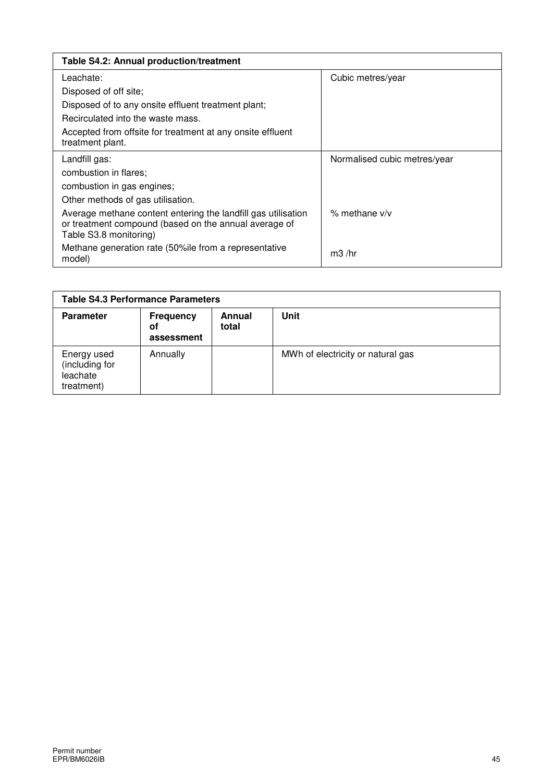| Table S4.2: Annual production/treatment                                                                                                          |                              |
|--------------------------------------------------------------------------------------------------------------------------------------------------|------------------------------|
| Leachate:                                                                                                                                        | Cubic metres/year            |
| Disposed of off site;                                                                                                                            |                              |
| Disposed of to any onsite effluent treatment plant;                                                                                              |                              |
| Recirculated into the waste mass.                                                                                                                |                              |
| Accepted from offsite for treatment at any onsite effluent<br>treatment plant.                                                                   |                              |
| Landfill gas:                                                                                                                                    | Normalised cubic metres/year |
| combustion in flares:                                                                                                                            |                              |
| combustion in gas engines;                                                                                                                       |                              |
| Other methods of gas utilisation.                                                                                                                |                              |
| Average methane content entering the landfill gas utilisation<br>or treatment compound (based on the annual average of<br>Table S3.8 monitoring) | $%$ methane $v/v$            |
| Methane generation rate (50% le from a representative<br>model)                                                                                  | $m3$ /hr                     |

| <b>Table S4.3 Performance Parameters</b>                |                                      |                 |                                   |
|---------------------------------------------------------|--------------------------------------|-----------------|-----------------------------------|
| <b>Parameter</b>                                        | <b>Frequency</b><br>οf<br>assessment | Annual<br>total | Unit                              |
| Energy used<br>(including for<br>leachate<br>treatment) | Annually                             |                 | MWh of electricity or natural gas |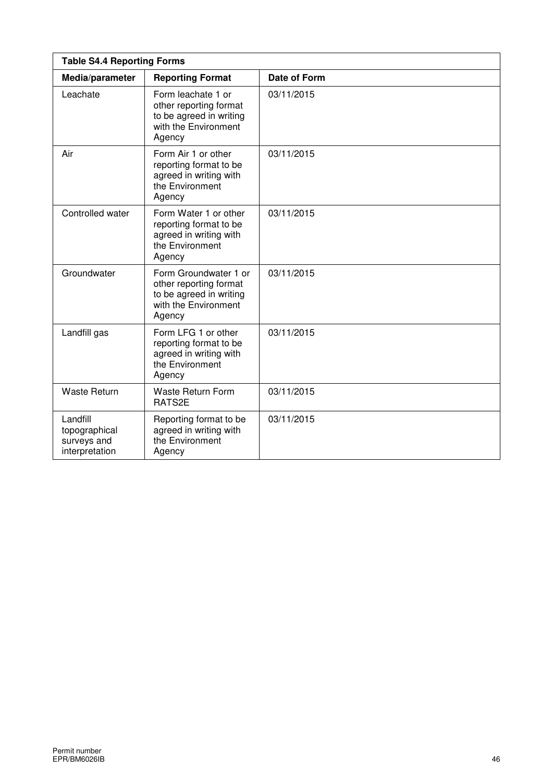| <b>Table S4.4 Reporting Forms</b>                          |                                                                                                              |              |  |  |
|------------------------------------------------------------|--------------------------------------------------------------------------------------------------------------|--------------|--|--|
| Media/parameter                                            | <b>Reporting Format</b>                                                                                      | Date of Form |  |  |
| Leachate                                                   | Form leachate 1 or<br>other reporting format<br>to be agreed in writing<br>with the Environment<br>Agency    | 03/11/2015   |  |  |
| Air                                                        | Form Air 1 or other<br>reporting format to be<br>agreed in writing with<br>the Environment<br>Agency         | 03/11/2015   |  |  |
| Controlled water                                           | Form Water 1 or other<br>reporting format to be<br>agreed in writing with<br>the Environment<br>Agency       | 03/11/2015   |  |  |
| Groundwater                                                | Form Groundwater 1 or<br>other reporting format<br>to be agreed in writing<br>with the Environment<br>Agency | 03/11/2015   |  |  |
| Landfill gas                                               | Form LFG 1 or other<br>reporting format to be<br>agreed in writing with<br>the Environment<br>Agency         | 03/11/2015   |  |  |
| <b>Waste Return</b>                                        | Waste Return Form<br>RATS2E                                                                                  | 03/11/2015   |  |  |
| Landfill<br>topographical<br>surveys and<br>interpretation | Reporting format to be<br>agreed in writing with<br>the Environment<br>Agency                                | 03/11/2015   |  |  |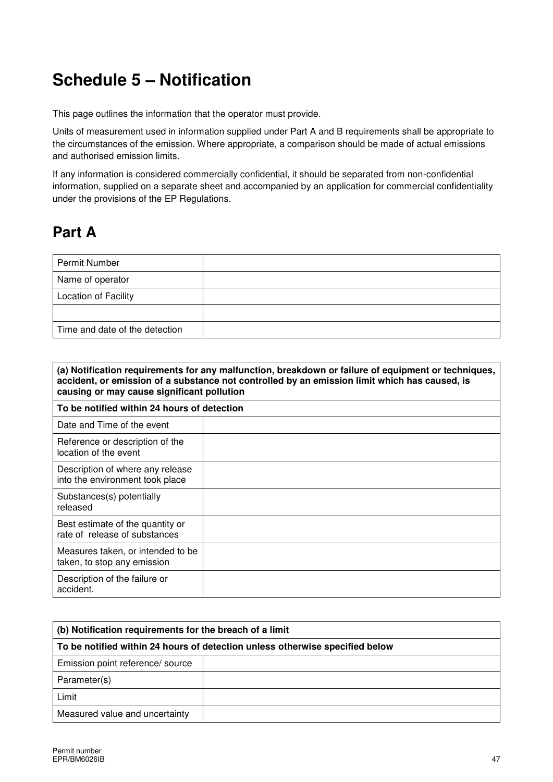# **Schedule 5 – Notification**

This page outlines the information that the operator must provide.

Units of measurement used in information supplied under Part A and B requirements shall be appropriate to the circumstances of the emission. Where appropriate, a comparison should be made of actual emissions and authorised emission limits.

If any information is considered commercially confidential, it should be separated from non-confidential information, supplied on a separate sheet and accompanied by an application for commercial confidentiality under the provisions of the EP Regulations.

## **Part A**

| <b>Permit Number</b>           |  |
|--------------------------------|--|
| Name of operator               |  |
| Location of Facility           |  |
|                                |  |
| Time and date of the detection |  |

| (a) Notification requirements for any malfunction, breakdown or failure of equipment or techniques,<br>accident, or emission of a substance not controlled by an emission limit which has caused, is<br>causing or may cause significant pollution |  |  |  |  |  |
|----------------------------------------------------------------------------------------------------------------------------------------------------------------------------------------------------------------------------------------------------|--|--|--|--|--|
| To be notified within 24 hours of detection                                                                                                                                                                                                        |  |  |  |  |  |
| Date and Time of the event                                                                                                                                                                                                                         |  |  |  |  |  |
| Reference or description of the<br>location of the event                                                                                                                                                                                           |  |  |  |  |  |
| Description of where any release<br>into the environment took place                                                                                                                                                                                |  |  |  |  |  |
| Substances(s) potentially<br>released                                                                                                                                                                                                              |  |  |  |  |  |
| Best estimate of the quantity or<br>rate of release of substances                                                                                                                                                                                  |  |  |  |  |  |
| Measures taken, or intended to be<br>taken, to stop any emission                                                                                                                                                                                   |  |  |  |  |  |
| Description of the failure or<br>accident.                                                                                                                                                                                                         |  |  |  |  |  |

| (b) Notification requirements for the breach of a limit                      |  |  |  |  |  |
|------------------------------------------------------------------------------|--|--|--|--|--|
| To be notified within 24 hours of detection unless otherwise specified below |  |  |  |  |  |
| Emission point reference/ source                                             |  |  |  |  |  |
| Parameter(s)                                                                 |  |  |  |  |  |
| Limit                                                                        |  |  |  |  |  |
| Measured value and uncertainty                                               |  |  |  |  |  |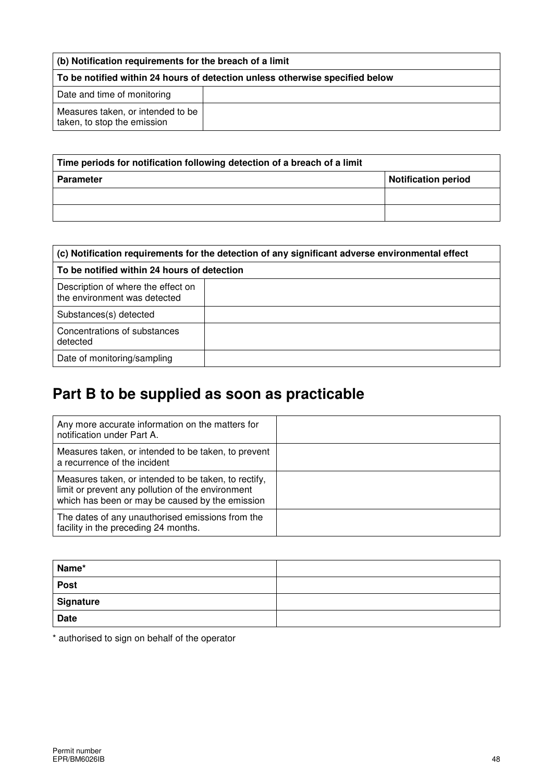| (b) Notification requirements for the breach of a limit                      |  |  |  |  |
|------------------------------------------------------------------------------|--|--|--|--|
| To be notified within 24 hours of detection unless otherwise specified below |  |  |  |  |
| Date and time of monitoring                                                  |  |  |  |  |
| Measures taken, or intended to be<br>taken, to stop the emission             |  |  |  |  |

| Time periods for notification following detection of a breach of a limit |                            |  |  |  |
|--------------------------------------------------------------------------|----------------------------|--|--|--|
| <b>Parameter</b>                                                         | <b>Notification period</b> |  |  |  |
|                                                                          |                            |  |  |  |
|                                                                          |                            |  |  |  |

| (c) Notification requirements for the detection of any significant adverse environmental effect |                                             |  |  |  |  |  |
|-------------------------------------------------------------------------------------------------|---------------------------------------------|--|--|--|--|--|
|                                                                                                 | To be notified within 24 hours of detection |  |  |  |  |  |
| Description of where the effect on<br>the environment was detected                              |                                             |  |  |  |  |  |
| Substances(s) detected                                                                          |                                             |  |  |  |  |  |
| Concentrations of substances<br>detected                                                        |                                             |  |  |  |  |  |
| Date of monitoring/sampling                                                                     |                                             |  |  |  |  |  |

# **Part B to be supplied as soon as practicable**

| Any more accurate information on the matters for<br>notification under Part A.                                                                               |  |
|--------------------------------------------------------------------------------------------------------------------------------------------------------------|--|
| Measures taken, or intended to be taken, to prevent<br>a recurrence of the incident                                                                          |  |
| Measures taken, or intended to be taken, to rectify,<br>limit or prevent any pollution of the environment<br>which has been or may be caused by the emission |  |
| The dates of any unauthorised emissions from the<br>facility in the preceding 24 months.                                                                     |  |

| Name*       |  |
|-------------|--|
| Post        |  |
| Signature   |  |
| <b>Date</b> |  |

\* authorised to sign on behalf of the operator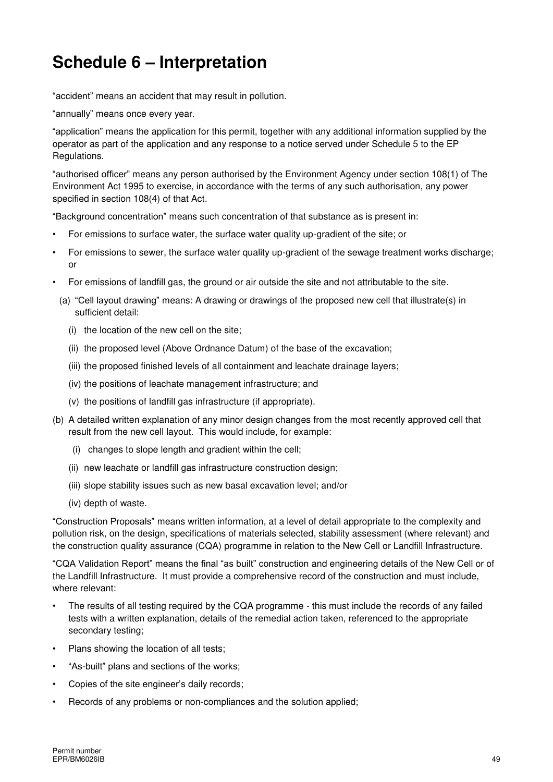# **Schedule 6 – Interpretation**

"accident" means an accident that may result in pollution.

"annually" means once every year.

"application" means the application for this permit, together with any additional information supplied by the operator as part of the application and any response to a notice served under Schedule 5 to the EP Regulations.

"authorised officer" means any person authorised by the Environment Agency under section 108(1) of The Environment Act 1995 to exercise, in accordance with the terms of any such authorisation, any power specified in section 108(4) of that Act.

"Background concentration" means such concentration of that substance as is present in:

- For emissions to surface water, the surface water quality up-gradient of the site; or
- For emissions to sewer, the surface water quality up-gradient of the sewage treatment works discharge; or
- For emissions of landfill gas, the ground or air outside the site and not attributable to the site.
	- (a) "Cell layout drawing" means: A drawing or drawings of the proposed new cell that illustrate(s) in sufficient detail:
		- (i) the location of the new cell on the site;
		- (ii) the proposed level (Above Ordnance Datum) of the base of the excavation;
		- (iii) the proposed finished levels of all containment and leachate drainage layers;
		- (iv) the positions of leachate management infrastructure; and
		- (v) the positions of landfill gas infrastructure (if appropriate).
- (b) A detailed written explanation of any minor design changes from the most recently approved cell that result from the new cell layout. This would include, for example:
	- (i) changes to slope length and gradient within the cell;
	- (ii) new leachate or landfill gas infrastructure construction design;
	- (iii) slope stability issues such as new basal excavation level; and/or
	- (iv) depth of waste.

"Construction Proposals" means written information, at a level of detail appropriate to the complexity and pollution risk, on the design, specifications of materials selected, stability assessment (where relevant) and the construction quality assurance (CQA) programme in relation to the New Cell or Landfill Infrastructure.

"CQA Validation Report" means the final "as built" construction and engineering details of the New Cell or of the Landfill Infrastructure. It must provide a comprehensive record of the construction and must include, where relevant:

- The results of all testing required by the CQA programme this must include the records of any failed tests with a written explanation, details of the remedial action taken, referenced to the appropriate secondary testing;
- Plans showing the location of all tests;
- "As-built" plans and sections of the works;
- Copies of the site engineer's daily records;
- Records of any problems or non-compliances and the solution applied;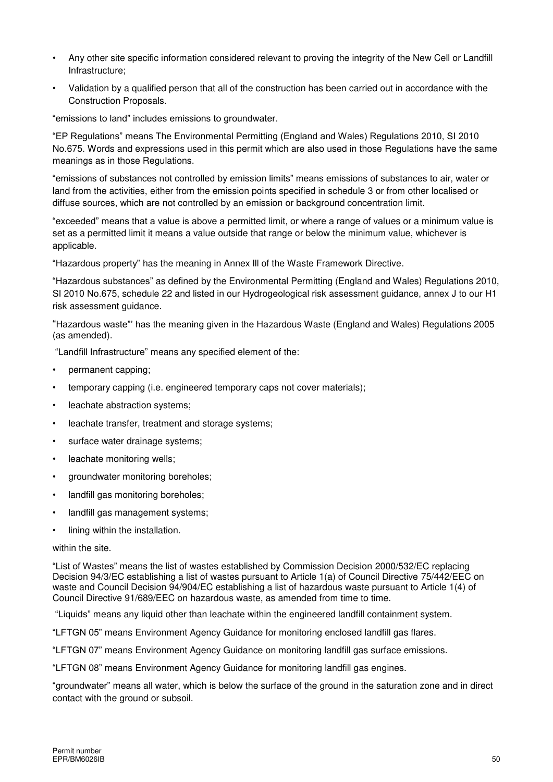- Any other site specific information considered relevant to proving the integrity of the New Cell or Landfill Infrastructure;
- Validation by a qualified person that all of the construction has been carried out in accordance with the Construction Proposals.

"emissions to land" includes emissions to groundwater.

"EP Regulations" means The Environmental Permitting (England and Wales) Regulations 2010, SI 2010 No.675. Words and expressions used in this permit which are also used in those Regulations have the same meanings as in those Regulations.

"emissions of substances not controlled by emission limits" means emissions of substances to air, water or land from the activities, either from the emission points specified in schedule 3 or from other localised or diffuse sources, which are not controlled by an emission or background concentration limit.

"exceeded" means that a value is above a permitted limit, or where a range of values or a minimum value is set as a permitted limit it means a value outside that range or below the minimum value, whichever is applicable.

"Hazardous property" has the meaning in Annex lll of the Waste Framework Directive.

"Hazardous substances" as defined by the Environmental Permitting (England and Wales) Regulations 2010, SI 2010 No.675, schedule 22 and listed in our Hydrogeological risk assessment guidance, annex J to our H1 risk assessment guidance.

"Hazardous waste"' has the meaning given in the Hazardous Waste (England and Wales) Regulations 2005 (as amended).

"Landfill Infrastructure" means any specified element of the:

- permanent capping;
- temporary capping (i.e. engineered temporary caps not cover materials);
- leachate abstraction systems;
- leachate transfer, treatment and storage systems;
- surface water drainage systems;
- leachate monitoring wells;
- aroundwater monitoring boreholes:
- landfill gas monitoring boreholes;
- landfill gas management systems;
- lining within the installation.

#### within the site.

"List of Wastes" means the list of wastes established by Commission Decision [2000/532/EC](http://www.legislation.gov.uk/european/decision/2000/0532) replacing Decision [94/3/EC](http://www.legislation.gov.uk/european/decision/1994/0003) establishing a list of wastes pursuant to Article 1(a) of Council Directive [75/442/EEC](http://www.legislation.gov.uk/european/directive/1975/0442) on waste and Council Decision [94/904/EC](http://www.legislation.gov.uk/european/decision/1994/0904) establishing a list of hazardous waste pursuant to Article 1(4) of Council Directive [91/689/EEC](http://www.legislation.gov.uk/european/decision/1991/0689) on hazardous waste, as amended from time to time.

"Liquids" means any liquid other than leachate within the engineered landfill containment system.

"LFTGN 05" means Environment Agency Guidance for monitoring enclosed landfill gas flares.

"LFTGN 07" means Environment Agency Guidance on monitoring landfill gas surface emissions.

"LFTGN 08" means Environment Agency Guidance for monitoring landfill gas engines.

"groundwater" means all water, which is below the surface of the ground in the saturation zone and in direct contact with the ground or subsoil.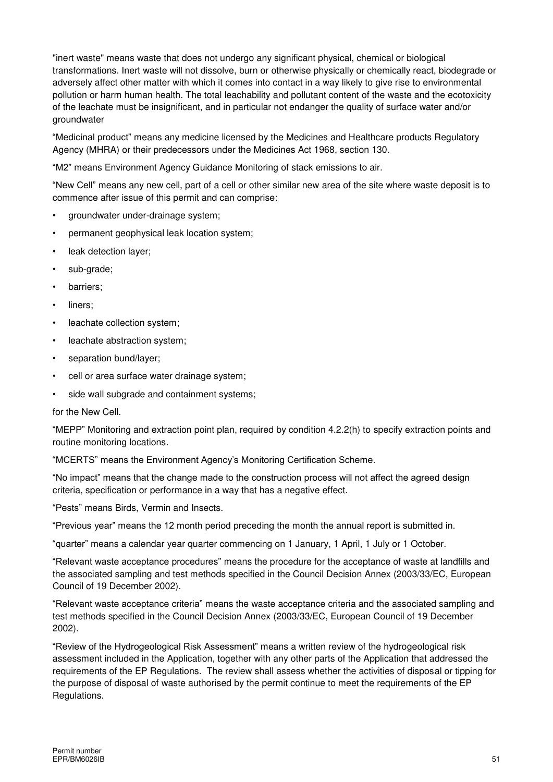"inert waste" means waste that does not undergo any significant physical, chemical or biological transformations. Inert waste will not dissolve, burn or otherwise physically or chemically react, biodegrade or adversely affect other matter with which it comes into contact in a way likely to give rise to environmental pollution or harm human health. The total leachability and pollutant content of the waste and the ecotoxicity of the leachate must be insignificant, and in particular not endanger the quality of surface water and/or groundwater

"Medicinal product" means any medicine licensed by the Medicines and Healthcare products Regulatory Agency (MHRA) or their predecessors under the Medicines Act 1968, section 130.

"M2" means Environment Agency Guidance Monitoring of stack emissions to air.

"New Cell" means any new cell, part of a cell or other similar new area of the site where waste deposit is to commence after issue of this permit and can comprise:

- groundwater under-drainage system;
- permanent geophysical leak location system;
- leak detection laver:
- sub-grade;
- barriers;
- liners;
- leachate collection system;
- leachate abstraction system;
- separation bund/layer;
- cell or area surface water drainage system;
- side wall subgrade and containment systems;

for the New Cell.

"MEPP" Monitoring and extraction point plan, required by condition 4.2.2(h) to specify extraction points and routine monitoring locations.

"MCERTS" means the Environment Agency's Monitoring Certification Scheme.

"No impact" means that the change made to the construction process will not affect the agreed design criteria, specification or performance in a way that has a negative effect.

"Pests" means Birds, Vermin and Insects.

"Previous year" means the 12 month period preceding the month the annual report is submitted in.

"quarter" means a calendar year quarter commencing on 1 January, 1 April, 1 July or 1 October.

"Relevant waste acceptance procedures" means the procedure for the acceptance of waste at landfills and the associated sampling and test methods specified in the Council Decision Annex (2003/33/EC, European Council of 19 December 2002).

"Relevant waste acceptance criteria" means the waste acceptance criteria and the associated sampling and test methods specified in the Council Decision Annex (2003/33/EC, European Council of 19 December 2002).

"Review of the Hydrogeological Risk Assessment" means a written review of the hydrogeological risk assessment included in the Application, together with any other parts of the Application that addressed the requirements of the EP Regulations. The review shall assess whether the activities of disposal or tipping for the purpose of disposal of waste authorised by the permit continue to meet the requirements of the EP Regulations.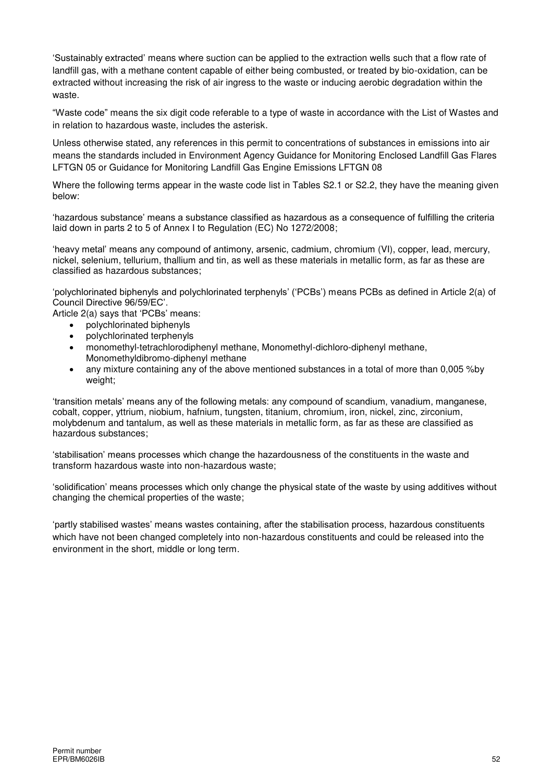'Sustainably extracted' means where suction can be applied to the extraction wells such that a flow rate of landfill gas, with a methane content capable of either being combusted, or treated by bio-oxidation, can be extracted without increasing the risk of air ingress to the waste or inducing aerobic degradation within the waste.

"Waste code" means the six digit code referable to a type of waste in accordance with the List of Wastes and in relation to hazardous waste, includes the asterisk.

Unless otherwise stated, any references in this permit to concentrations of substances in emissions into air means the standards included in Environment Agency Guidance for Monitoring Enclosed Landfill Gas Flares LFTGN 05 or Guidance for Monitoring Landfill Gas Engine Emissions LFTGN 08

Where the following terms appear in the waste code list in Tables S2.1 or S2.2, they have the meaning given below:

'hazardous substance' means a substance classified as hazardous as a consequence of fulfilling the criteria laid down in parts 2 to 5 of Annex I to Regulation (EC) No 1272/2008;

'heavy metal' means any compound of antimony, arsenic, cadmium, chromium (VI), copper, lead, mercury, nickel, selenium, tellurium, thallium and tin, as well as these materials in metallic form, as far as these are classified as hazardous substances;

'polychlorinated biphenyls and polychlorinated terphenyls' ('PCBs') means PCBs as defined in Article 2(a) of Council Directive 96/59/EC'.

Article 2(a) says that 'PCBs' means:

- polychlorinated biphenyls
- polychlorinated terphenyls
- monomethyl-tetrachlorodiphenyl methane, Monomethyl-dichloro-diphenyl methane, Monomethyldibromo-diphenyl methane
- any mixture containing any of the above mentioned substances in a total of more than 0,005 %by weight;

'transition metals' means any of the following metals: any compound of scandium, vanadium, manganese, cobalt, copper, yttrium, niobium, hafnium, tungsten, titanium, chromium, iron, nickel, zinc, zirconium, molybdenum and tantalum, as well as these materials in metallic form, as far as these are classified as hazardous substances;

'stabilisation' means processes which change the hazardousness of the constituents in the waste and transform hazardous waste into non-hazardous waste;

'solidification' means processes which only change the physical state of the waste by using additives without changing the chemical properties of the waste;

'partly stabilised wastes' means wastes containing, after the stabilisation process, hazardous constituents which have not been changed completely into non-hazardous constituents and could be released into the environment in the short, middle or long term.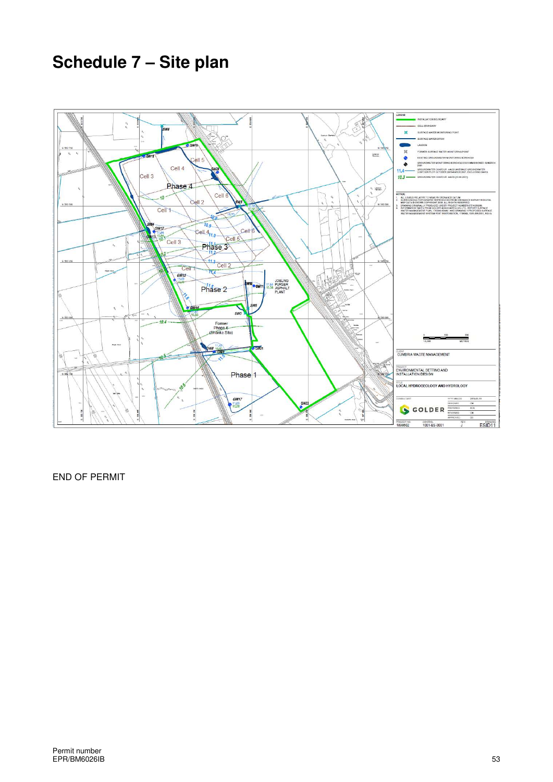# **Schedule 7 – Site plan**



END OF PERMIT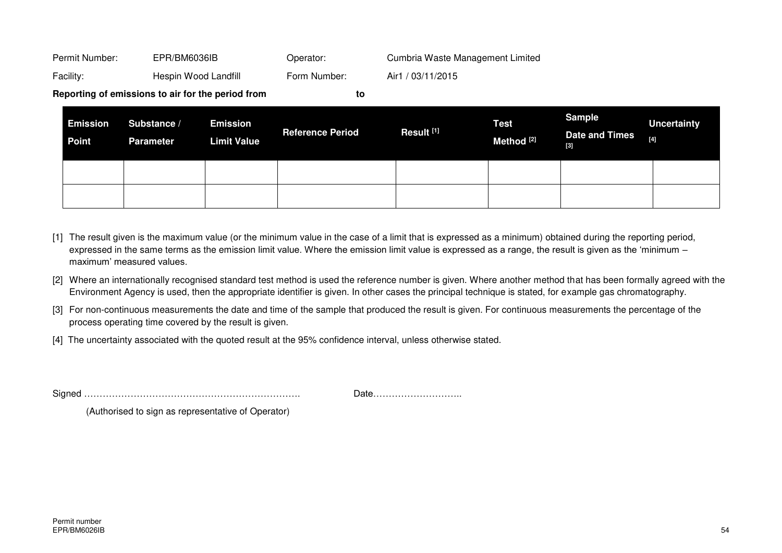|                | Reporting of emissions to air for the period from | to           |                                  |
|----------------|---------------------------------------------------|--------------|----------------------------------|
|                |                                                   |              |                                  |
| Facility:      | Hespin Wood Landfill                              | Form Number: | Air1 / 03/11/2015                |
| Permit Number: | EPR/BM6036IB                                      | Operator:    | Cumbria Waste Management Limited |

| <b>Emission</b><br><b>Point</b> | Substance /<br><b>Parameter</b> | <b>Emission</b><br><b>Limit Value</b> | <b>Reference Period</b> | Result <sup>[1]</sup> | <b>Test</b><br>Method <sup>[2]</sup> | Sample<br><b>Date and Times</b><br>[3] | <b>Uncertainty</b><br>$[4]$ |
|---------------------------------|---------------------------------|---------------------------------------|-------------------------|-----------------------|--------------------------------------|----------------------------------------|-----------------------------|
|                                 |                                 |                                       |                         |                       |                                      |                                        |                             |
|                                 |                                 |                                       |                         |                       |                                      |                                        |                             |

- [1] The result given is the maximum value (or the minimum value in the case of a limit that is expressed as a minimum) obtained during the reporting period, expressed in the same terms as the emission limit value. Where the emission limit value is expressed as a range, the result is given as the 'minimum – maximum' measured values.
- [2] Where an internationally recognised standard test method is used the reference number is given. Where another method that has been formally agreed with the Environment Agency is used, then the appropriate identifier is given. In other cases the principal technique is stated, for example gas chromatography.
- [3] For non-continuous measurements the date and time of the sample that produced the result is given. For continuous measurements the percentage of the process operating time covered by the result is given.
- [4] The uncertainty associated with the quoted result at the 95% confidence interval, unless otherwise stated.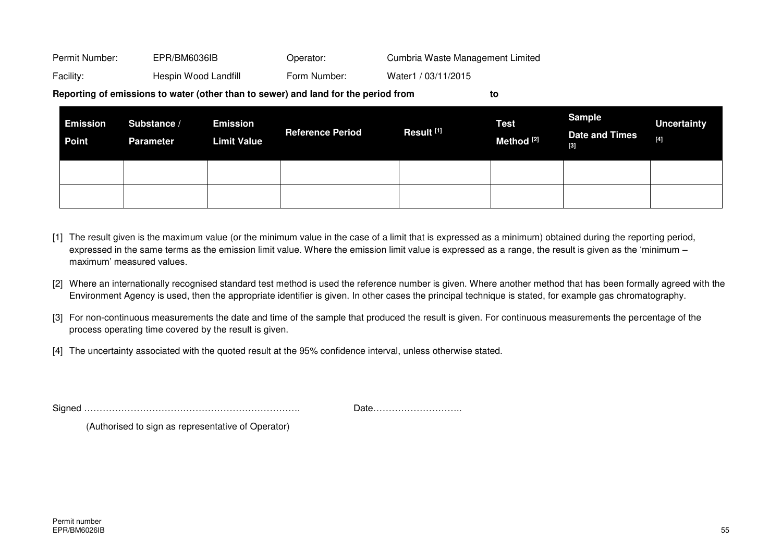Permit Number: EPR/BM6036IB Operator: Cumbria Waste Management Limited Facility: Hespin Wood Landfill Form Number: Water1 / 03/11/2015

**Reporting of emissions to water (other than to sewer) and land for the period from to** 

| <b>Emission</b><br><b>Point</b> | Substance /<br><b>Parameter</b> | <b>Emission</b><br><b>Limit Value</b> | <b>Reference Period</b> | Result <sup>[1]</sup> | <b>Test</b><br>Method <sup>[2]</sup> | <b>Sample</b><br><b>Date and Times</b><br>[3] | <b>Uncertainty</b><br>$[4] \centering% \includegraphics[width=1\textwidth]{images/TransY.pdf} \caption{The first two different values of $d=3$ and $d=4$ (left) and $d=4$ (right) and $d=4$ (right) and $d=4$ (right) and $d=4$ (right) and $d=4$ (right) and $d=4$ (right) and $d=4$ (right) and $d=4$ (right) and $d=4$ (right) and $d=4$ (right) and $d=4$ (right) and $d=4$ (right) and $d=4$ (right) and $d=4$ (right) and $d=4$ (right) and $d=4$ (right) and $d=4$ (right) and $d=4$ (right) and $d=4$ (right) and $$ |
|---------------------------------|---------------------------------|---------------------------------------|-------------------------|-----------------------|--------------------------------------|-----------------------------------------------|------------------------------------------------------------------------------------------------------------------------------------------------------------------------------------------------------------------------------------------------------------------------------------------------------------------------------------------------------------------------------------------------------------------------------------------------------------------------------------------------------------------------------|
|                                 |                                 |                                       |                         |                       |                                      |                                               |                                                                                                                                                                                                                                                                                                                                                                                                                                                                                                                              |
|                                 |                                 |                                       |                         |                       |                                      |                                               |                                                                                                                                                                                                                                                                                                                                                                                                                                                                                                                              |

- [1] The result given is the maximum value (or the minimum value in the case of a limit that is expressed as a minimum) obtained during the reporting period, expressed in the same terms as the emission limit value. Where the emission limit value is expressed as a range, the result is given as the 'minimum – maximum' measured values.
- [2] Where an internationally recognised standard test method is used the reference number is given. Where another method that has been formally agreed with the Environment Agency is used, then the appropriate identifier is given. In other cases the principal technique is stated, for example gas chromatography.
- [3] For non-continuous measurements the date and time of the sample that produced the result is given. For continuous measurements the percentage of the process operating time covered by the result is given.
- [4] The uncertainty associated with the quoted result at the 95% confidence interval, unless otherwise stated.

Signed ……………………………………………………………. Date………………………..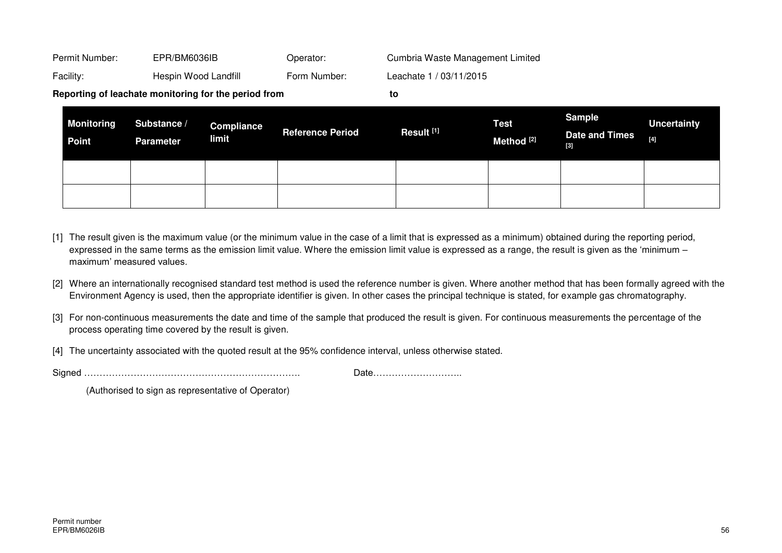|                | Reporting of leachate monitoring for the period from |              | to                               |
|----------------|------------------------------------------------------|--------------|----------------------------------|
| Facility:      | Hespin Wood Landfill                                 | Form Number: | Leachate 1 / 03/11/2015          |
| Permit Number: | EPR/BM6036IB                                         | Operator:    | Cumbria Waste Management Limited |

| <b>Monitoring</b><br><b>Point</b> | Substance /<br><b>Parameter</b> | <b>Compliance</b><br>limit | <b>Reference Period</b> | Result <sup>[1]</sup> | <b>Test</b><br>Method <sup>[2]</sup> | <b>Sample</b><br><b>Date and Times</b><br>$[3]$ | <b>Uncertainty</b><br>$[4] \centering% \includegraphics[width=1\textwidth]{images/TransY.pdf} \caption{The first two different values of $10^{-4}$. The first two different values of $10^{-4}$. The first two different values of $10^{-4}$. The first two different values of $10^{-4}$. The first two different values of $10^{-4}$. The first two different values of $10^{-4}$. The first two different values of $10^{-4}$. The first two different values of $10^{-4}$. The first two different values of $10^{-4}$. The first two different values of $10^{-4}$. The first two different values of $10^{-4}$. The first two different values of $10^{-4}$. The first two different values of $10^{-4}$. The first two different values of $10^{-4}$. The first two different values of $10^{-4$ |
|-----------------------------------|---------------------------------|----------------------------|-------------------------|-----------------------|--------------------------------------|-------------------------------------------------|---------------------------------------------------------------------------------------------------------------------------------------------------------------------------------------------------------------------------------------------------------------------------------------------------------------------------------------------------------------------------------------------------------------------------------------------------------------------------------------------------------------------------------------------------------------------------------------------------------------------------------------------------------------------------------------------------------------------------------------------------------------------------------------------------------|
|                                   |                                 |                            |                         |                       |                                      |                                                 |                                                                                                                                                                                                                                                                                                                                                                                                                                                                                                                                                                                                                                                                                                                                                                                                         |
|                                   |                                 |                            |                         |                       |                                      |                                                 |                                                                                                                                                                                                                                                                                                                                                                                                                                                                                                                                                                                                                                                                                                                                                                                                         |

- [1] The result given is the maximum value (or the minimum value in the case of a limit that is expressed as a minimum) obtained during the reporting period, expressed in the same terms as the emission limit value. Where the emission limit value is expressed as a range, the result is given as the 'minimum – maximum' measured values.
- [2] Where an internationally recognised standard test method is used the reference number is given. Where another method that has been formally agreed with the Environment Agency is used, then the appropriate identifier is given. In other cases the principal technique is stated, for example gas chromatography.
- [3] For non-continuous measurements the date and time of the sample that produced the result is given. For continuous measurements the percentage of the process operating time covered by the result is given.
- [4] The uncertainty associated with the quoted result at the 95% confidence interval, unless otherwise stated.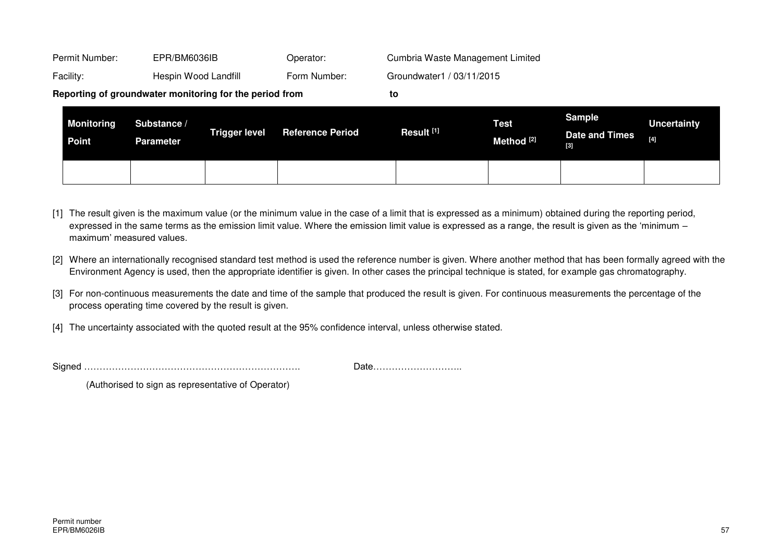|                | Reporting of groundwater monitoring for the period from | to           |                                  |
|----------------|---------------------------------------------------------|--------------|----------------------------------|
| Facility:      | Hespin Wood Landfill                                    | Form Number: | Groundwater1 / 03/11/2015        |
| Permit Number: | EPR/BM6036IB                                            | Operator:    | Cumbria Waste Management Limited |

| <b>Monitoring</b><br>Point | Substance /<br><b>Parameter</b> | <b>Trigger level</b> | <b>Reference Period</b> | Result <sup>[1]</sup> | <b>Test</b><br>Method <sup>[2]</sup> | <b>Sample</b><br><b>Date and Times</b><br>$[3]$ | <b>Uncertainty</b><br>[4] |
|----------------------------|---------------------------------|----------------------|-------------------------|-----------------------|--------------------------------------|-------------------------------------------------|---------------------------|
|                            |                                 |                      |                         |                       |                                      |                                                 |                           |

- [1] The result given is the maximum value (or the minimum value in the case of a limit that is expressed as a minimum) obtained during the reporting period. expressed in the same terms as the emission limit value. Where the emission limit value is expressed as a range, the result is given as the 'minimum – maximum' measured values.
- [2] Where an internationally recognised standard test method is used the reference number is given. Where another method that has been formally agreed with the Environment Agency is used, then the appropriate identifier is given. In other cases the principal technique is stated, for example gas chromatography.
- [3] For non-continuous measurements the date and time of the sample that produced the result is given. For continuous measurements the percentage of the process operating time covered by the result is given.
- [4] The uncertainty associated with the quoted result at the 95% confidence interval, unless otherwise stated.